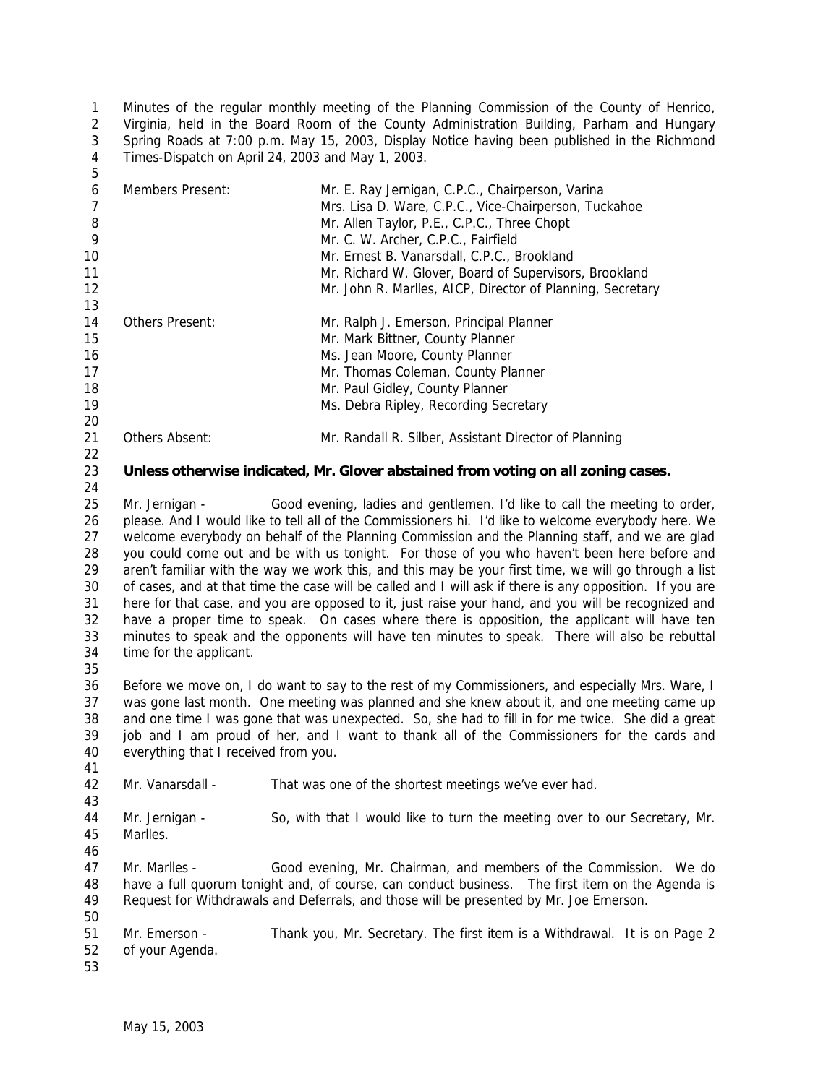Minutes of the regular monthly meeting of the Planning Commission of the County of Henrico, Virginia, held in the Board Room of the County Administration Building, Parham and Hungary Spring Roads at 7:00 p.m. May 15, 2003, Display Notice having been published in the Richmond Times-Dispatch on April 24, 2003 and May 1, 2003. 

| 6  | Members Present:       | Mr. E. Ray Jernigan, C.P.C., Chairperson, Varina<br>Mrs. Lisa D. Ware, C.P.C., Vice-Chairperson, Tuckahoe |
|----|------------------------|-----------------------------------------------------------------------------------------------------------|
| 8  |                        | Mr. Allen Taylor, P.E., C.P.C., Three Chopt                                                               |
| 9  |                        | Mr. C. W. Archer, C.P.C., Fairfield                                                                       |
| 10 |                        | Mr. Ernest B. Vanarsdall, C.P.C., Brookland                                                               |
| 11 |                        | Mr. Richard W. Glover, Board of Supervisors, Brookland                                                    |
| 12 |                        | Mr. John R. Marlles, AICP, Director of Planning, Secretary                                                |
| 13 |                        |                                                                                                           |
| 14 | <b>Others Present:</b> | Mr. Ralph J. Emerson, Principal Planner                                                                   |
| 15 |                        | Mr. Mark Bittner, County Planner                                                                          |
| 16 |                        | Ms. Jean Moore, County Planner                                                                            |
| 17 |                        | Mr. Thomas Coleman, County Planner                                                                        |
| 18 |                        | Mr. Paul Gidley, County Planner                                                                           |
| 19 |                        | Ms. Debra Ripley, Recording Secretary                                                                     |
| 20 |                        |                                                                                                           |
| 21 | Others Absent:         | Mr. Randall R. Silber, Assistant Director of Planning                                                     |

#### **Unless otherwise indicated, Mr. Glover abstained from voting on all zoning cases.**

25 Mr. Jernigan - Good evening, ladies and gentlemen. I'd like to call the meeting to order, please. And I would like to tell all of the Commissioners hi. I'd like to welcome everybody here. We welcome everybody on behalf of the Planning Commission and the Planning staff, and we are glad you could come out and be with us tonight. For those of you who haven't been here before and aren't familiar with the way we work this, and this may be your first time, we will go through a list of cases, and at that time the case will be called and I will ask if there is any opposition. If you are here for that case, and you are opposed to it, just raise your hand, and you will be recognized and have a proper time to speak. On cases where there is opposition, the applicant will have ten minutes to speak and the opponents will have ten minutes to speak. There will also be rebuttal time for the applicant.

 Before we move on, I do want to say to the rest of my Commissioners, and especially Mrs. Ware, I was gone last month. One meeting was planned and she knew about it, and one meeting came up and one time I was gone that was unexpected. So, she had to fill in for me twice. She did a great job and I am proud of her, and I want to thank all of the Commissioners for the cards and everything that I received from you.

 Mr. Vanarsdall - That was one of the shortest meetings we've ever had. Mr. Jernigan - So, with that I would like to turn the meeting over to our Secretary, Mr. Marlles. Mr. Marlles - Good evening, Mr. Chairman, and members of the Commission. We do have a full quorum tonight and, of course, can conduct business. The first item on the Agenda is Request for Withdrawals and Deferrals, and those will be presented by Mr. Joe Emerson.

 Mr. Emerson - Thank you, Mr. Secretary. The first item is a Withdrawal. It is on Page 2 of your Agenda.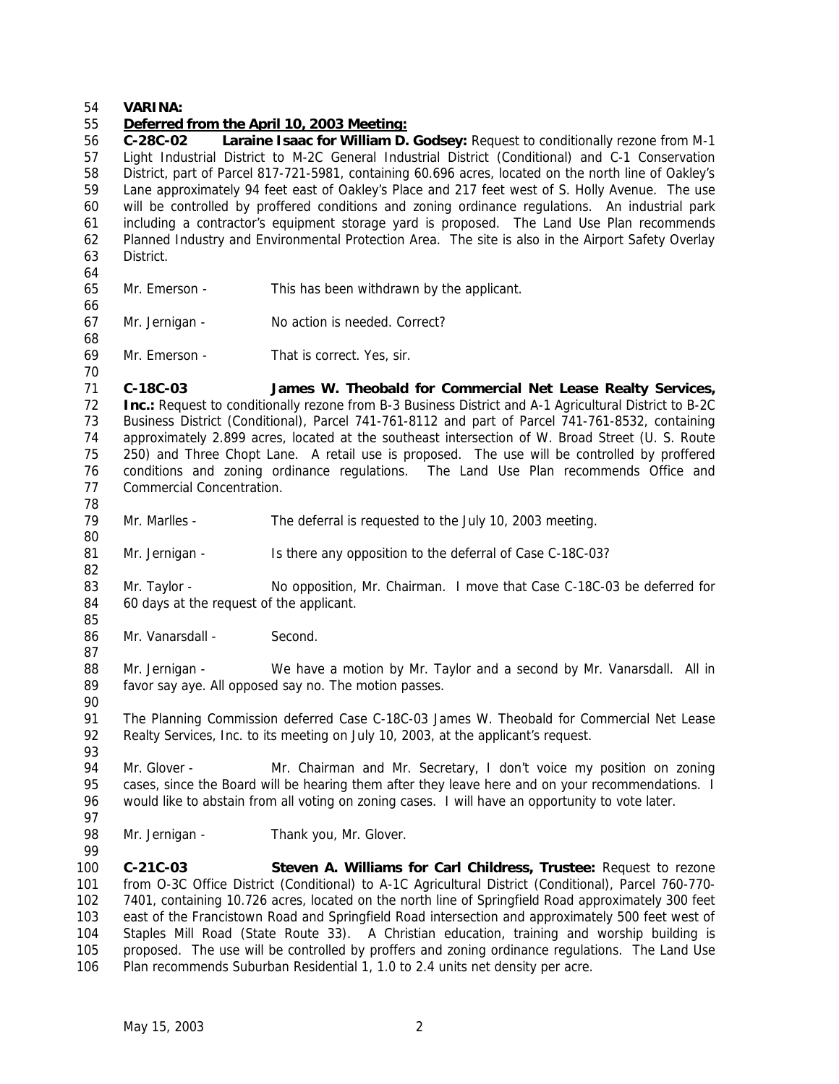### **VARINA:**

### *Deferred from the April 10, 2003 Meeting:*

 **C-28C-02 Laraine Isaac for William D. Godsey:** Request to conditionally rezone from M-1 Light Industrial District to M-2C General Industrial District (Conditional) and C-1 Conservation District, part of Parcel 817-721-5981, containing 60.696 acres, located on the north line of Oakley's Lane approximately 94 feet east of Oakley's Place and 217 feet west of S. Holly Avenue. The use will be controlled by proffered conditions and zoning ordinance regulations. An industrial park including a contractor's equipment storage yard is proposed. The Land Use Plan recommends Planned Industry and Environmental Protection Area. The site is also in the Airport Safety Overlay District. 

- Mr. Emerson This has been withdrawn by the applicant.
- Mr. Jernigan No action is needed. Correct?

Mr. Emerson - That is correct. Yes, sir.

 **C-18C-03 James W. Theobald for Commercial Net Lease Realty Services, Inc.:** Request to conditionally rezone from B-3 Business District and A-1 Agricultural District to B-2C Business District (Conditional), Parcel 741-761-8112 and part of Parcel 741-761-8532, containing approximately 2.899 acres, located at the southeast intersection of W. Broad Street (U. S. Route 250) and Three Chopt Lane. A retail use is proposed. The use will be controlled by proffered conditions and zoning ordinance regulations. The Land Use Plan recommends Office and Commercial Concentration. 

- Mr. Marlles The deferral is requested to the July 10, 2003 meeting.
- 81 Mr. Jernigan Is there any opposition to the deferral of Case C-18C-03?
- 83 Mr. Taylor No opposition, Mr. Chairman. I move that Case C-18C-03 be deferred for 60 days at the request of the applicant.
- 86 Mr. Vanarsdall Second.

88 Mr. Jernigan - We have a motion by Mr. Taylor and a second by Mr. Vanarsdall. All in favor say aye. All opposed say no. The motion passes.

- The Planning Commission deferred Case C-18C-03 James W. Theobald for Commercial Net Lease Realty Services, Inc. to its meeting on July 10, 2003, at the applicant's request.
- 94 Mr. Glover Mr. Chairman and Mr. Secretary, I don't voice my position on zoning cases, since the Board will be hearing them after they leave here and on your recommendations. I would like to abstain from all voting on zoning cases. I will have an opportunity to vote later.
- 
- 98 Mr. Jernigan Thank you, Mr. Glover.
- **C-21C-03 Steven A. Williams for Carl Childress, Trustee:** Request to rezone from O-3C Office District (Conditional) to A-1C Agricultural District (Conditional), Parcel 760-770- 7401, containing 10.726 acres, located on the north line of Springfield Road approximately 300 feet east of the Francistown Road and Springfield Road intersection and approximately 500 feet west of Staples Mill Road (State Route 33). A Christian education, training and worship building is proposed. The use will be controlled by proffers and zoning ordinance regulations. The Land Use Plan recommends Suburban Residential 1, 1.0 to 2.4 units net density per acre.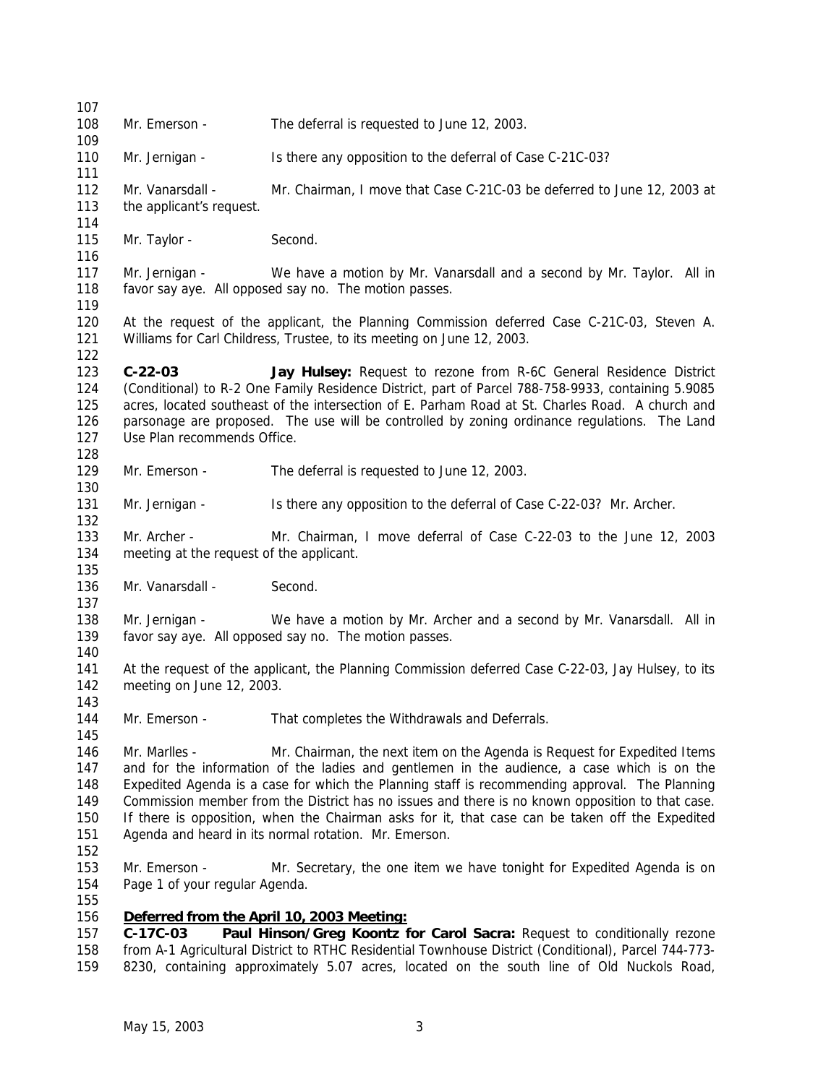Mr. Emerson - The deferral is requested to June 12, 2003. Mr. Jernigan - Is there any opposition to the deferral of Case C-21C-03? Mr. Vanarsdall - Mr. Chairman, I move that Case C-21C-03 be deferred to June 12, 2003 at the applicant's request. 115 Mr. Taylor - Second. Mr. Jernigan - We have a motion by Mr. Vanarsdall and a second by Mr. Taylor. All in favor say aye. All opposed say no. The motion passes. At the request of the applicant, the Planning Commission deferred Case C-21C-03, Steven A. Williams for Carl Childress, Trustee, to its meeting on June 12, 2003. **C-22-03 Jay Hulsey:** Request to rezone from R-6C General Residence District (Conditional) to R-2 One Family Residence District, part of Parcel 788-758-9933, containing 5.9085 acres, located southeast of the intersection of E. Parham Road at St. Charles Road. A church and parsonage are proposed. The use will be controlled by zoning ordinance regulations. The Land Use Plan recommends Office. Mr. Emerson - The deferral is requested to June 12, 2003. 131 Mr. Jernigan - Is there any opposition to the deferral of Case C-22-03? Mr. Archer. Mr. Archer - Mr. Chairman, I move deferral of Case C-22-03 to the June 12, 2003 meeting at the request of the applicant. 136 Mr. Vanarsdall - Second. Mr. Jernigan - We have a motion by Mr. Archer and a second by Mr. Vanarsdall. All in favor say aye. All opposed say no. The motion passes. At the request of the applicant, the Planning Commission deferred Case C-22-03, Jay Hulsey, to its meeting on June 12, 2003. Mr. Emerson - That completes the Withdrawals and Deferrals. Mr. Marlles - Mr. Chairman, the next item on the Agenda is Request for Expedited Items and for the information of the ladies and gentlemen in the audience, a case which is on the Expedited Agenda is a case for which the Planning staff is recommending approval. The Planning Commission member from the District has no issues and there is no known opposition to that case. If there is opposition, when the Chairman asks for it, that case can be taken off the Expedited Agenda and heard in its normal rotation. Mr. Emerson. Mr. Emerson - Mr. Secretary, the one item we have tonight for Expedited Agenda is on Page 1 of your regular Agenda. *Deferred from the April 10, 2003 Meeting:* **C-17C-03 Paul Hinson/Greg Koontz for Carol Sacra:** Request to conditionally rezone from A-1 Agricultural District to RTHC Residential Townhouse District (Conditional), Parcel 744-773- 8230, containing approximately 5.07 acres, located on the south line of Old Nuckols Road,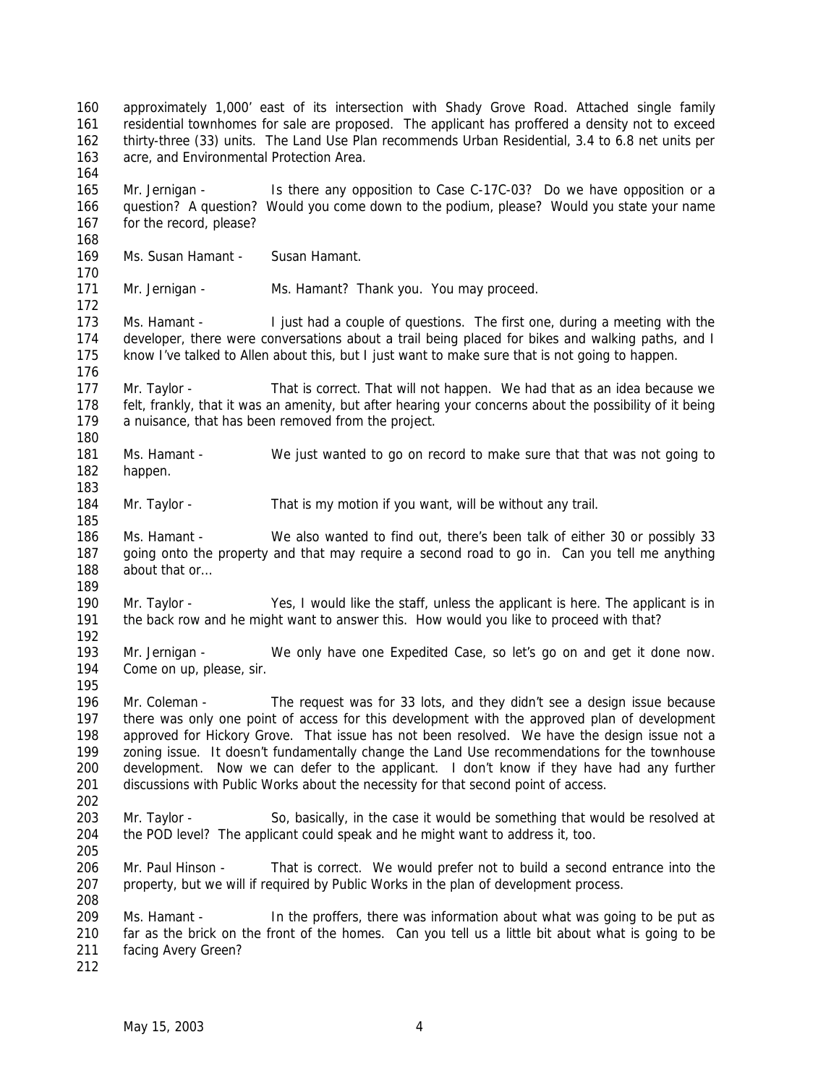approximately 1,000' east of its intersection with Shady Grove Road. Attached single family residential townhomes for sale are proposed. The applicant has proffered a density not to exceed thirty-three (33) units. The Land Use Plan recommends Urban Residential, 3.4 to 6.8 net units per acre, and Environmental Protection Area. 165 Mr. Jernigan - Is there any opposition to Case C-17C-03? Do we have opposition or a question? A question? Would you come down to the podium, please? Would you state your name for the record, please? 169 Ms. Susan Hamant - Susan Hamant. Mr. Jernigan - Ms. Hamant? Thank you. You may proceed. Ms. Hamant - I just had a couple of questions. The first one, during a meeting with the developer, there were conversations about a trail being placed for bikes and walking paths, and I know I've talked to Allen about this, but I just want to make sure that is not going to happen. Mr. Taylor - That is correct. That will not happen. We had that as an idea because we felt, frankly, that it was an amenity, but after hearing your concerns about the possibility of it being a nuisance, that has been removed from the project. Ms. Hamant - We just wanted to go on record to make sure that that was not going to happen. 184 Mr. Taylor - That is my motion if you want, will be without any trail. Ms. Hamant - We also wanted to find out, there's been talk of either 30 or possibly 33 going onto the property and that may require a second road to go in. Can you tell me anything 188 about that or... Mr. Taylor - Yes, I would like the staff, unless the applicant is here. The applicant is in the back row and he might want to answer this. How would you like to proceed with that? Mr. Jernigan - We only have one Expedited Case, so let's go on and get it done now. Come on up, please, sir. Mr. Coleman - The request was for 33 lots, and they didn't see a design issue because there was only one point of access for this development with the approved plan of development approved for Hickory Grove. That issue has not been resolved. We have the design issue not a zoning issue. It doesn't fundamentally change the Land Use recommendations for the townhouse development. Now we can defer to the applicant. I don't know if they have had any further discussions with Public Works about the necessity for that second point of access. Mr. Taylor - So, basically, in the case it would be something that would be resolved at the POD level? The applicant could speak and he might want to address it, too. Mr. Paul Hinson - That is correct. We would prefer not to build a second entrance into the property, but we will if required by Public Works in the plan of development process. Ms. Hamant - In the proffers, there was information about what was going to be put as far as the brick on the front of the homes. Can you tell us a little bit about what is going to be facing Avery Green?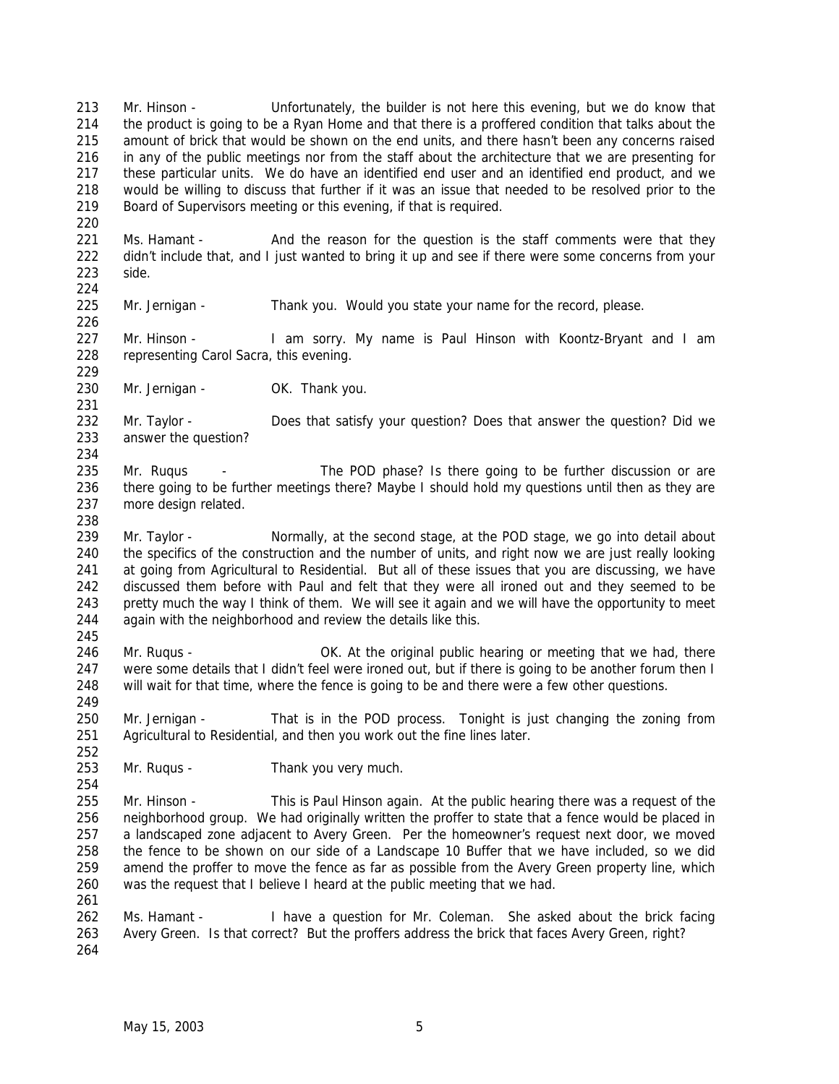Mr. Hinson - Unfortunately, the builder is not here this evening, but we do know that the product is going to be a Ryan Home and that there is a proffered condition that talks about the amount of brick that would be shown on the end units, and there hasn't been any concerns raised in any of the public meetings nor from the staff about the architecture that we are presenting for these particular units. We do have an identified end user and an identified end product, and we would be willing to discuss that further if it was an issue that needed to be resolved prior to the Board of Supervisors meeting or this evening, if that is required.

221 Ms. Hamant - And the reason for the question is the staff comments were that they 222 didn't include that, and I just wanted to bring it up and see if there were some concerns from your side. 

Mr. Jernigan - Thank you. Would you state your name for the record, please.

227 Mr. Hinson - I am sorry. My name is Paul Hinson with Koontz-Bryant and I am representing Carol Sacra, this evening.

230 Mr. Jernigan - OK. Thank you.

232 Mr. Taylor - Does that satisfy your question? Does that answer the question? Did we answer the question? 

235 Mr. Rugus - The POD phase? Is there going to be further discussion or are there going to be further meetings there? Maybe I should hold my questions until then as they are more design related.

- 239 Mr. Taylor Normally, at the second stage, at the POD stage, we go into detail about the specifics of the construction and the number of units, and right now we are just really looking at going from Agricultural to Residential. But all of these issues that you are discussing, we have discussed them before with Paul and felt that they were all ironed out and they seemed to be pretty much the way I think of them. We will see it again and we will have the opportunity to meet again with the neighborhood and review the details like this.
- 246 Mr. Rugus **OK.** At the original public hearing or meeting that we had, there 247 were some details that I didn't feel were ironed out, but if there is going to be another forum then I will wait for that time, where the fence is going to be and there were a few other questions.

 Mr. Jernigan - That is in the POD process. Tonight is just changing the zoning from Agricultural to Residential, and then you work out the fine lines later.

Mr. Ruqus - Thank you very much.

 Mr. Hinson - This is Paul Hinson again. At the public hearing there was a request of the neighborhood group. We had originally written the proffer to state that a fence would be placed in a landscaped zone adjacent to Avery Green. Per the homeowner's request next door, we moved the fence to be shown on our side of a Landscape 10 Buffer that we have included, so we did amend the proffer to move the fence as far as possible from the Avery Green property line, which was the request that I believe I heard at the public meeting that we had.

 Ms. Hamant - I have a question for Mr. Coleman. She asked about the brick facing Avery Green. Is that correct? But the proffers address the brick that faces Avery Green, right?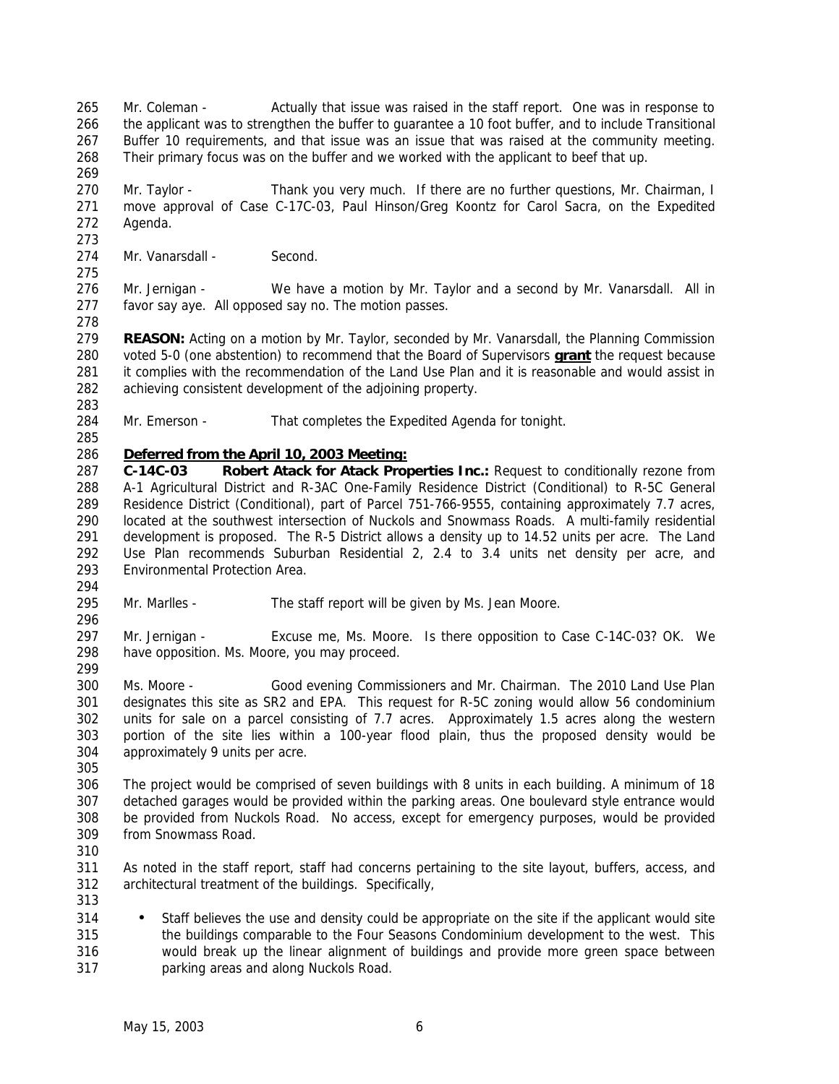265 Mr. Coleman - Actually that issue was raised in the staff report. One was in response to the applicant was to strengthen the buffer to guarantee a 10 foot buffer, and to include Transitional Buffer 10 requirements, and that issue was an issue that was raised at the community meeting. Their primary focus was on the buffer and we worked with the applicant to beef that up.

270 Mr. Taylor - Thank you very much. If there are no further questions, Mr. Chairman, I move approval of Case C-17C-03, Paul Hinson/Greg Koontz for Carol Sacra, on the Expedited Agenda.

274 Mr. Vanarsdall - Second.

 Mr. Jernigan - We have a motion by Mr. Taylor and a second by Mr. Vanarsdall. All in favor say aye. All opposed say no. The motion passes.

 **REASON:** Acting on a motion by Mr. Taylor, seconded by Mr. Vanarsdall, the Planning Commission voted 5-0 (one abstention) to recommend that the Board of Supervisors **grant** the request because it complies with the recommendation of the Land Use Plan and it is reasonable and would assist in achieving consistent development of the adjoining property.

- 284 Mr. Emerson That completes the Expedited Agenda for tonight.
- 

# *Deferred from the April 10, 2003 Meeting:*

 **C-14C-03 Robert Atack for Atack Properties Inc.:** Request to conditionally rezone from A-1 Agricultural District and R-3AC One-Family Residence District (Conditional) to R-5C General Residence District (Conditional), part of Parcel 751-766-9555, containing approximately 7.7 acres, located at the southwest intersection of Nuckols and Snowmass Roads. A multi-family residential development is proposed. The R-5 District allows a density up to 14.52 units per acre. The Land Use Plan recommends Suburban Residential 2, 2.4 to 3.4 units net density per acre, and Environmental Protection Area.

 Mr. Marlles - The staff report will be given by Ms. Jean Moore. 

 Mr. Jernigan - Excuse me, Ms. Moore. Is there opposition to Case C-14C-03? OK. We have opposition. Ms. Moore, you may proceed.

 Ms. Moore - Good evening Commissioners and Mr. Chairman. The 2010 Land Use Plan designates this site as SR2 and EPA. This request for R-5C zoning would allow 56 condominium units for sale on a parcel consisting of 7.7 acres. Approximately 1.5 acres along the western portion of the site lies within a 100-year flood plain, thus the proposed density would be approximately 9 units per acre.

 The project would be comprised of seven buildings with 8 units in each building. A minimum of 18 detached garages would be provided within the parking areas. One boulevard style entrance would be provided from Nuckols Road. No access, except for emergency purposes, would be provided from Snowmass Road.

 As noted in the staff report, staff had concerns pertaining to the site layout, buffers, access, and architectural treatment of the buildings. Specifically, 

314 • Staff believes the use and density could be appropriate on the site if the applicant would site the buildings comparable to the Four Seasons Condominium development to the west. This would break up the linear alignment of buildings and provide more green space between parking areas and along Nuckols Road.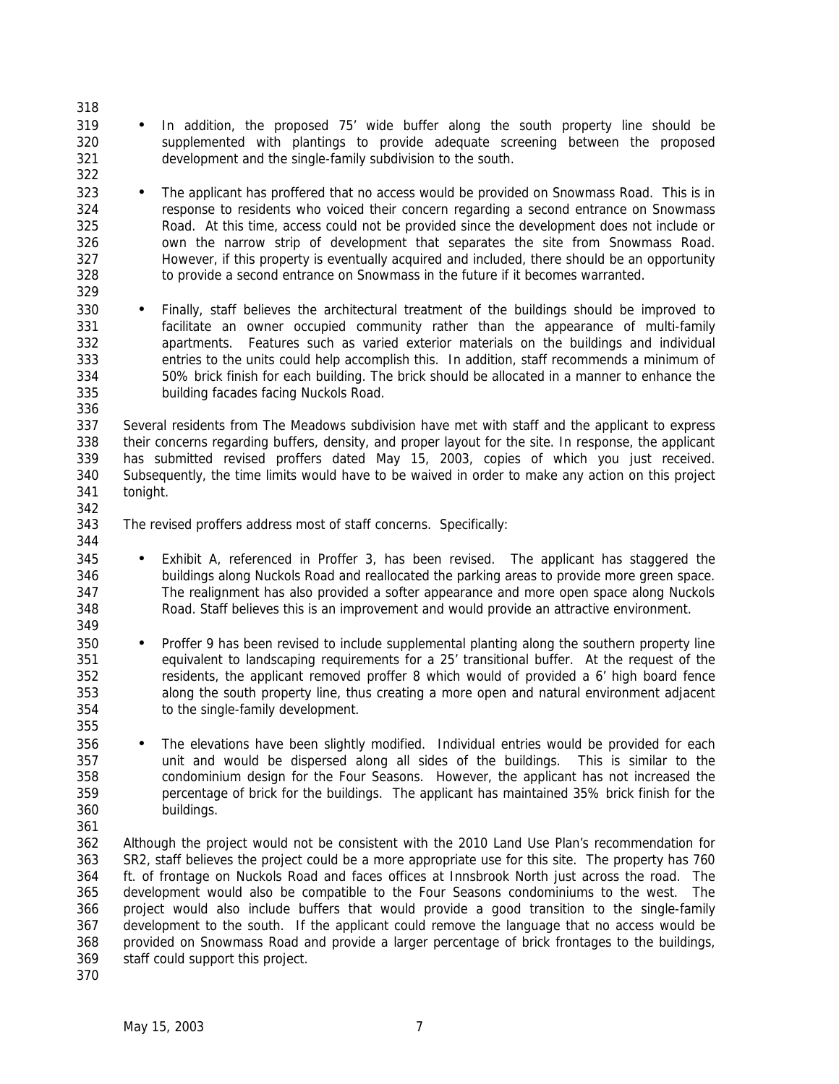- • In addition, the proposed 75' wide buffer along the south property line should be supplemented with plantings to provide adequate screening between the proposed development and the single-family subdivision to the south.
- 323 The applicant has proffered that no access would be provided on Snowmass Road. This is in response to residents who voiced their concern regarding a second entrance on Snowmass Road. At this time, access could not be provided since the development does not include or own the narrow strip of development that separates the site from Snowmass Road. However, if this property is eventually acquired and included, there should be an opportunity to provide a second entrance on Snowmass in the future if it becomes warranted.
- Finally, staff believes the architectural treatment of the buildings should be improved to facilitate an owner occupied community rather than the appearance of multi-family apartments. Features such as varied exterior materials on the buildings and individual entries to the units could help accomplish this. In addition, staff recommends a minimum of 50% brick finish for each building. The brick should be allocated in a manner to enhance the building facades facing Nuckols Road.

 Several residents from The Meadows subdivision have met with staff and the applicant to express their concerns regarding buffers, density, and proper layout for the site. In response, the applicant has submitted revised proffers dated May 15, 2003, copies of which you just received. Subsequently, the time limits would have to be waived in order to make any action on this project tonight. 

- The revised proffers address most of staff concerns. Specifically:
- 

- Exhibit A, referenced in Proffer 3, has been revised. The applicant has staggered the buildings along Nuckols Road and reallocated the parking areas to provide more green space. The realignment has also provided a softer appearance and more open space along Nuckols Road. Staff believes this is an improvement and would provide an attractive environment.
- Proffer 9 has been revised to include supplemental planting along the southern property line equivalent to landscaping requirements for a 25' transitional buffer. At the request of the residents, the applicant removed proffer 8 which would of provided a 6' high board fence along the south property line, thus creating a more open and natural environment adjacent to the single-family development.
- The elevations have been slightly modified. Individual entries would be provided for each unit and would be dispersed along all sides of the buildings. This is similar to the condominium design for the Four Seasons. However, the applicant has not increased the percentage of brick for the buildings. The applicant has maintained 35% brick finish for the buildings.
- Although the project would not be consistent with the 2010 Land Use Plan's recommendation for SR2, staff believes the project could be a more appropriate use for this site. The property has 760 ft. of frontage on Nuckols Road and faces offices at Innsbrook North just across the road. The development would also be compatible to the Four Seasons condominiums to the west. The project would also include buffers that would provide a good transition to the single-family development to the south. If the applicant could remove the language that no access would be provided on Snowmass Road and provide a larger percentage of brick frontages to the buildings, staff could support this project.
-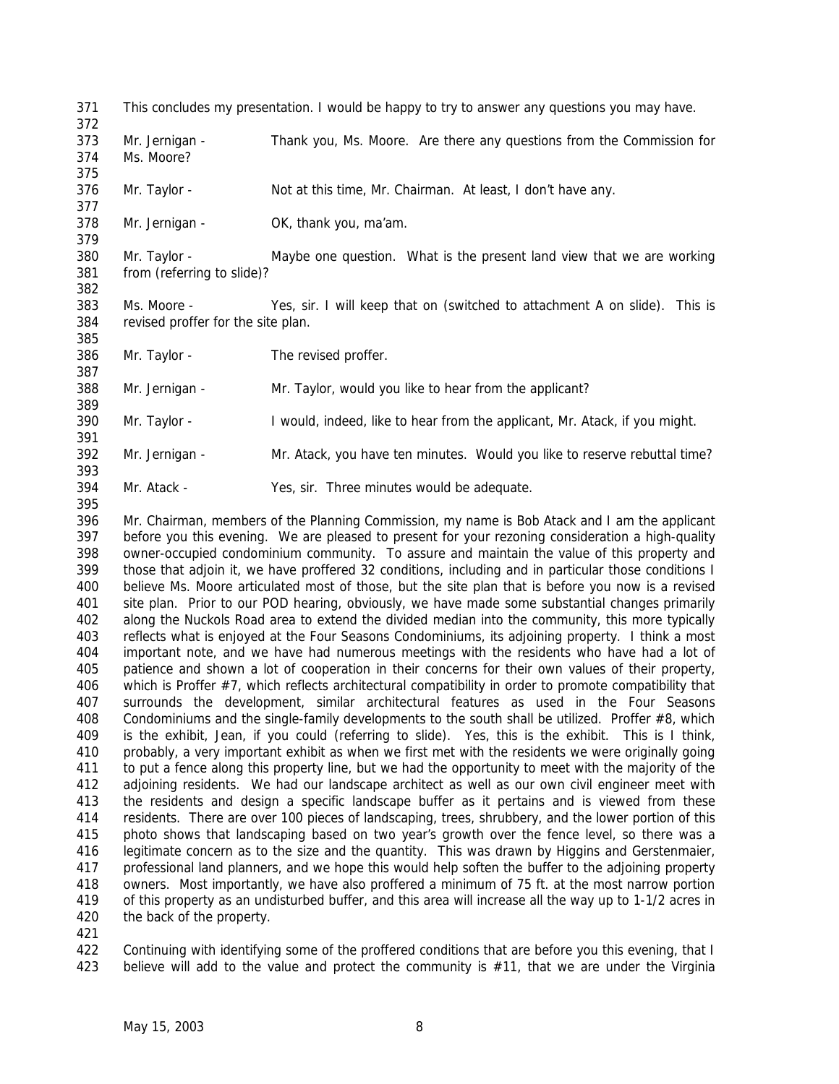- This concludes my presentation. I would be happy to try to answer any questions you may have.
- Mr. Jernigan Thank you, Ms. Moore. Are there any questions from the Commission for Ms. Moore?
- Mr. Taylor Not at this time, Mr. Chairman. At least, I don't have any.
- Mr. Jernigan OK, thank you, ma'am.

380 Mr. Taylor - Maybe one question. What is the present land view that we are working from (referring to slide)?

 Ms. Moore - Yes, sir. I will keep that on (switched to attachment A on slide). This is revised proffer for the site plan.

 Mr. Taylor - The revised proffer. 

Mr. Jernigan - Mr. Taylor, would you like to hear from the applicant?

- 390 Mr. Taylor I would, indeed, like to hear from the applicant, Mr. Atack, if you might.
- Mr. Jernigan Mr. Atack, you have ten minutes. Would you like to reserve rebuttal time?
- Mr. Atack Yes, sir. Three minutes would be adequate.

 Mr. Chairman, members of the Planning Commission, my name is Bob Atack and I am the applicant before you this evening. We are pleased to present for your rezoning consideration a high-quality owner-occupied condominium community. To assure and maintain the value of this property and those that adjoin it, we have proffered 32 conditions, including and in particular those conditions I believe Ms. Moore articulated most of those, but the site plan that is before you now is a revised site plan. Prior to our POD hearing, obviously, we have made some substantial changes primarily along the Nuckols Road area to extend the divided median into the community, this more typically reflects what is enjoyed at the Four Seasons Condominiums, its adjoining property. I think a most important note, and we have had numerous meetings with the residents who have had a lot of patience and shown a lot of cooperation in their concerns for their own values of their property, which is Proffer #7, which reflects architectural compatibility in order to promote compatibility that surrounds the development, similar architectural features as used in the Four Seasons 408 Condominiums and the single-family developments to the south shall be utilized. Proffer #8, which is the exhibit, Jean, if you could (referring to slide). Yes, this is the exhibit. This is I think, probably, a very important exhibit as when we first met with the residents we were originally going to put a fence along this property line, but we had the opportunity to meet with the majority of the adjoining residents. We had our landscape architect as well as our own civil engineer meet with the residents and design a specific landscape buffer as it pertains and is viewed from these residents. There are over 100 pieces of landscaping, trees, shrubbery, and the lower portion of this photo shows that landscaping based on two year's growth over the fence level, so there was a legitimate concern as to the size and the quantity. This was drawn by Higgins and Gerstenmaier, professional land planners, and we hope this would help soften the buffer to the adjoining property owners. Most importantly, we have also proffered a minimum of 75 ft. at the most narrow portion of this property as an undisturbed buffer, and this area will increase all the way up to 1-1/2 acres in the back of the property.

422 Continuing with identifying some of the proffered conditions that are before you this evening, that I 423 believe will add to the value and protect the community is #11, that we are under the Virginia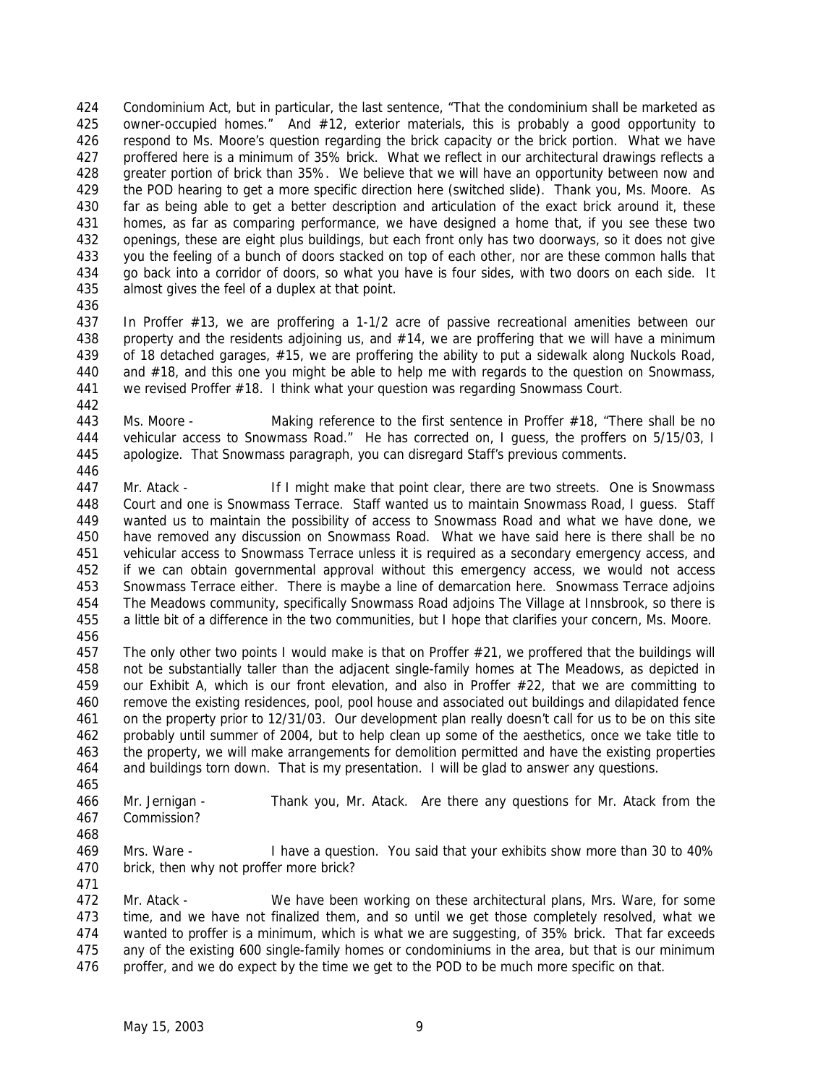Condominium Act, but in particular, the last sentence, "That the condominium shall be marketed as 425 owner-occupied homes." And #12, exterior materials, this is probably a good opportunity to respond to Ms. Moore's question regarding the brick capacity or the brick portion. What we have proffered here is a minimum of 35% brick. What we reflect in our architectural drawings reflects a greater portion of brick than 35%. We believe that we will have an opportunity between now and the POD hearing to get a more specific direction here (switched slide). Thank you, Ms. Moore. As far as being able to get a better description and articulation of the exact brick around it, these homes, as far as comparing performance, we have designed a home that, if you see these two openings, these are eight plus buildings, but each front only has two doorways, so it does not give you the feeling of a bunch of doors stacked on top of each other, nor are these common halls that go back into a corridor of doors, so what you have is four sides, with two doors on each side. It almost gives the feel of a duplex at that point.

 In Proffer #13, we are proffering a 1-1/2 acre of passive recreational amenities between our 438 property and the residents adjoining us, and #14, we are proffering that we will have a minimum of 18 detached garages, #15, we are proffering the ability to put a sidewalk along Nuckols Road, and #18, and this one you might be able to help me with regards to the question on Snowmass, we revised Proffer #18. I think what your question was regarding Snowmass Court.

443 Ms. Moore - Making reference to the first sentence in Proffer #18, "There shall be no vehicular access to Snowmass Road." He has corrected on, I guess, the proffers on 5/15/03, I apologize. That Snowmass paragraph, you can disregard Staff's previous comments.

 Mr. Atack - If I might make that point clear, there are two streets. One is Snowmass Court and one is Snowmass Terrace. Staff wanted us to maintain Snowmass Road, I guess. Staff wanted us to maintain the possibility of access to Snowmass Road and what we have done, we have removed any discussion on Snowmass Road. What we have said here is there shall be no vehicular access to Snowmass Terrace unless it is required as a secondary emergency access, and if we can obtain governmental approval without this emergency access, we would not access Snowmass Terrace either. There is maybe a line of demarcation here. Snowmass Terrace adjoins The Meadows community, specifically Snowmass Road adjoins The Village at Innsbrook, so there is a little bit of a difference in the two communities, but I hope that clarifies your concern, Ms. Moore. 

 The only other two points I would make is that on Proffer #21, we proffered that the buildings will not be substantially taller than the adjacent single-family homes at The Meadows, as depicted in our Exhibit A, which is our front elevation, and also in Proffer #22, that we are committing to remove the existing residences, pool, pool house and associated out buildings and dilapidated fence on the property prior to 12/31/03. Our development plan really doesn't call for us to be on this site probably until summer of 2004, but to help clean up some of the aesthetics, once we take title to the property, we will make arrangements for demolition permitted and have the existing properties and buildings torn down. That is my presentation. I will be glad to answer any questions. 

 Mr. Jernigan - Thank you, Mr. Atack. Are there any questions for Mr. Atack from the Commission?

 Mrs. Ware - I have a question. You said that your exhibits show more than 30 to 40% brick, then why not proffer more brick? 

 Mr. Atack - We have been working on these architectural plans, Mrs. Ware, for some time, and we have not finalized them, and so until we get those completely resolved, what we wanted to proffer is a minimum, which is what we are suggesting, of 35% brick. That far exceeds any of the existing 600 single-family homes or condominiums in the area, but that is our minimum 476 proffer, and we do expect by the time we get to the POD to be much more specific on that.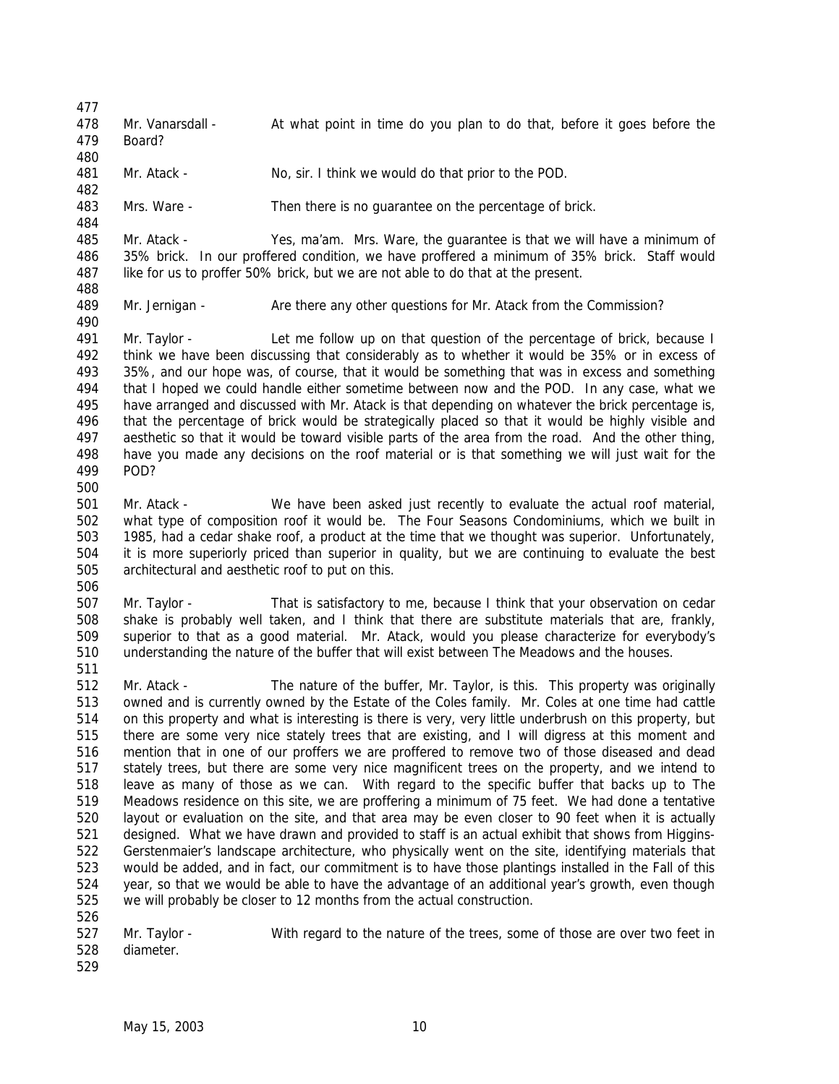478 Mr. Vanarsdall - At what point in time do you plan to do that, before it goes before the Board? Mr. Atack - No, sir. I think we would do that prior to the POD. Mrs. Ware - Then there is no guarantee on the percentage of brick. Mr. Atack - Yes, ma'am. Mrs. Ware, the guarantee is that we will have a minimum of 35% brick. In our proffered condition, we have proffered a minimum of 35% brick. Staff would like for us to proffer 50% brick, but we are not able to do that at the present. Mr. Jernigan - Are there any other questions for Mr. Atack from the Commission? Mr. Taylor - Let me follow up on that question of the percentage of brick, because I think we have been discussing that considerably as to whether it would be 35% or in excess of 35%, and our hope was, of course, that it would be something that was in excess and something that I hoped we could handle either sometime between now and the POD. In any case, what we have arranged and discussed with Mr. Atack is that depending on whatever the brick percentage is, that the percentage of brick would be strategically placed so that it would be highly visible and aesthetic so that it would be toward visible parts of the area from the road. And the other thing, have you made any decisions on the roof material or is that something we will just wait for the POD? Mr. Atack - We have been asked just recently to evaluate the actual roof material, what type of composition roof it would be. The Four Seasons Condominiums, which we built in 1985, had a cedar shake roof, a product at the time that we thought was superior. Unfortunately, it is more superiorly priced than superior in quality, but we are continuing to evaluate the best architectural and aesthetic roof to put on this. Mr. Taylor - That is satisfactory to me, because I think that your observation on cedar shake is probably well taken, and I think that there are substitute materials that are, frankly, superior to that as a good material. Mr. Atack, would you please characterize for everybody's understanding the nature of the buffer that will exist between The Meadows and the houses. Mr. Atack - The nature of the buffer, Mr. Taylor, is this. This property was originally owned and is currently owned by the Estate of the Coles family. Mr. Coles at one time had cattle on this property and what is interesting is there is very, very little underbrush on this property, but there are some very nice stately trees that are existing, and I will digress at this moment and mention that in one of our proffers we are proffered to remove two of those diseased and dead stately trees, but there are some very nice magnificent trees on the property, and we intend to leave as many of those as we can. With regard to the specific buffer that backs up to The Meadows residence on this site, we are proffering a minimum of 75 feet. We had done a tentative layout or evaluation on the site, and that area may be even closer to 90 feet when it is actually designed. What we have drawn and provided to staff is an actual exhibit that shows from Higgins- Gerstenmaier's landscape architecture, who physically went on the site, identifying materials that would be added, and in fact, our commitment is to have those plantings installed in the Fall of this year, so that we would be able to have the advantage of an additional year's growth, even though we will probably be closer to 12 months from the actual construction. 527 Mr. Taylor - With regard to the nature of the trees, some of those are over two feet in diameter.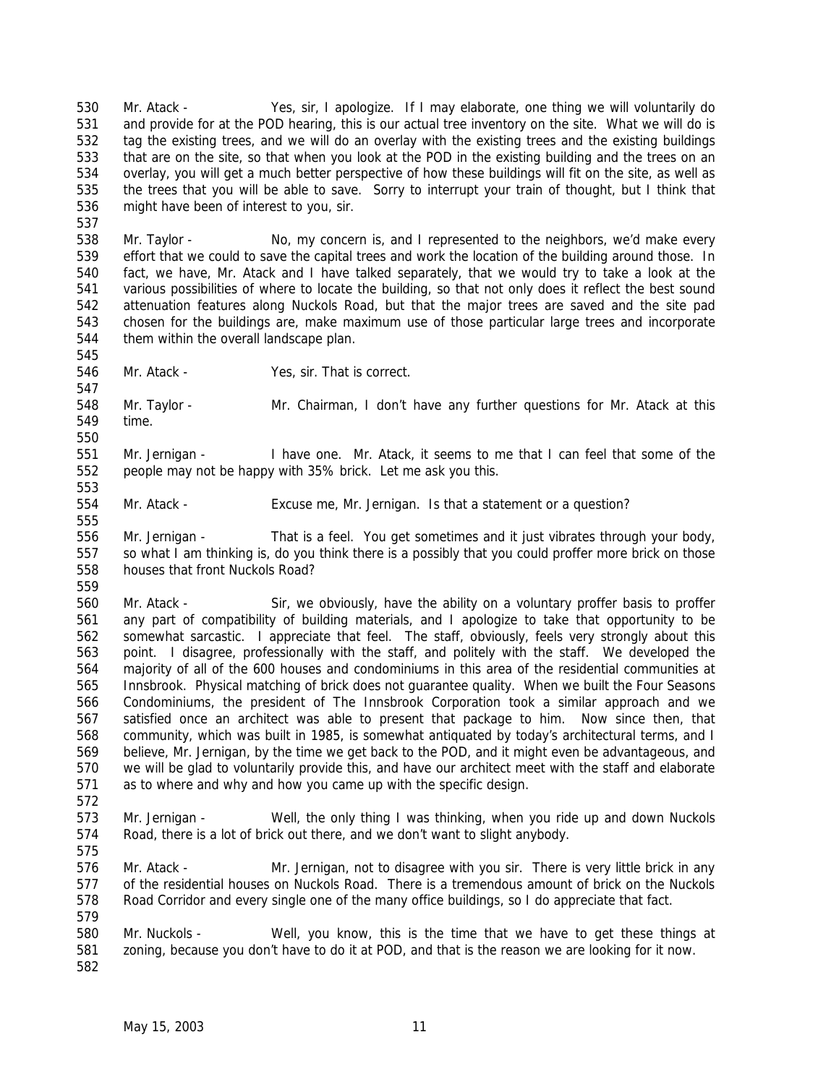Mr. Atack - Yes, sir, I apologize. If I may elaborate, one thing we will voluntarily do and provide for at the POD hearing, this is our actual tree inventory on the site. What we will do is tag the existing trees, and we will do an overlay with the existing trees and the existing buildings that are on the site, so that when you look at the POD in the existing building and the trees on an overlay, you will get a much better perspective of how these buildings will fit on the site, as well as the trees that you will be able to save. Sorry to interrupt your train of thought, but I think that might have been of interest to you, sir.

 Mr. Taylor - No, my concern is, and I represented to the neighbors, we'd make every effort that we could to save the capital trees and work the location of the building around those. In fact, we have, Mr. Atack and I have talked separately, that we would try to take a look at the various possibilities of where to locate the building, so that not only does it reflect the best sound attenuation features along Nuckols Road, but that the major trees are saved and the site pad chosen for the buildings are, make maximum use of those particular large trees and incorporate them within the overall landscape plan.

 

Mr. Atack - Yes, sir. That is correct.

 Mr. Taylor - Mr. Chairman, I don't have any further questions for Mr. Atack at this time. 

 Mr. Jernigan - I have one. Mr. Atack, it seems to me that I can feel that some of the people may not be happy with 35% brick. Let me ask you this.

554 Mr. Atack - Excuse me, Mr. Jernigan. Is that a statement or a question?

 Mr. Jernigan - That is a feel. You get sometimes and it just vibrates through your body, so what I am thinking is, do you think there is a possibly that you could proffer more brick on those houses that front Nuckols Road? 

 Mr. Atack - Sir, we obviously, have the ability on a voluntary proffer basis to proffer any part of compatibility of building materials, and I apologize to take that opportunity to be somewhat sarcastic. I appreciate that feel. The staff, obviously, feels very strongly about this point. I disagree, professionally with the staff, and politely with the staff. We developed the majority of all of the 600 houses and condominiums in this area of the residential communities at Innsbrook. Physical matching of brick does not guarantee quality. When we built the Four Seasons Condominiums, the president of The Innsbrook Corporation took a similar approach and we satisfied once an architect was able to present that package to him. Now since then, that community, which was built in 1985, is somewhat antiquated by today's architectural terms, and I believe, Mr. Jernigan, by the time we get back to the POD, and it might even be advantageous, and we will be glad to voluntarily provide this, and have our architect meet with the staff and elaborate as to where and why and how you came up with the specific design. 

 Mr. Jernigan - Well, the only thing I was thinking, when you ride up and down Nuckols Road, there is a lot of brick out there, and we don't want to slight anybody.

 Mr. Atack - Mr. Jernigan, not to disagree with you sir. There is very little brick in any of the residential houses on Nuckols Road. There is a tremendous amount of brick on the Nuckols Road Corridor and every single one of the many office buildings, so I do appreciate that fact.

 Mr. Nuckols - Well, you know, this is the time that we have to get these things at zoning, because you don't have to do it at POD, and that is the reason we are looking for it now.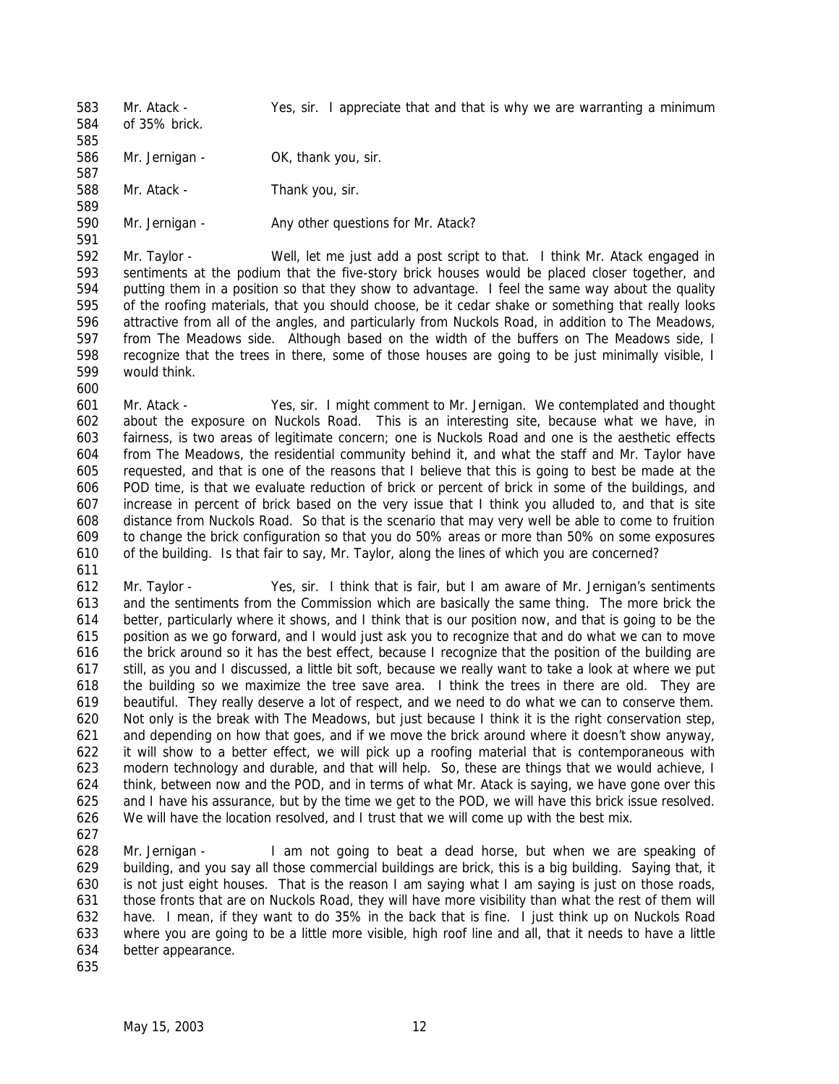Mr. Atack - Yes, sir. I appreciate that and that is why we are warranting a minimum

 of 35% brick. 

586 Mr. Jernigan - OK, thank you, sir. 

Mr. Atack - Thank you, sir.

590 Mr. Jernigan - Any other questions for Mr. Atack?

 Mr. Taylor - Well, let me just add a post script to that. I think Mr. Atack engaged in sentiments at the podium that the five-story brick houses would be placed closer together, and putting them in a position so that they show to advantage. I feel the same way about the quality of the roofing materials, that you should choose, be it cedar shake or something that really looks attractive from all of the angles, and particularly from Nuckols Road, in addition to The Meadows, from The Meadows side. Although based on the width of the buffers on The Meadows side, I recognize that the trees in there, some of those houses are going to be just minimally visible, I would think.

 Mr. Atack - Yes, sir. I might comment to Mr. Jernigan. We contemplated and thought about the exposure on Nuckols Road. This is an interesting site, because what we have, in fairness, is two areas of legitimate concern; one is Nuckols Road and one is the aesthetic effects from The Meadows, the residential community behind it, and what the staff and Mr. Taylor have requested, and that is one of the reasons that I believe that this is going to best be made at the POD time, is that we evaluate reduction of brick or percent of brick in some of the buildings, and increase in percent of brick based on the very issue that I think you alluded to, and that is site distance from Nuckols Road. So that is the scenario that may very well be able to come to fruition to change the brick configuration so that you do 50% areas or more than 50% on some exposures of the building. Is that fair to say, Mr. Taylor, along the lines of which you are concerned? 

 Mr. Taylor - Yes, sir. I think that is fair, but I am aware of Mr. Jernigan's sentiments and the sentiments from the Commission which are basically the same thing. The more brick the better, particularly where it shows, and I think that is our position now, and that is going to be the position as we go forward, and I would just ask you to recognize that and do what we can to move the brick around so it has the best effect, because I recognize that the position of the building are still, as you and I discussed, a little bit soft, because we really want to take a look at where we put the building so we maximize the tree save area. I think the trees in there are old. They are beautiful. They really deserve a lot of respect, and we need to do what we can to conserve them. Not only is the break with The Meadows, but just because I think it is the right conservation step, and depending on how that goes, and if we move the brick around where it doesn't show anyway, it will show to a better effect, we will pick up a roofing material that is contemporaneous with modern technology and durable, and that will help. So, these are things that we would achieve, I think, between now and the POD, and in terms of what Mr. Atack is saying, we have gone over this and I have his assurance, but by the time we get to the POD, we will have this brick issue resolved. We will have the location resolved, and I trust that we will come up with the best mix.

 Mr. Jernigan - I am not going to beat a dead horse, but when we are speaking of building, and you say all those commercial buildings are brick, this is a big building. Saying that, it is not just eight houses. That is the reason I am saying what I am saying is just on those roads, those fronts that are on Nuckols Road, they will have more visibility than what the rest of them will have. I mean, if they want to do 35% in the back that is fine. I just think up on Nuckols Road where you are going to be a little more visible, high roof line and all, that it needs to have a little better appearance.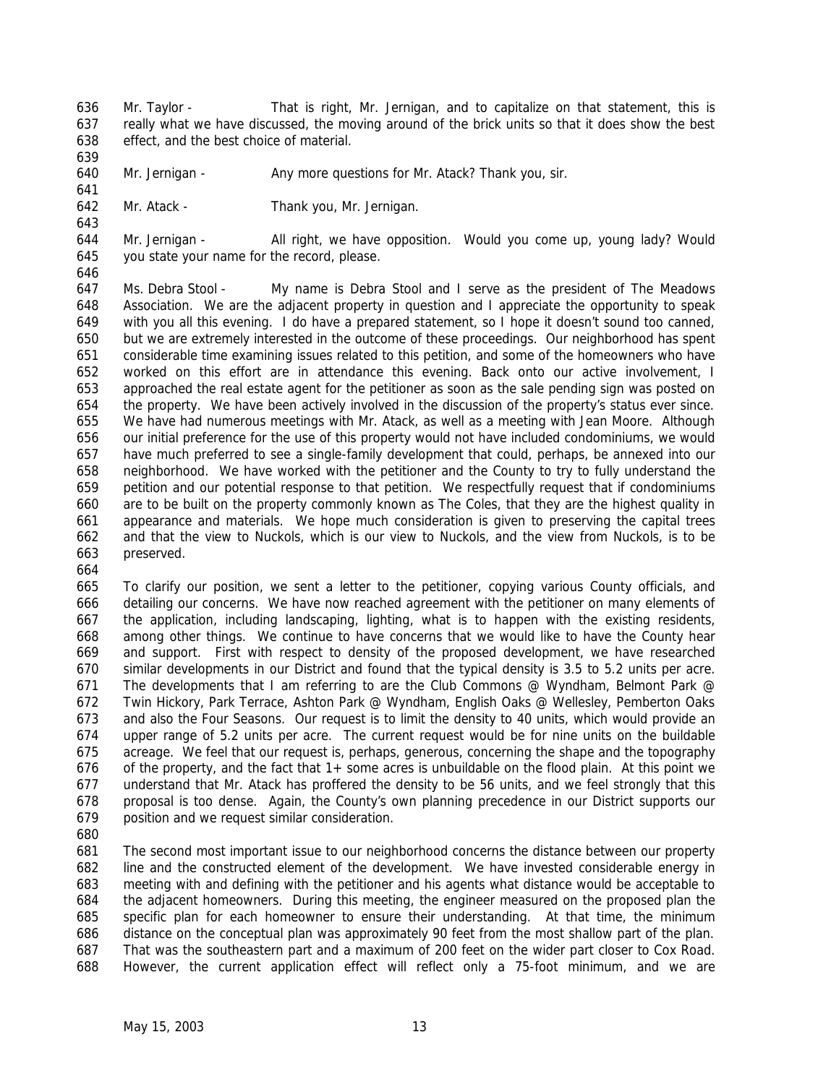- Mr. Taylor That is right, Mr. Jernigan, and to capitalize on that statement, this is really what we have discussed, the moving around of the brick units so that it does show the best effect, and the best choice of material.
- 640 Mr. Jernigan Any more questions for Mr. Atack? Thank you, sir.
- Mr. Atack Thank you, Mr. Jernigan.
- Mr. Jernigan All right, we have opposition. Would you come up, young lady? Would you state your name for the record, please.
- Ms. Debra Stool My name is Debra Stool and I serve as the president of The Meadows Association. We are the adjacent property in question and I appreciate the opportunity to speak with you all this evening. I do have a prepared statement, so I hope it doesn't sound too canned, but we are extremely interested in the outcome of these proceedings. Our neighborhood has spent considerable time examining issues related to this petition, and some of the homeowners who have worked on this effort are in attendance this evening. Back onto our active involvement, I approached the real estate agent for the petitioner as soon as the sale pending sign was posted on the property. We have been actively involved in the discussion of the property's status ever since. We have had numerous meetings with Mr. Atack, as well as a meeting with Jean Moore. Although our initial preference for the use of this property would not have included condominiums, we would have much preferred to see a single-family development that could, perhaps, be annexed into our neighborhood. We have worked with the petitioner and the County to try to fully understand the petition and our potential response to that petition. We respectfully request that if condominiums are to be built on the property commonly known as The Coles, that they are the highest quality in appearance and materials. We hope much consideration is given to preserving the capital trees and that the view to Nuckols, which is our view to Nuckols, and the view from Nuckols, is to be preserved.
- 

 To clarify our position, we sent a letter to the petitioner, copying various County officials, and detailing our concerns. We have now reached agreement with the petitioner on many elements of the application, including landscaping, lighting, what is to happen with the existing residents, among other things. We continue to have concerns that we would like to have the County hear and support. First with respect to density of the proposed development, we have researched similar developments in our District and found that the typical density is 3.5 to 5.2 units per acre. The developments that I am referring to are the Club Commons @ Wyndham, Belmont Park @ Twin Hickory, Park Terrace, Ashton Park @ Wyndham, English Oaks @ Wellesley, Pemberton Oaks and also the Four Seasons. Our request is to limit the density to 40 units, which would provide an upper range of 5.2 units per acre. The current request would be for nine units on the buildable acreage. We feel that our request is, perhaps, generous, concerning the shape and the topography of the property, and the fact that 1+ some acres is unbuildable on the flood plain. At this point we understand that Mr. Atack has proffered the density to be 56 units, and we feel strongly that this proposal is too dense. Again, the County's own planning precedence in our District supports our position and we request similar consideration.

 The second most important issue to our neighborhood concerns the distance between our property line and the constructed element of the development. We have invested considerable energy in meeting with and defining with the petitioner and his agents what distance would be acceptable to the adjacent homeowners. During this meeting, the engineer measured on the proposed plan the specific plan for each homeowner to ensure their understanding. At that time, the minimum distance on the conceptual plan was approximately 90 feet from the most shallow part of the plan. That was the southeastern part and a maximum of 200 feet on the wider part closer to Cox Road. However, the current application effect will reflect only a 75-foot minimum, and we are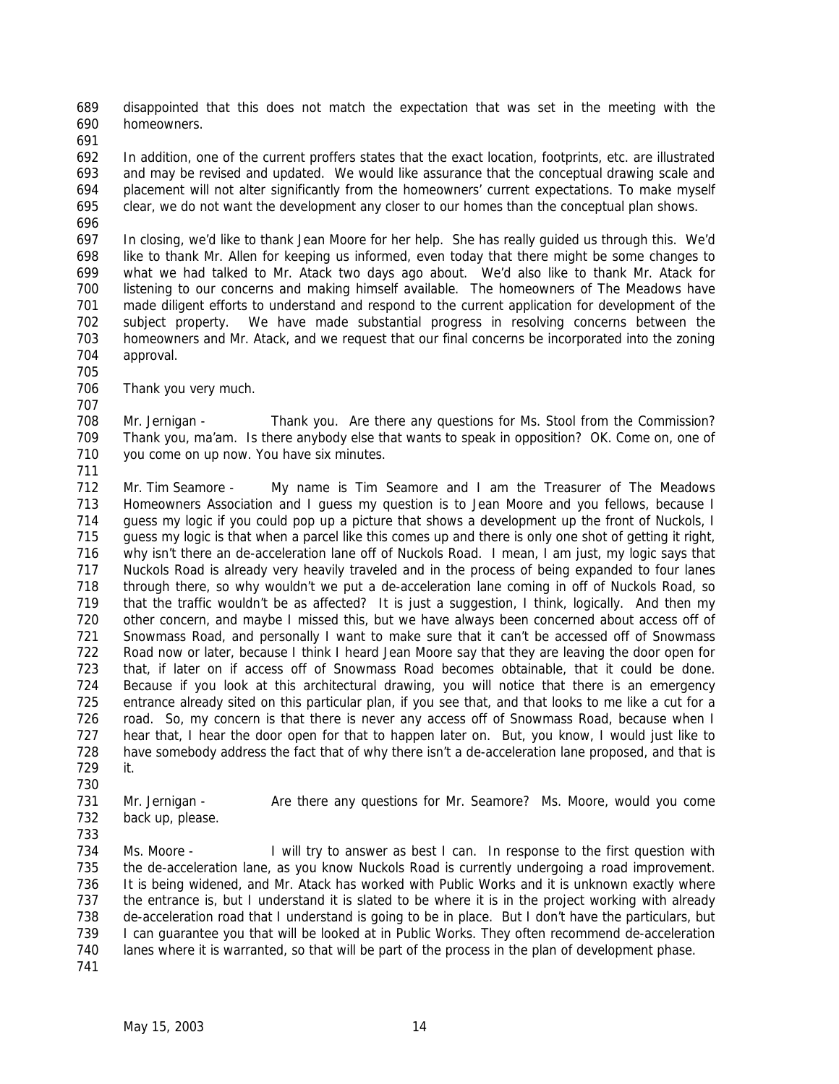disappointed that this does not match the expectation that was set in the meeting with the homeowners.

 In addition, one of the current proffers states that the exact location, footprints, etc. are illustrated and may be revised and updated. We would like assurance that the conceptual drawing scale and placement will not alter significantly from the homeowners' current expectations. To make myself clear, we do not want the development any closer to our homes than the conceptual plan shows.

 In closing, we'd like to thank Jean Moore for her help. She has really guided us through this. We'd like to thank Mr. Allen for keeping us informed, even today that there might be some changes to what we had talked to Mr. Atack two days ago about. We'd also like to thank Mr. Atack for listening to our concerns and making himself available. The homeowners of The Meadows have made diligent efforts to understand and respond to the current application for development of the subject property. We have made substantial progress in resolving concerns between the homeowners and Mr. Atack, and we request that our final concerns be incorporated into the zoning approval.

Thank you very much.

708 Mr. Jernigan - Thank you. Are there any questions for Ms. Stool from the Commission? Thank you, ma'am. Is there anybody else that wants to speak in opposition? OK. Come on, one of you come on up now. You have six minutes.

 Mr. Tim Seamore - My name is Tim Seamore and I am the Treasurer of The Meadows 713 Homeowners Association and I guess my question is to Jean Moore and you fellows, because I guess my logic if you could pop up a picture that shows a development up the front of Nuckols, I guess my logic is that when a parcel like this comes up and there is only one shot of getting it right, why isn't there an de-acceleration lane off of Nuckols Road. I mean, I am just, my logic says that Nuckols Road is already very heavily traveled and in the process of being expanded to four lanes through there, so why wouldn't we put a de-acceleration lane coming in off of Nuckols Road, so that the traffic wouldn't be as affected? It is just a suggestion, I think, logically. And then my other concern, and maybe I missed this, but we have always been concerned about access off of 721 Snowmass Road, and personally I want to make sure that it can't be accessed off of Snowmass Road now or later, because I think I heard Jean Moore say that they are leaving the door open for that, if later on if access off of Snowmass Road becomes obtainable, that it could be done. Because if you look at this architectural drawing, you will notice that there is an emergency entrance already sited on this particular plan, if you see that, and that looks to me like a cut for a road. So, my concern is that there is never any access off of Snowmass Road, because when I hear that, I hear the door open for that to happen later on. But, you know, I would just like to have somebody address the fact that of why there isn't a de-acceleration lane proposed, and that is it.

731 Mr. Jernigan - Are there any questions for Mr. Seamore? Ms. Moore, would you come back up, please.

 734 Ms. Moore - I will try to answer as best I can. In response to the first question with the de-acceleration lane, as you know Nuckols Road is currently undergoing a road improvement. It is being widened, and Mr. Atack has worked with Public Works and it is unknown exactly where the entrance is, but I understand it is slated to be where it is in the project working with already de-acceleration road that I understand is going to be in place. But I don't have the particulars, but 739 I can guarantee you that will be looked at in Public Works. They often recommend de-acceleration lanes where it is warranted, so that will be part of the process in the plan of development phase. 

May 15, 2003 14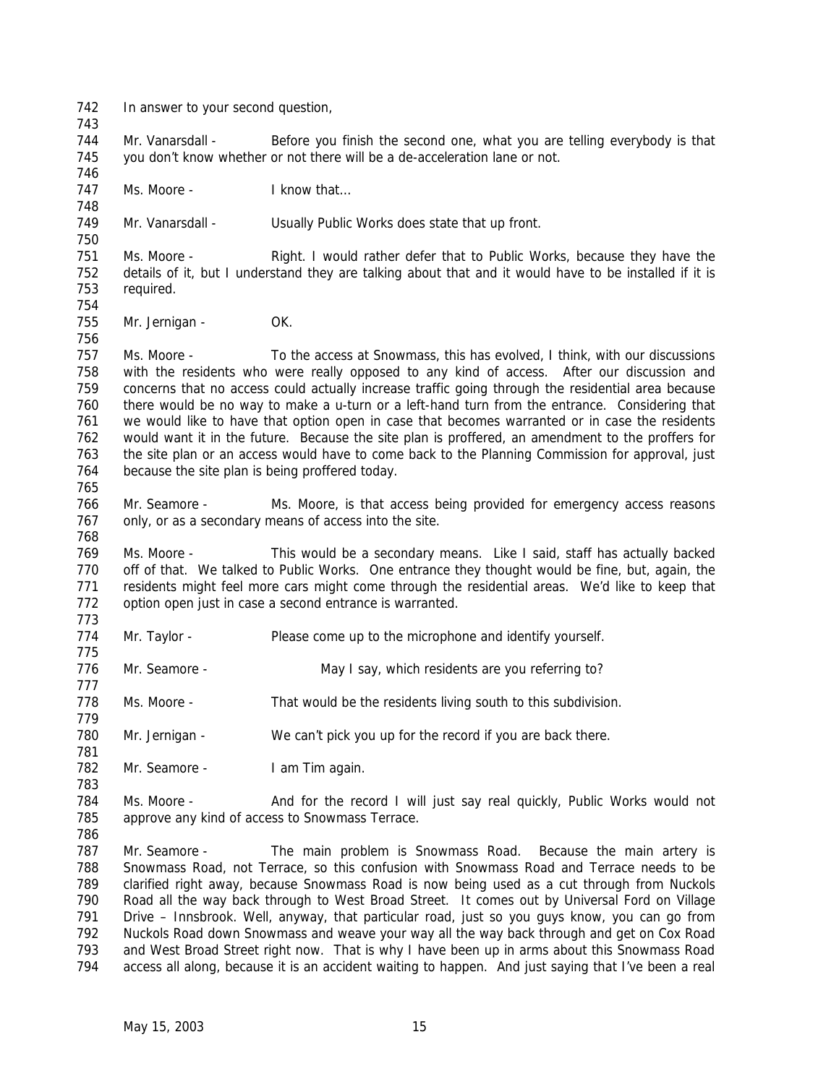In answer to your second question, 744 Mr. Vanarsdall - Before you finish the second one, what you are telling everybody is that you don't know whether or not there will be a de-acceleration lane or not. 747 Ms. Moore - I know that... Mr. Vanarsdall - Usually Public Works does state that up front. Ms. Moore - Right. I would rather defer that to Public Works, because they have the details of it, but I understand they are talking about that and it would have to be installed if it is required. 755 Mr. Jernigan - OK. Ms. Moore - To the access at Snowmass, this has evolved, I think, with our discussions with the residents who were really opposed to any kind of access. After our discussion and concerns that no access could actually increase traffic going through the residential area because there would be no way to make a u-turn or a left-hand turn from the entrance. Considering that we would like to have that option open in case that becomes warranted or in case the residents would want it in the future. Because the site plan is proffered, an amendment to the proffers for the site plan or an access would have to come back to the Planning Commission for approval, just because the site plan is being proffered today. 766 Mr. Seamore - Ms. Moore, is that access being provided for emergency access reasons 767 only, or as a secondary means of access into the site. Ms. Moore - This would be a secondary means. Like I said, staff has actually backed off of that. We talked to Public Works. One entrance they thought would be fine, but, again, the 771 residents might feel more cars might come through the residential areas. We'd like to keep that option open just in case a second entrance is warranted. Mr. Taylor - Please come up to the microphone and identify yourself. 776 Mr. Seamore - May I say, which residents are you referring to? Ms. Moore - That would be the residents living south to this subdivision. Mr. Jernigan - We can't pick you up for the record if you are back there. 782 Mr. Seamore - I am Tim again. 784 Ms. Moore - And for the record I will just say real quickly, Public Works would not approve any kind of access to Snowmass Terrace. 787 Mr. Seamore - The main problem is Snowmass Road. Because the main artery is Snowmass Road, not Terrace, so this confusion with Snowmass Road and Terrace needs to be clarified right away, because Snowmass Road is now being used as a cut through from Nuckols Road all the way back through to West Broad Street. It comes out by Universal Ford on Village Drive – Innsbrook. Well, anyway, that particular road, just so you guys know, you can go from Nuckols Road down Snowmass and weave your way all the way back through and get on Cox Road and West Broad Street right now. That is why I have been up in arms about this Snowmass Road access all along, because it is an accident waiting to happen. And just saying that I've been a real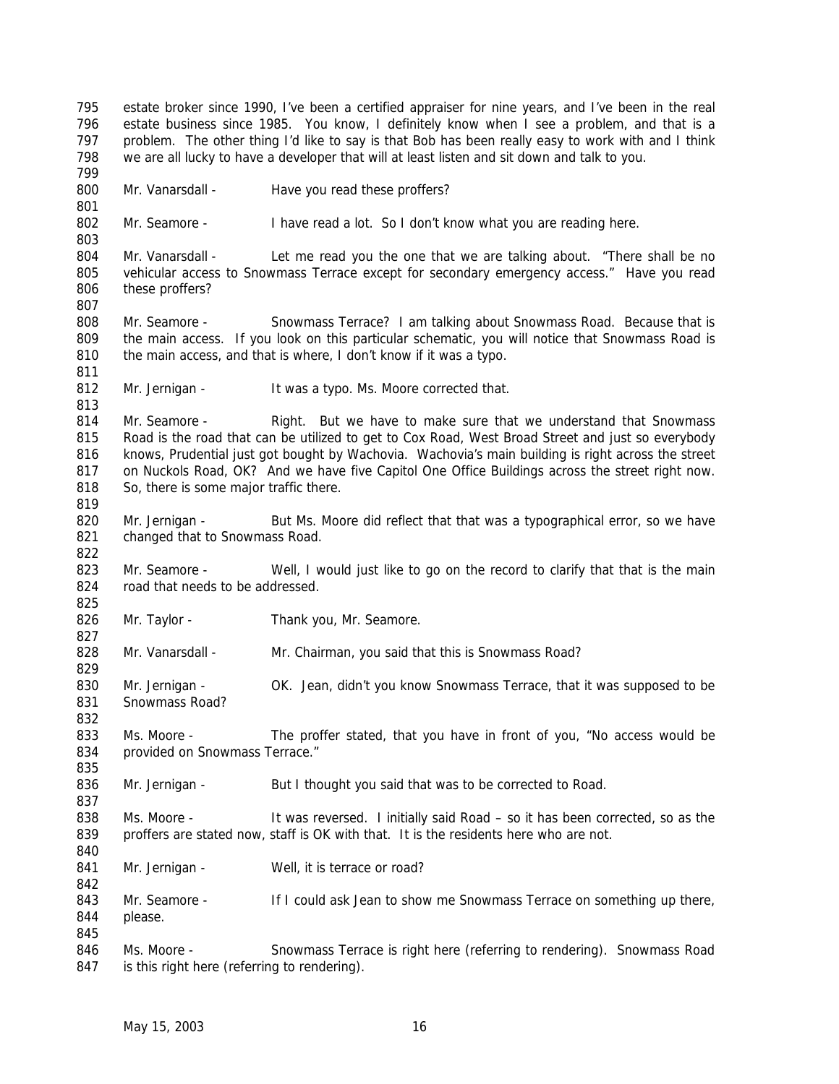estate broker since 1990, I've been a certified appraiser for nine years, and I've been in the real estate business since 1985. You know, I definitely know when I see a problem, and that is a problem. The other thing I'd like to say is that Bob has been really easy to work with and I think we are all lucky to have a developer that will at least listen and sit down and talk to you. 800 Mr. Vanarsdall - Have you read these proffers? Mr. Seamore - I have read a lot. So I don't know what you are reading here. 804 Mr. Vanarsdall - Let me read you the one that we are talking about. "There shall be no vehicular access to Snowmass Terrace except for secondary emergency access." Have you read these proffers? 808 Mr. Seamore - Snowmass Terrace? I am talking about Snowmass Road. Because that is the main access. If you look on this particular schematic, you will notice that Snowmass Road is 810 the main access, and that is where, I don't know if it was a typo. 812 Mr. Jernigan - It was a typo. Ms. Moore corrected that. Mr. Seamore - Right. But we have to make sure that we understand that Snowmass 815 Road is the road that can be utilized to get to Cox Road, West Broad Street and just so everybody knows, Prudential just got bought by Wachovia. Wachovia's main building is right across the street on Nuckols Road, OK? And we have five Capitol One Office Buildings across the street right now. 818 So, there is some major traffic there. 820 Mr. Jernigan - But Ms. Moore did reflect that that was a typographical error, so we have changed that to Snowmass Road. 823 Mr. Seamore - Well, I would just like to go on the record to clarify that that is the main 824 road that needs to be addressed. 826 Mr. Taylor - Thank you, Mr. Seamore. Mr. Vanarsdall - Mr. Chairman, you said that this is Snowmass Road? Mr. Jernigan - OK. Jean, didn't you know Snowmass Terrace, that it was supposed to be Snowmass Road? Ms. Moore - The proffer stated, that you have in front of you, "No access would be 834 provided on Snowmass Terrace." 836 Mr. Jernigan - But I thought you said that was to be corrected to Road. 838 Ms. Moore - It was reversed. I initially said Road – so it has been corrected, so as the proffers are stated now, staff is OK with that. It is the residents here who are not. 841 Mr. Jernigan - Well, it is terrace or road? 843 Mr. Seamore - If I could ask Jean to show me Snowmass Terrace on something up there, please. Ms. Moore - Snowmass Terrace is right here (referring to rendering). Snowmass Road 847 is this right here (referring to rendering).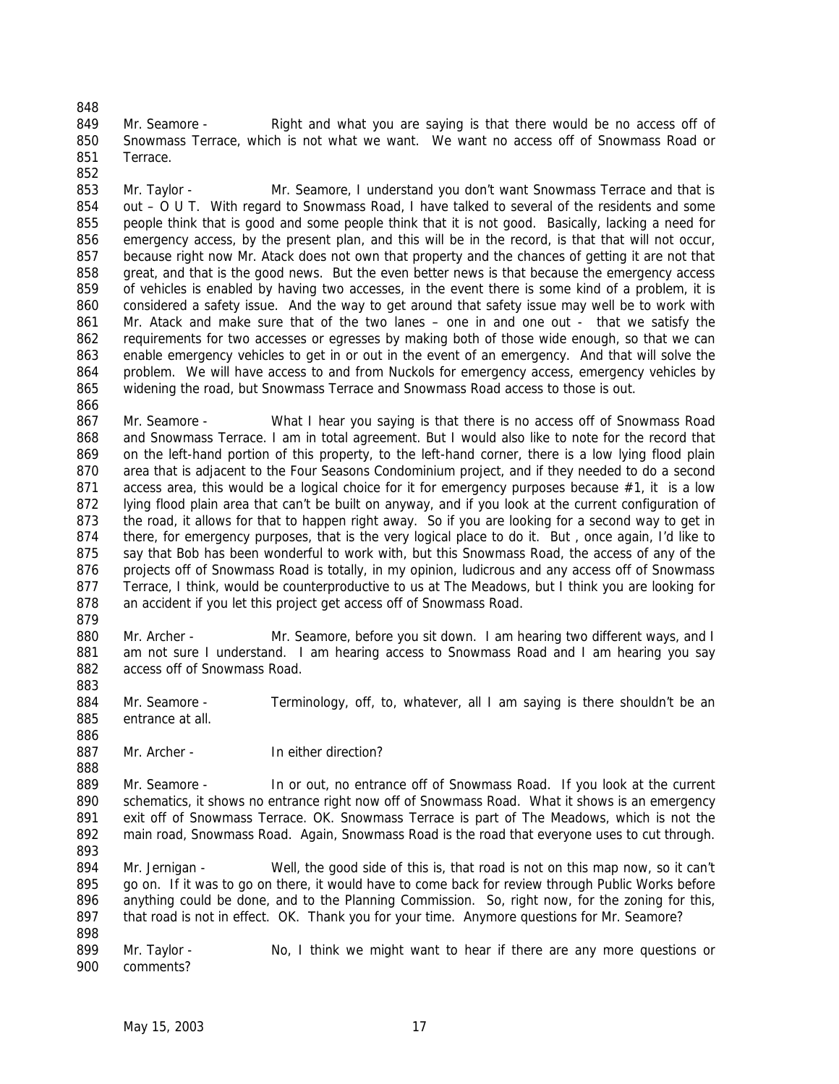849 Mr. Seamore - Right and what you are saying is that there would be no access off of Snowmass Terrace, which is not what we want. We want no access off of Snowmass Road or Terrace.

 Mr. Taylor - Mr. Seamore, I understand you don't want Snowmass Terrace and that is out – O U T. With regard to Snowmass Road, I have talked to several of the residents and some people think that is good and some people think that it is not good. Basically, lacking a need for emergency access, by the present plan, and this will be in the record, is that that will not occur, 857 because right now Mr. Atack does not own that property and the chances of getting it are not that great, and that is the good news. But the even better news is that because the emergency access of vehicles is enabled by having two accesses, in the event there is some kind of a problem, it is considered a safety issue. And the way to get around that safety issue may well be to work with Mr. Atack and make sure that of the two lanes – one in and one out - that we satisfy the requirements for two accesses or egresses by making both of those wide enough, so that we can enable emergency vehicles to get in or out in the event of an emergency. And that will solve the problem. We will have access to and from Nuckols for emergency access, emergency vehicles by widening the road, but Snowmass Terrace and Snowmass Road access to those is out. 

867 Mr. Seamore - What I hear you saying is that there is no access off of Snowmass Road and Snowmass Terrace. I am in total agreement. But I would also like to note for the record that on the left-hand portion of this property, to the left-hand corner, there is a low lying flood plain area that is adjacent to the Four Seasons Condominium project, and if they needed to do a second 871 access area, this would be a logical choice for it for emergency purposes because #1, it is a low 872 lying flood plain area that can't be built on anyway, and if you look at the current configuration of the road, it allows for that to happen right away. So if you are looking for a second way to get in there, for emergency purposes, that is the very logical place to do it. But , once again, I'd like to say that Bob has been wonderful to work with, but this Snowmass Road, the access of any of the 876 projects off of Snowmass Road is totally, in my opinion, ludicrous and any access off of Snowmass Terrace, I think, would be counterproductive to us at The Meadows, but I think you are looking for an accident if you let this project get access off of Snowmass Road.

880 Mr. Archer - Mr. Seamore, before you sit down. I am hearing two different ways, and I am not sure I understand. I am hearing access to Snowmass Road and I am hearing you say access off of Snowmass Road. 

 Mr. Seamore - Terminology, off, to, whatever, all I am saying is there shouldn't be an entrance at all.

887 Mr. Archer - In either direction?

 Mr. Seamore - In or out, no entrance off of Snowmass Road. If you look at the current schematics, it shows no entrance right now off of Snowmass Road. What it shows is an emergency exit off of Snowmass Terrace. OK. Snowmass Terrace is part of The Meadows, which is not the main road, Snowmass Road. Again, Snowmass Road is the road that everyone uses to cut through. 

 Mr. Jernigan - Well, the good side of this is, that road is not on this map now, so it can't go on. If it was to go on there, it would have to come back for review through Public Works before anything could be done, and to the Planning Commission. So, right now, for the zoning for this, 897 that road is not in effect. OK. Thank you for your time. Anymore questions for Mr. Seamore? 

899 Mr. Taylor - No, I think we might want to hear if there are any more questions or comments?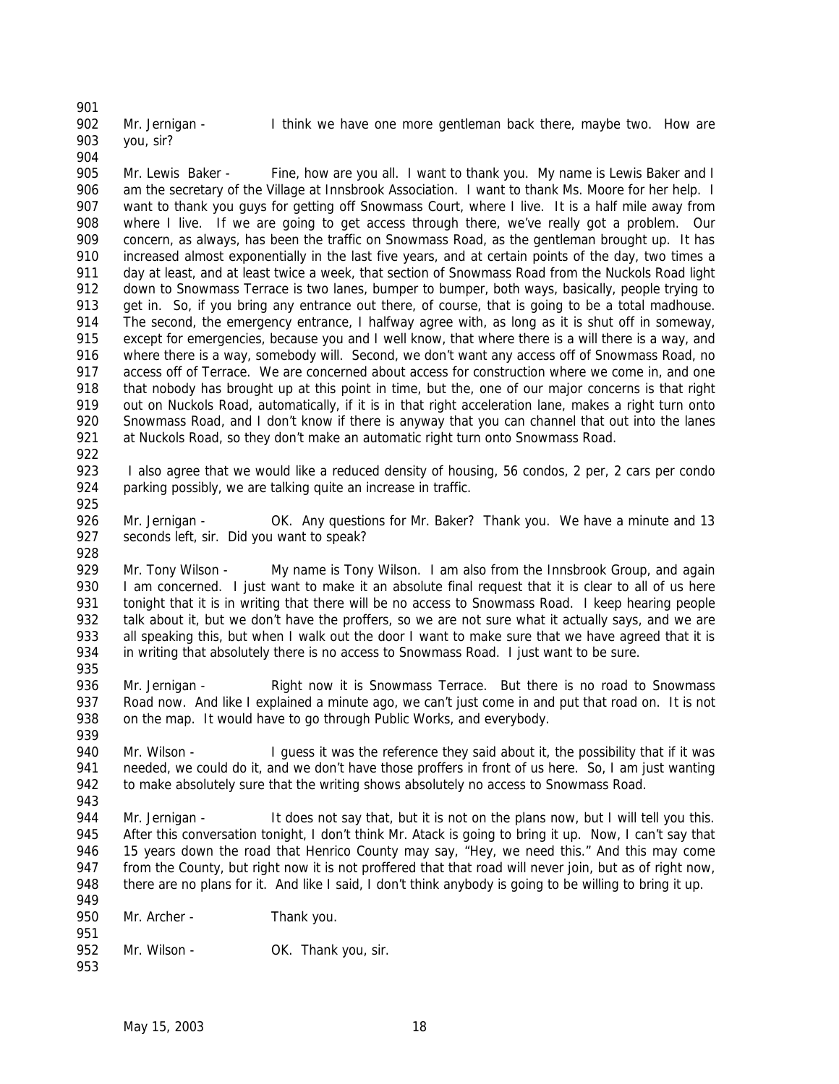Mr. Jernigan - I think we have one more gentleman back there, maybe two. How are you, sir? 

905 Mr. Lewis Baker - Fine, how are you all. I want to thank you. My name is Lewis Baker and I am the secretary of the Village at Innsbrook Association. I want to thank Ms. Moore for her help. I want to thank you guys for getting off Snowmass Court, where I live. It is a half mile away from where I live. If we are going to get access through there, we've really got a problem. Our concern, as always, has been the traffic on Snowmass Road, as the gentleman brought up. It has increased almost exponentially in the last five years, and at certain points of the day, two times a day at least, and at least twice a week, that section of Snowmass Road from the Nuckols Road light down to Snowmass Terrace is two lanes, bumper to bumper, both ways, basically, people trying to get in. So, if you bring any entrance out there, of course, that is going to be a total madhouse. 914 The second, the emergency entrance, I halfway agree with, as long as it is shut off in someway, 915 except for emergencies, because you and I well know, that where there is a will there is a way, and 916 where there is a way, somebody will. Second, we don't want any access off of Snowmass Road, no access off of Terrace. We are concerned about access for construction where we come in, and one that nobody has brought up at this point in time, but the, one of our major concerns is that right out on Nuckols Road, automatically, if it is in that right acceleration lane, makes a right turn onto 920 Snowmass Road, and I don't know if there is anyway that you can channel that out into the lanes at Nuckols Road, so they don't make an automatic right turn onto Snowmass Road.

923 I also agree that we would like a reduced density of housing, 56 condos, 2 per, 2 cars per condo parking possibly, we are talking quite an increase in traffic. 

 Mr. Jernigan - OK. Any questions for Mr. Baker? Thank you. We have a minute and 13 seconds left, sir. Did you want to speak?

929 Mr. Tony Wilson - My name is Tony Wilson. I am also from the Innsbrook Group, and again 930 I am concerned. I just want to make it an absolute final request that it is clear to all of us here tonight that it is in writing that there will be no access to Snowmass Road. I keep hearing people talk about it, but we don't have the proffers, so we are not sure what it actually says, and we are 933 all speaking this, but when I walk out the door I want to make sure that we have agreed that it is in writing that absolutely there is no access to Snowmass Road. I just want to be sure. 

 Mr. Jernigan - Right now it is Snowmass Terrace. But there is no road to Snowmass Road now. And like I explained a minute ago, we can't just come in and put that road on. It is not 938 on the map. It would have to go through Public Works, and everybody.

940 Mr. Wilson - I guess it was the reference they said about it, the possibility that if it was 941 needed, we could do it, and we don't have those proffers in front of us here. So, I am just wanting to make absolutely sure that the writing shows absolutely no access to Snowmass Road. 

944 Mr. Jernigan - It does not say that, but it is not on the plans now, but I will tell you this. After this conversation tonight, I don't think Mr. Atack is going to bring it up. Now, I can't say that 946 15 years down the road that Henrico County may say, "Hey, we need this." And this may come 947 from the County, but right now it is not proffered that that road will never join, but as of right now, there are no plans for it. And like I said, I don't think anybody is going to be willing to bring it up. 

| .<br>950 | Mr. Archer - | Thank you.          |
|----------|--------------|---------------------|
| 951      |              |                     |
| 952      | Mr. Wilson - | OK. Thank you, sir. |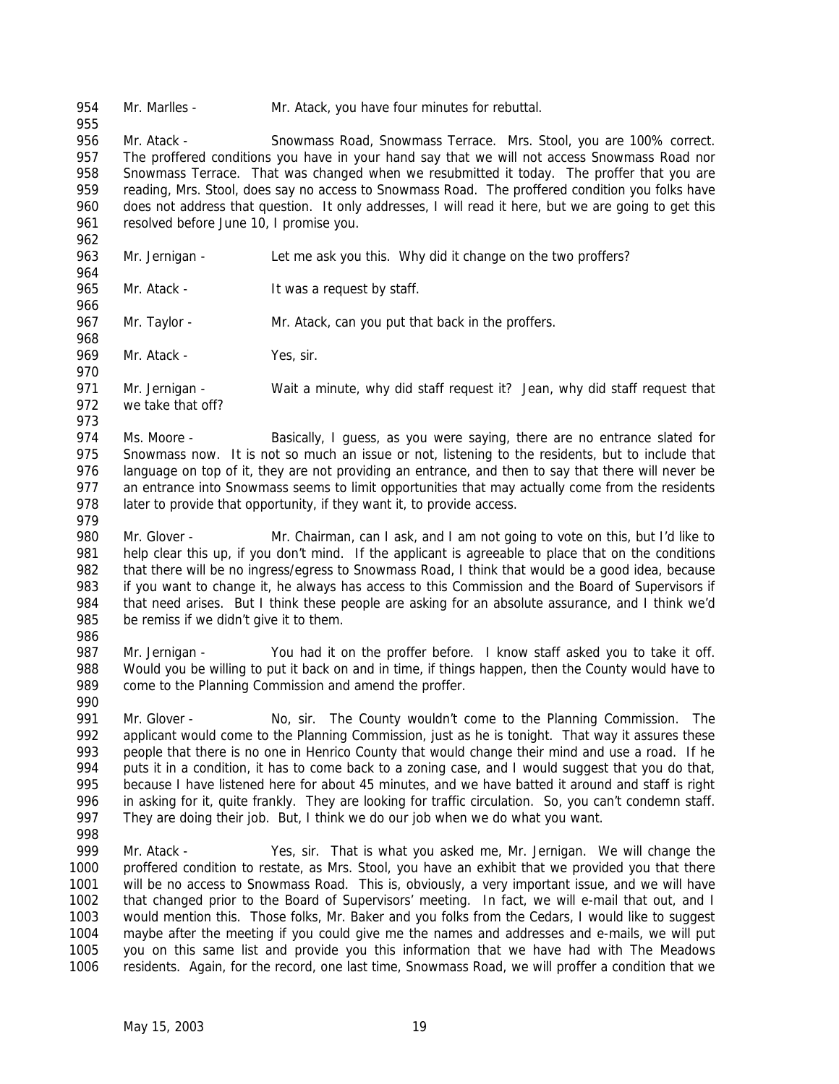Mr. Marlles - Mr. Atack, you have four minutes for rebuttal.

 Mr. Atack - Snowmass Road, Snowmass Terrace. Mrs. Stool, you are 100% correct. 957 The proffered conditions you have in your hand say that we will not access Snowmass Road nor Snowmass Terrace. That was changed when we resubmitted it today. The proffer that you are reading, Mrs. Stool, does say no access to Snowmass Road. The proffered condition you folks have does not address that question. It only addresses, I will read it here, but we are going to get this 961 resolved before June 10, I promise you.

- Mr. Jernigan Let me ask you this. Why did it change on the two proffers?
- 

965 Mr. Atack - It was a request by staff. 

967 Mr. Taylor - Mr. Atack, can you put that back in the proffers. 

969 Mr. Atack - Yes, sir.

 Mr. Jernigan - Wait a minute, why did staff request it? Jean, why did staff request that we take that off? 

- 974 Ms. Moore Basically, I guess, as you were saying, there are no entrance slated for 975 Snowmass now. It is not so much an issue or not, listening to the residents, but to include that language on top of it, they are not providing an entrance, and then to say that there will never be 977 an entrance into Snowmass seems to limit opportunities that may actually come from the residents 978 later to provide that opportunity, if they want it, to provide access.
- 980 Mr. Glover Mr. Chairman, can I ask, and I am not going to vote on this, but I'd like to help clear this up, if you don't mind. If the applicant is agreeable to place that on the conditions that there will be no ingress/egress to Snowmass Road, I think that would be a good idea, because 983 if you want to change it, he always has access to this Commission and the Board of Supervisors if that need arises. But I think these people are asking for an absolute assurance, and I think we'd 985 be remiss if we didn't give it to them.
- 

987 Mr. Jernigan - You had it on the proffer before. I know staff asked you to take it off. Would you be willing to put it back on and in time, if things happen, then the County would have to come to the Planning Commission and amend the proffer. 

 Mr. Glover - No, sir. The County wouldn't come to the Planning Commission. The applicant would come to the Planning Commission, just as he is tonight. That way it assures these people that there is no one in Henrico County that would change their mind and use a road. If he puts it in a condition, it has to come back to a zoning case, and I would suggest that you do that, because I have listened here for about 45 minutes, and we have batted it around and staff is right in asking for it, quite frankly. They are looking for traffic circulation. So, you can't condemn staff. They are doing their job. But, I think we do our job when we do what you want.

999 Mr. Atack - Yes, sir. That is what you asked me, Mr. Jernigan. We will change the proffered condition to restate, as Mrs. Stool, you have an exhibit that we provided you that there will be no access to Snowmass Road. This is, obviously, a very important issue, and we will have that changed prior to the Board of Supervisors' meeting. In fact, we will e-mail that out, and I would mention this. Those folks, Mr. Baker and you folks from the Cedars, I would like to suggest maybe after the meeting if you could give me the names and addresses and e-mails, we will put you on this same list and provide you this information that we have had with The Meadows residents. Again, for the record, one last time, Snowmass Road, we will proffer a condition that we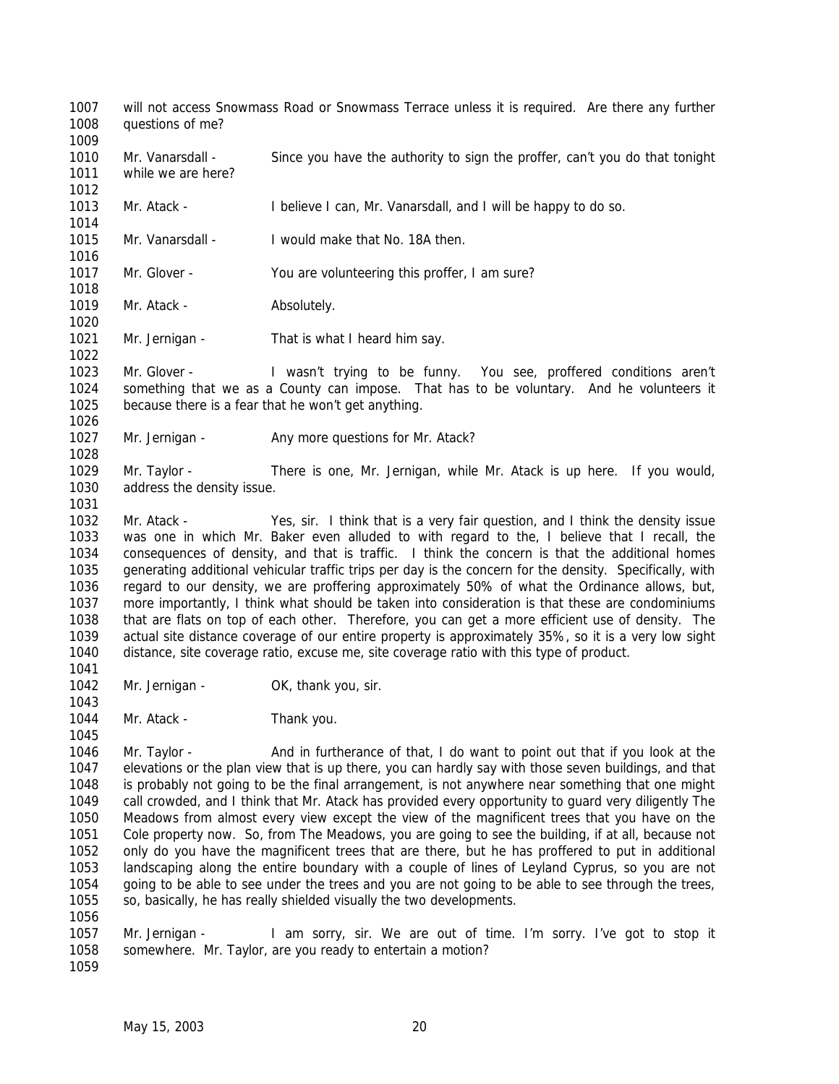will not access Snowmass Road or Snowmass Terrace unless it is required. Are there any further questions of me? 

 Mr. Vanarsdall - Since you have the authority to sign the proffer, can't you do that tonight while we are here?

 Mr. Atack - I believe I can, Mr. Vanarsdall, and I will be happy to do so. 

 Mr. Vanarsdall - I would make that No. 18A then. 

Mr. Glover - You are volunteering this proffer, I am sure?

1019 Mr. Atack - Absolutely.

1021 Mr. Jernigan - That is what I heard him say.

 Mr. Glover - I wasn't trying to be funny. You see, proffered conditions aren't something that we as a County can impose. That has to be voluntary. And he volunteers it because there is a fear that he won't get anything. 

1027 Mr. Jernigan - Any more questions for Mr. Atack?

 Mr. Taylor - There is one, Mr. Jernigan, while Mr. Atack is up here. If you would, address the density issue. 

 Mr. Atack - Yes, sir. I think that is a very fair question, and I think the density issue was one in which Mr. Baker even alluded to with regard to the, I believe that I recall, the consequences of density, and that is traffic. I think the concern is that the additional homes generating additional vehicular traffic trips per day is the concern for the density. Specifically, with regard to our density, we are proffering approximately 50% of what the Ordinance allows, but, more importantly, I think what should be taken into consideration is that these are condominiums that are flats on top of each other. Therefore, you can get a more efficient use of density. The actual site distance coverage of our entire property is approximately 35%, so it is a very low sight distance, site coverage ratio, excuse me, site coverage ratio with this type of product.

1042 Mr. Jernigan - OK, thank you, sir.

1044 Mr. Atack - Thank you.

 Mr. Taylor - And in furtherance of that, I do want to point out that if you look at the elevations or the plan view that is up there, you can hardly say with those seven buildings, and that is probably not going to be the final arrangement, is not anywhere near something that one might call crowded, and I think that Mr. Atack has provided every opportunity to guard very diligently The Meadows from almost every view except the view of the magnificent trees that you have on the Cole property now. So, from The Meadows, you are going to see the building, if at all, because not only do you have the magnificent trees that are there, but he has proffered to put in additional landscaping along the entire boundary with a couple of lines of Leyland Cyprus, so you are not going to be able to see under the trees and you are not going to be able to see through the trees, so, basically, he has really shielded visually the two developments. 

1057 Mr. Jernigan - I am sorry, sir. We are out of time. I'm sorry. I've got to stop it somewhere. Mr. Taylor, are you ready to entertain a motion? 

May 15, 2003 20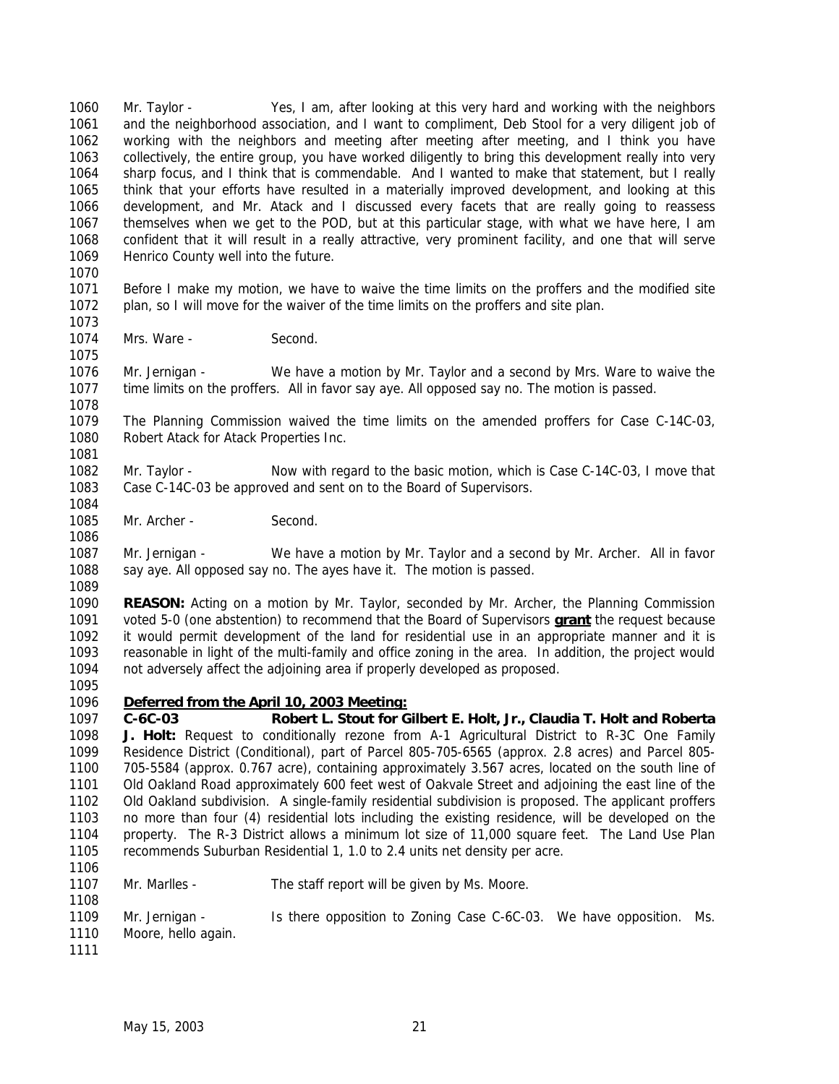Mr. Taylor - Yes, I am, after looking at this very hard and working with the neighbors and the neighborhood association, and I want to compliment, Deb Stool for a very diligent job of working with the neighbors and meeting after meeting after meeting, and I think you have collectively, the entire group, you have worked diligently to bring this development really into very sharp focus, and I think that is commendable. And I wanted to make that statement, but I really think that your efforts have resulted in a materially improved development, and looking at this development, and Mr. Atack and I discussed every facets that are really going to reassess themselves when we get to the POD, but at this particular stage, with what we have here, I am confident that it will result in a really attractive, very prominent facility, and one that will serve Henrico County well into the future.

 Before I make my motion, we have to waive the time limits on the proffers and the modified site plan, so I will move for the waiver of the time limits on the proffers and site plan.

1074 Mrs. Ware - Second.

 Mr. Jernigan - We have a motion by Mr. Taylor and a second by Mrs. Ware to waive the time limits on the proffers. All in favor say aye. All opposed say no. The motion is passed.

 The Planning Commission waived the time limits on the amended proffers for Case C-14C-03, Robert Atack for Atack Properties Inc.

- 
- Mr. Taylor Now with regard to the basic motion, which is Case C-14C-03, I move that Case C-14C-03 be approved and sent on to the Board of Supervisors.
- 1085 Mr. Archer Second.

 Mr. Jernigan - We have a motion by Mr. Taylor and a second by Mr. Archer. All in favor 1088 say aye. All opposed say no. The ayes have it. The motion is passed.

 **REASON:** Acting on a motion by Mr. Taylor, seconded by Mr. Archer, the Planning Commission voted 5-0 (one abstention) to recommend that the Board of Supervisors **grant** the request because it would permit development of the land for residential use in an appropriate manner and it is reasonable in light of the multi-family and office zoning in the area. In addition, the project would not adversely affect the adjoining area if properly developed as proposed.

## *Deferred from the April 10, 2003 Meeting:*

 **C-6C-03 Robert L. Stout for Gilbert E. Holt, Jr., Claudia T. Holt and Roberta J. Holt:** Request to conditionally rezone from A-1 Agricultural District to R-3C One Family Residence District (Conditional), part of Parcel 805-705-6565 (approx. 2.8 acres) and Parcel 805- 705-5584 (approx. 0.767 acre), containing approximately 3.567 acres, located on the south line of Old Oakland Road approximately 600 feet west of Oakvale Street and adjoining the east line of the Old Oakland subdivision. A single-family residential subdivision is proposed. The applicant proffers no more than four (4) residential lots including the existing residence, will be developed on the property. The R-3 District allows a minimum lot size of 11,000 square feet. The Land Use Plan recommends Suburban Residential 1, 1.0 to 2.4 units net density per acre. 

1107 Mr. Marlles - The staff report will be given by Ms. Moore.

 Mr. Jernigan - Is there opposition to Zoning Case C-6C-03. We have opposition. Ms. Moore, hello again.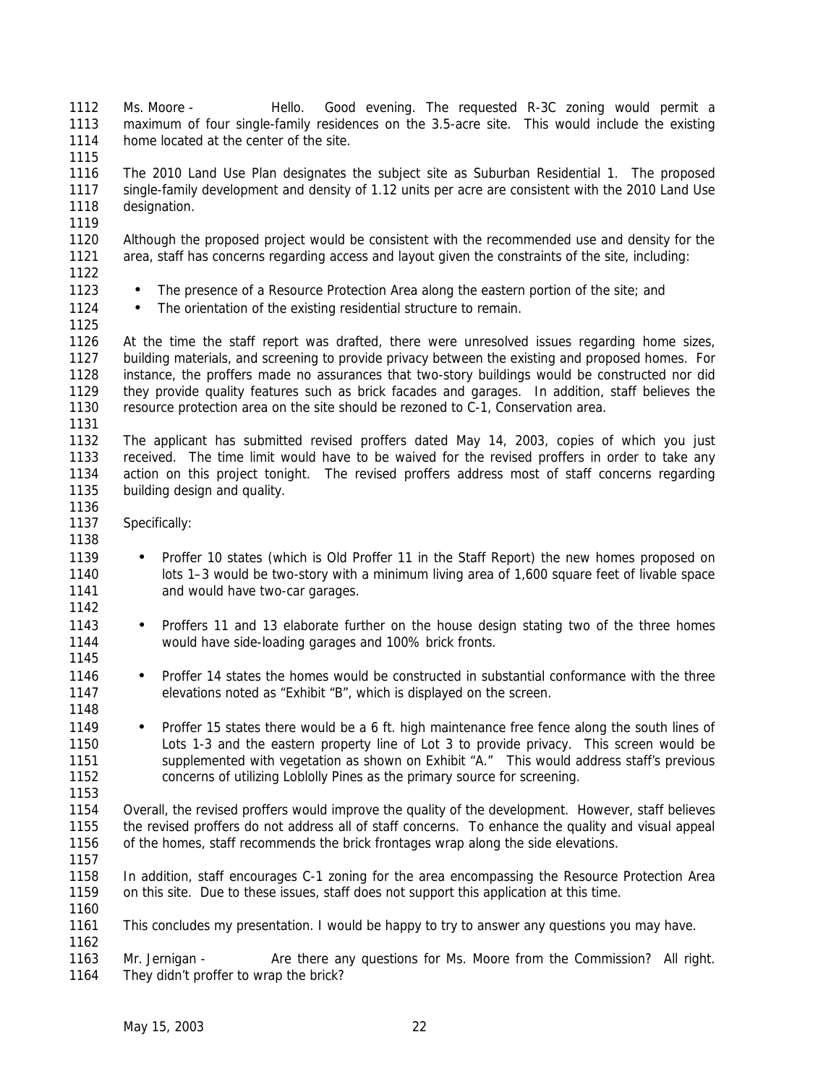Ms. Moore - Hello. Good evening. The requested R-3C zoning would permit a maximum of four single-family residences on the 3.5-acre site. This would include the existing home located at the center of the site. 

 The 2010 Land Use Plan designates the subject site as Suburban Residential 1. The proposed single-family development and density of 1.12 units per acre are consistent with the 2010 Land Use designation.

 Although the proposed project would be consistent with the recommended use and density for the area, staff has concerns regarding access and layout given the constraints of the site, including:

- 1123 The presence of a Resource Protection Area along the eastern portion of the site; and
- 1124 The orientation of the existing residential structure to remain.

 At the time the staff report was drafted, there were unresolved issues regarding home sizes, building materials, and screening to provide privacy between the existing and proposed homes. For instance, the proffers made no assurances that two-story buildings would be constructed nor did they provide quality features such as brick facades and garages. In addition, staff believes the resource protection area on the site should be rezoned to C-1, Conservation area.

 The applicant has submitted revised proffers dated May 14, 2003, copies of which you just received. The time limit would have to be waived for the revised proffers in order to take any action on this project tonight. The revised proffers address most of staff concerns regarding building design and quality.

- Specifically:
- 1139 Proffer 10 states (which is Old Proffer 11 in the Staff Report) the new homes proposed on lots 1–3 would be two-story with a minimum living area of 1,600 square feet of livable space **and would have two-car garages.**
- 1143 Proffers 11 and 13 elaborate further on the house design stating two of the three homes would have side-loading garages and 100% brick fronts.
- Proffer 14 states the homes would be constructed in substantial conformance with the three elevations noted as "Exhibit "B", which is displayed on the screen.
- 1149 Proffer 15 states there would be a 6 ft. high maintenance free fence along the south lines of Lots 1-3 and the eastern property line of Lot 3 to provide privacy. This screen would be 1151 supplemented with vegetation as shown on Exhibit "A." This would address staff's previous concerns of utilizing Loblolly Pines as the primary source for screening.

 Overall, the revised proffers would improve the quality of the development. However, staff believes the revised proffers do not address all of staff concerns. To enhance the quality and visual appeal 1156 of the homes, staff recommends the brick frontages wrap along the side elevations.

 In addition, staff encourages C-1 zoning for the area encompassing the Resource Protection Area on this site. Due to these issues, staff does not support this application at this time.

- This concludes my presentation. I would be happy to try to answer any questions you may have.
- Mr. Jernigan Are there any questions for Ms. Moore from the Commission? All right. They didn't proffer to wrap the brick?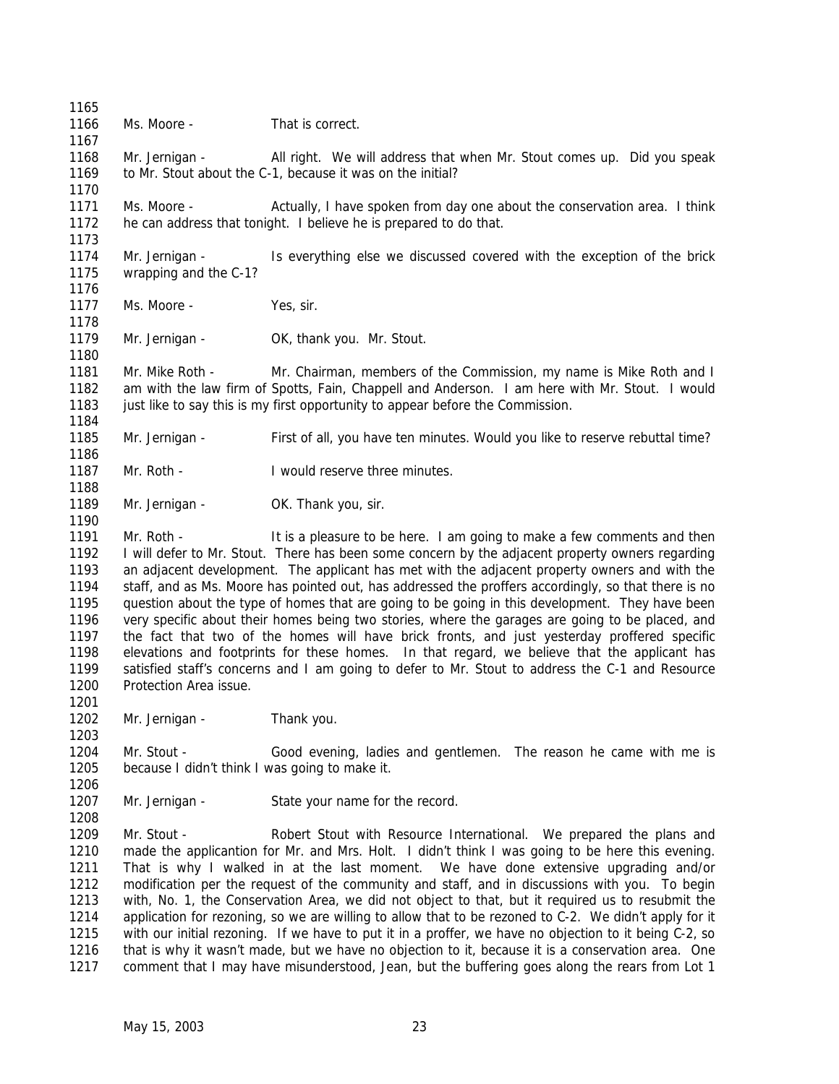1166 Ms. Moore - That is correct. 1168 Mr. Jernigan - All right. We will address that when Mr. Stout comes up. Did you speak 1169 to Mr. Stout about the C-1, because it was on the initial? Ms. Moore - Actually, I have spoken from day one about the conservation area. I think he can address that tonight. I believe he is prepared to do that. Mr. Jernigan - Is everything else we discussed covered with the exception of the brick wrapping and the C-1? 1177 Ms. Moore - Yes, sir. 1179 Mr. Jernigan - OK, thank you. Mr. Stout. Mr. Mike Roth - Mr. Chairman, members of the Commission, my name is Mike Roth and I am with the law firm of Spotts, Fain, Chappell and Anderson. I am here with Mr. Stout. I would 1183 just like to say this is my first opportunity to appear before the Commission. Mr. Jernigan - First of all, you have ten minutes. Would you like to reserve rebuttal time? 1187 Mr. Roth - I would reserve three minutes. 1189 Mr. Jernigan - OK. Thank you, sir. 1191 Mr. Roth - It is a pleasure to be here. I am going to make a few comments and then I will defer to Mr. Stout. There has been some concern by the adjacent property owners regarding an adjacent development. The applicant has met with the adjacent property owners and with the staff, and as Ms. Moore has pointed out, has addressed the proffers accordingly, so that there is no question about the type of homes that are going to be going in this development. They have been very specific about their homes being two stories, where the garages are going to be placed, and the fact that two of the homes will have brick fronts, and just yesterday proffered specific elevations and footprints for these homes. In that regard, we believe that the applicant has satisfied staff's concerns and I am going to defer to Mr. Stout to address the C-1 and Resource Protection Area issue. 1202 Mr. Jernigan - Thank you. Mr. Stout - Good evening, ladies and gentlemen. The reason he came with me is because I didn't think I was going to make it. 1207 Mr. Jernigan - State your name for the record. Mr. Stout - Robert Stout with Resource International. We prepared the plans and made the applicantion for Mr. and Mrs. Holt. I didn't think I was going to be here this evening. That is why I walked in at the last moment. We have done extensive upgrading and/or

 modification per the request of the community and staff, and in discussions with you. To begin with, No. 1, the Conservation Area, we did not object to that, but it required us to resubmit the application for rezoning, so we are willing to allow that to be rezoned to C-2. We didn't apply for it with our initial rezoning. If we have to put it in a proffer, we have no objection to it being C-2, so that is why it wasn't made, but we have no objection to it, because it is a conservation area. One comment that I may have misunderstood, Jean, but the buffering goes along the rears from Lot 1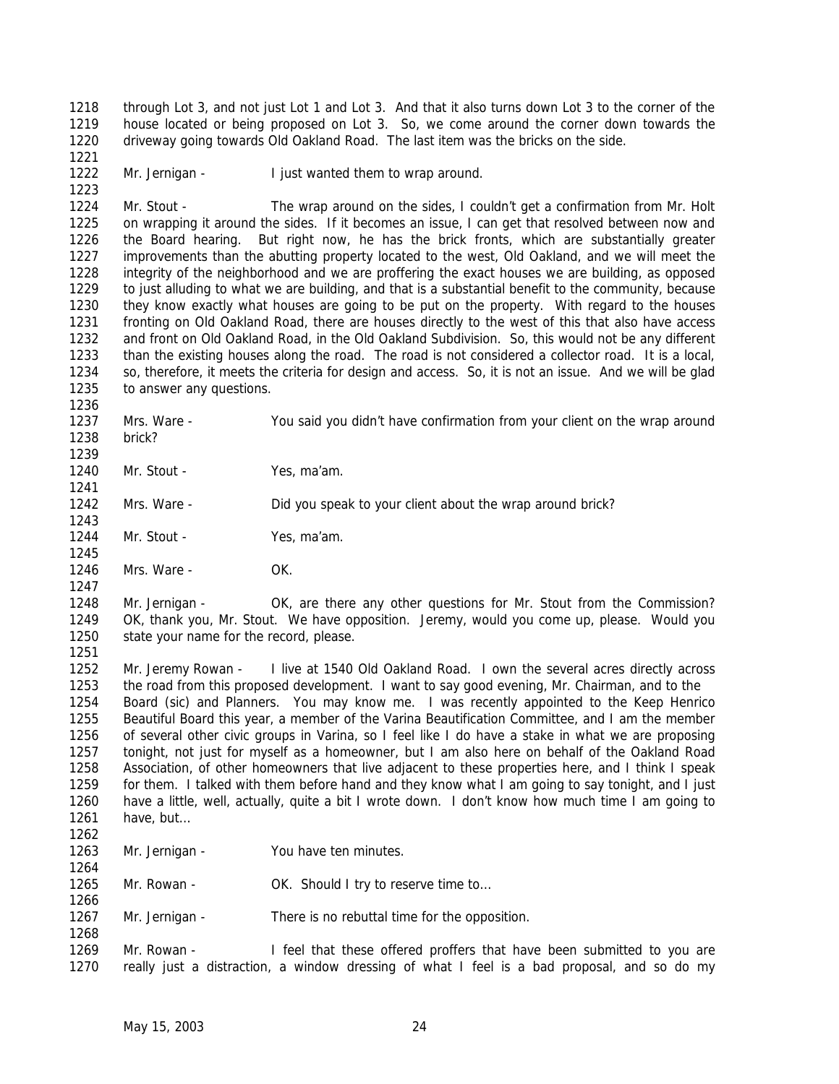through Lot 3, and not just Lot 1 and Lot 3. And that it also turns down Lot 3 to the corner of the house located or being proposed on Lot 3. So, we come around the corner down towards the driveway going towards Old Oakland Road. The last item was the bricks on the side. 

1222 Mr. Jernigan - I just wanted them to wrap around. 

 Mr. Stout - The wrap around on the sides, I couldn't get a confirmation from Mr. Holt on wrapping it around the sides. If it becomes an issue, I can get that resolved between now and the Board hearing. But right now, he has the brick fronts, which are substantially greater improvements than the abutting property located to the west, Old Oakland, and we will meet the integrity of the neighborhood and we are proffering the exact houses we are building, as opposed to just alluding to what we are building, and that is a substantial benefit to the community, because they know exactly what houses are going to be put on the property. With regard to the houses fronting on Old Oakland Road, there are houses directly to the west of this that also have access and front on Old Oakland Road, in the Old Oakland Subdivision. So, this would not be any different than the existing houses along the road. The road is not considered a collector road. It is a local, so, therefore, it meets the criteria for design and access. So, it is not an issue. And we will be glad to answer any questions.

- Mrs. Ware You said you didn't have confirmation from your client on the wrap around brick?
- 

- 1240 Mr. Stout Yes, ma'am.
- 1242 Mrs. Ware Did you speak to your client about the wrap around brick?
- 1244 Mr. Stout Yes, ma'am.
- Mrs. Ware OK.
- 

 Mr. Jernigan - OK, are there any other questions for Mr. Stout from the Commission? OK, thank you, Mr. Stout. We have opposition. Jeremy, would you come up, please. Would you state your name for the record, please.

1252 Mr. Jeremy Rowan - I live at 1540 Old Oakland Road. I own the several acres directly across the road from this proposed development. I want to say good evening, Mr. Chairman, and to the Board (sic) and Planners. You may know me. I was recently appointed to the Keep Henrico Beautiful Board this year, a member of the Varina Beautification Committee, and I am the member of several other civic groups in Varina, so I feel like I do have a stake in what we are proposing tonight, not just for myself as a homeowner, but I am also here on behalf of the Oakland Road Association, of other homeowners that live adjacent to these properties here, and I think I speak for them. I talked with them before hand and they know what I am going to say tonight, and I just have a little, well, actually, quite a bit I wrote down. I don't know how much time I am going to have, but… 

1263 Mr. Jernigan - You have ten minutes.

1265 Mr. Rowan - OK. Should I try to reserve time to...

1267 Mr. Jernigan - There is no rebuttal time for the opposition.

 Mr. Rowan - I feel that these offered proffers that have been submitted to you are really just a distraction, a window dressing of what I feel is a bad proposal, and so do my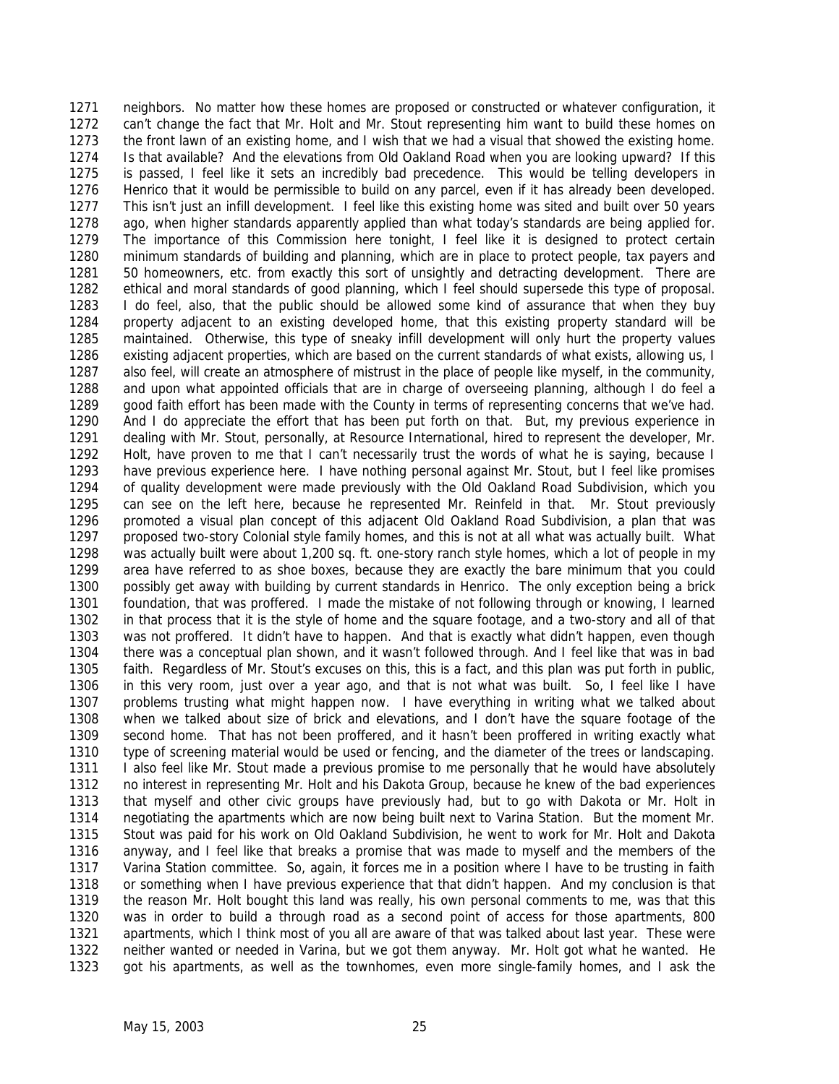neighbors. No matter how these homes are proposed or constructed or whatever configuration, it can't change the fact that Mr. Holt and Mr. Stout representing him want to build these homes on the front lawn of an existing home, and I wish that we had a visual that showed the existing home. Is that available? And the elevations from Old Oakland Road when you are looking upward? If this is passed, I feel like it sets an incredibly bad precedence. This would be telling developers in Henrico that it would be permissible to build on any parcel, even if it has already been developed. This isn't just an infill development. I feel like this existing home was sited and built over 50 years ago, when higher standards apparently applied than what today's standards are being applied for. The importance of this Commission here tonight, I feel like it is designed to protect certain minimum standards of building and planning, which are in place to protect people, tax payers and 50 homeowners, etc. from exactly this sort of unsightly and detracting development. There are ethical and moral standards of good planning, which I feel should supersede this type of proposal. I do feel, also, that the public should be allowed some kind of assurance that when they buy property adjacent to an existing developed home, that this existing property standard will be maintained. Otherwise, this type of sneaky infill development will only hurt the property values existing adjacent properties, which are based on the current standards of what exists, allowing us, I also feel, will create an atmosphere of mistrust in the place of people like myself, in the community, and upon what appointed officials that are in charge of overseeing planning, although I do feel a good faith effort has been made with the County in terms of representing concerns that we've had. And I do appreciate the effort that has been put forth on that. But, my previous experience in dealing with Mr. Stout, personally, at Resource International, hired to represent the developer, Mr. Holt, have proven to me that I can't necessarily trust the words of what he is saying, because I have previous experience here. I have nothing personal against Mr. Stout, but I feel like promises of quality development were made previously with the Old Oakland Road Subdivision, which you can see on the left here, because he represented Mr. Reinfeld in that. Mr. Stout previously promoted a visual plan concept of this adjacent Old Oakland Road Subdivision, a plan that was proposed two-story Colonial style family homes, and this is not at all what was actually built. What was actually built were about 1,200 sq. ft. one-story ranch style homes, which a lot of people in my area have referred to as shoe boxes, because they are exactly the bare minimum that you could possibly get away with building by current standards in Henrico. The only exception being a brick foundation, that was proffered. I made the mistake of not following through or knowing, I learned in that process that it is the style of home and the square footage, and a two-story and all of that was not proffered. It didn't have to happen. And that is exactly what didn't happen, even though there was a conceptual plan shown, and it wasn't followed through. And I feel like that was in bad faith. Regardless of Mr. Stout's excuses on this, this is a fact, and this plan was put forth in public, in this very room, just over a year ago, and that is not what was built. So, I feel like I have problems trusting what might happen now. I have everything in writing what we talked about when we talked about size of brick and elevations, and I don't have the square footage of the second home. That has not been proffered, and it hasn't been proffered in writing exactly what type of screening material would be used or fencing, and the diameter of the trees or landscaping. 1311 I also feel like Mr. Stout made a previous promise to me personally that he would have absolutely no interest in representing Mr. Holt and his Dakota Group, because he knew of the bad experiences that myself and other civic groups have previously had, but to go with Dakota or Mr. Holt in negotiating the apartments which are now being built next to Varina Station. But the moment Mr. Stout was paid for his work on Old Oakland Subdivision, he went to work for Mr. Holt and Dakota anyway, and I feel like that breaks a promise that was made to myself and the members of the Varina Station committee. So, again, it forces me in a position where I have to be trusting in faith or something when I have previous experience that that didn't happen. And my conclusion is that the reason Mr. Holt bought this land was really, his own personal comments to me, was that this was in order to build a through road as a second point of access for those apartments, 800 apartments, which I think most of you all are aware of that was talked about last year. These were neither wanted or needed in Varina, but we got them anyway. Mr. Holt got what he wanted. He got his apartments, as well as the townhomes, even more single-family homes, and I ask the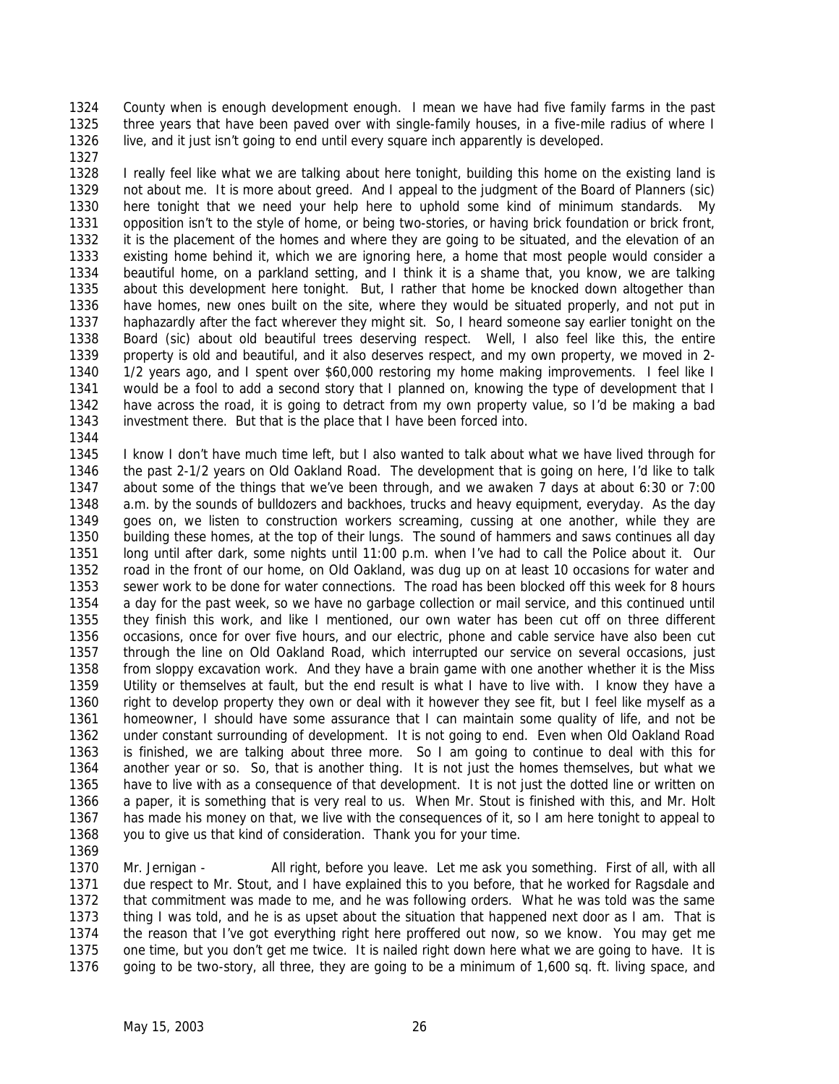County when is enough development enough. I mean we have had five family farms in the past three years that have been paved over with single-family houses, in a five-mile radius of where I live, and it just isn't going to end until every square inch apparently is developed.

 I really feel like what we are talking about here tonight, building this home on the existing land is not about me. It is more about greed. And I appeal to the judgment of the Board of Planners (sic) here tonight that we need your help here to uphold some kind of minimum standards. My opposition isn't to the style of home, or being two-stories, or having brick foundation or brick front, it is the placement of the homes and where they are going to be situated, and the elevation of an existing home behind it, which we are ignoring here, a home that most people would consider a beautiful home, on a parkland setting, and I think it is a shame that, you know, we are talking about this development here tonight. But, I rather that home be knocked down altogether than have homes, new ones built on the site, where they would be situated properly, and not put in haphazardly after the fact wherever they might sit. So, I heard someone say earlier tonight on the Board (sic) about old beautiful trees deserving respect. Well, I also feel like this, the entire property is old and beautiful, and it also deserves respect, and my own property, we moved in 2- 1/2 years ago, and I spent over \$60,000 restoring my home making improvements. I feel like I would be a fool to add a second story that I planned on, knowing the type of development that I have across the road, it is going to detract from my own property value, so I'd be making a bad investment there. But that is the place that I have been forced into.

 I know I don't have much time left, but I also wanted to talk about what we have lived through for the past 2-1/2 years on Old Oakland Road. The development that is going on here, I'd like to talk about some of the things that we've been through, and we awaken 7 days at about 6:30 or 7:00 a.m. by the sounds of bulldozers and backhoes, trucks and heavy equipment, everyday. As the day goes on, we listen to construction workers screaming, cussing at one another, while they are building these homes, at the top of their lungs. The sound of hammers and saws continues all day long until after dark, some nights until 11:00 p.m. when I've had to call the Police about it. Our road in the front of our home, on Old Oakland, was dug up on at least 10 occasions for water and sewer work to be done for water connections. The road has been blocked off this week for 8 hours a day for the past week, so we have no garbage collection or mail service, and this continued until they finish this work, and like I mentioned, our own water has been cut off on three different occasions, once for over five hours, and our electric, phone and cable service have also been cut through the line on Old Oakland Road, which interrupted our service on several occasions, just from sloppy excavation work. And they have a brain game with one another whether it is the Miss Utility or themselves at fault, but the end result is what I have to live with. I know they have a right to develop property they own or deal with it however they see fit, but I feel like myself as a homeowner, I should have some assurance that I can maintain some quality of life, and not be under constant surrounding of development. It is not going to end. Even when Old Oakland Road is finished, we are talking about three more. So I am going to continue to deal with this for another year or so. So, that is another thing. It is not just the homes themselves, but what we have to live with as a consequence of that development. It is not just the dotted line or written on a paper, it is something that is very real to us. When Mr. Stout is finished with this, and Mr. Holt has made his money on that, we live with the consequences of it, so I am here tonight to appeal to you to give us that kind of consideration. Thank you for your time.

 Mr. Jernigan - All right, before you leave. Let me ask you something. First of all, with all due respect to Mr. Stout, and I have explained this to you before, that he worked for Ragsdale and that commitment was made to me, and he was following orders. What he was told was the same thing I was told, and he is as upset about the situation that happened next door as I am. That is the reason that I've got everything right here proffered out now, so we know. You may get me one time, but you don't get me twice. It is nailed right down here what we are going to have. It is going to be two-story, all three, they are going to be a minimum of 1,600 sq. ft. living space, and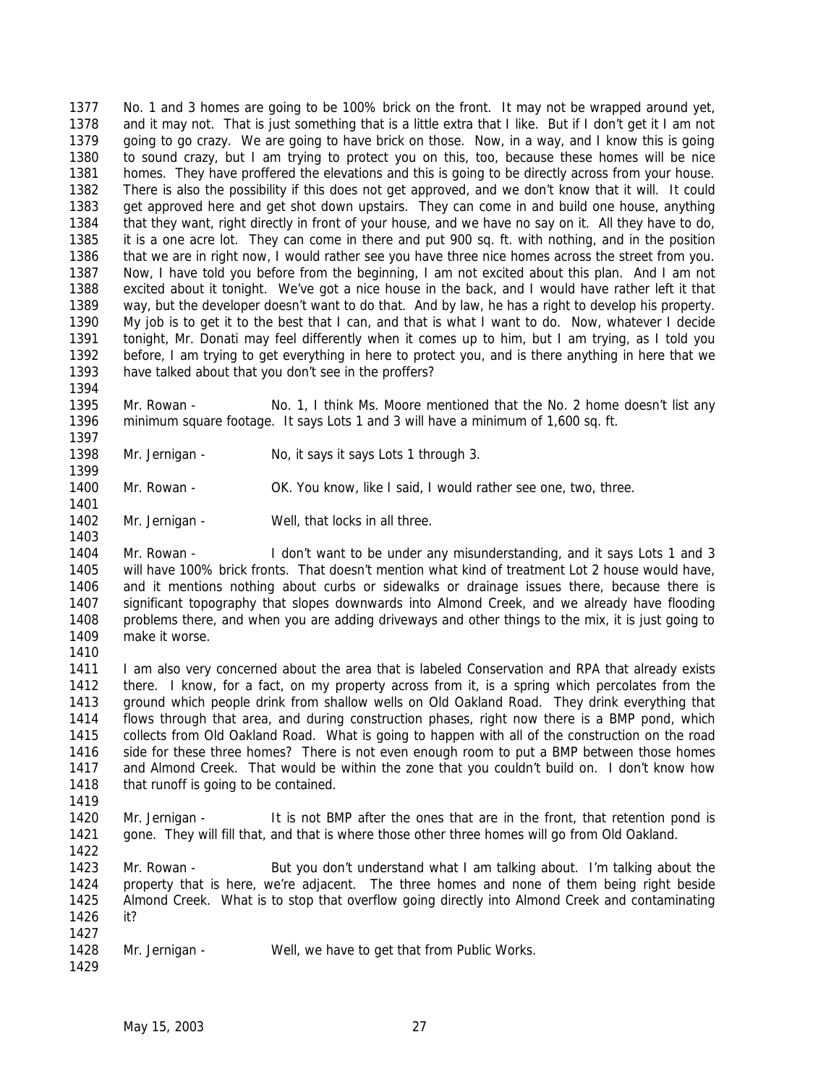No. 1 and 3 homes are going to be 100% brick on the front. It may not be wrapped around yet, and it may not. That is just something that is a little extra that I like. But if I don't get it I am not going to go crazy. We are going to have brick on those. Now, in a way, and I know this is going to sound crazy, but I am trying to protect you on this, too, because these homes will be nice homes. They have proffered the elevations and this is going to be directly across from your house. There is also the possibility if this does not get approved, and we don't know that it will. It could get approved here and get shot down upstairs. They can come in and build one house, anything that they want, right directly in front of your house, and we have no say on it. All they have to do, it is a one acre lot. They can come in there and put 900 sq. ft. with nothing, and in the position that we are in right now, I would rather see you have three nice homes across the street from you. Now, I have told you before from the beginning, I am not excited about this plan. And I am not excited about it tonight. We've got a nice house in the back, and I would have rather left it that way, but the developer doesn't want to do that. And by law, he has a right to develop his property. My job is to get it to the best that I can, and that is what I want to do. Now, whatever I decide tonight, Mr. Donati may feel differently when it comes up to him, but I am trying, as I told you before, I am trying to get everything in here to protect you, and is there anything in here that we have talked about that you don't see in the proffers?

 Mr. Rowan - No. 1, I think Ms. Moore mentioned that the No. 2 home doesn't list any minimum square footage. It says Lots 1 and 3 will have a minimum of 1,600 sq. ft.

- Mr. Jernigan No, it says it says Lots 1 through 3.
- Mr. Rowan OK. You know, like I said, I would rather see one, two, three.
- 1402 Mr. Jernigan Well, that locks in all three.

 Mr. Rowan - I don't want to be under any misunderstanding, and it says Lots 1 and 3 will have 100% brick fronts. That doesn't mention what kind of treatment Lot 2 house would have, and it mentions nothing about curbs or sidewalks or drainage issues there, because there is significant topography that slopes downwards into Almond Creek, and we already have flooding problems there, and when you are adding driveways and other things to the mix, it is just going to make it worse.

1411 I am also very concerned about the area that is labeled Conservation and RPA that already exists there. I know, for a fact, on my property across from it, is a spring which percolates from the ground which people drink from shallow wells on Old Oakland Road. They drink everything that flows through that area, and during construction phases, right now there is a BMP pond, which collects from Old Oakland Road. What is going to happen with all of the construction on the road side for these three homes? There is not even enough room to put a BMP between those homes and Almond Creek. That would be within the zone that you couldn't build on. I don't know how 1418 that runoff is going to be contained.

1420 Mr. Jernigan - It is not BMP after the ones that are in the front, that retention pond is gone. They will fill that, and that is where those other three homes will go from Old Oakland. 

 Mr. Rowan - But you don't understand what I am talking about. I'm talking about the property that is here, we're adjacent. The three homes and none of them being right beside Almond Creek. What is to stop that overflow going directly into Almond Creek and contaminating it? 

- 1428 Mr. Jernigan Well, we have to get that from Public Works.
-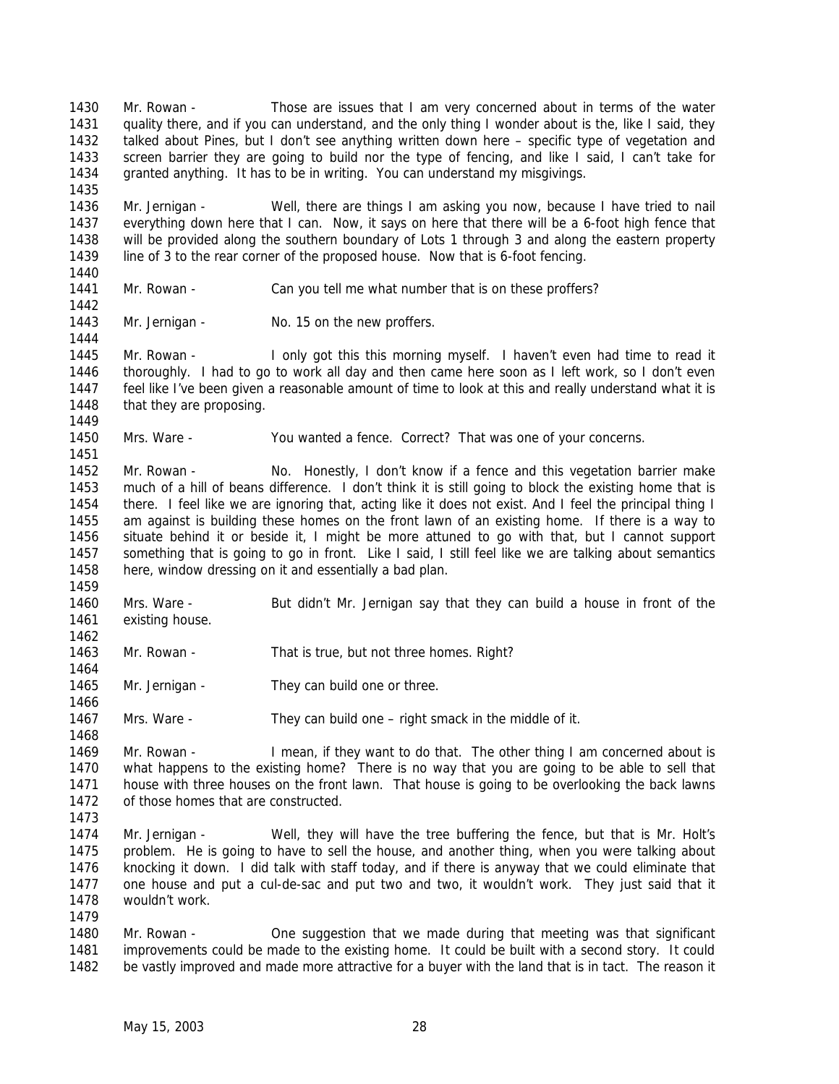Mr. Rowan - Those are issues that I am very concerned about in terms of the water quality there, and if you can understand, and the only thing I wonder about is the, like I said, they talked about Pines, but I don't see anything written down here – specific type of vegetation and screen barrier they are going to build nor the type of fencing, and like I said, I can't take for granted anything. It has to be in writing. You can understand my misgivings. 

 Mr. Jernigan - Well, there are things I am asking you now, because I have tried to nail everything down here that I can. Now, it says on here that there will be a 6-foot high fence that will be provided along the southern boundary of Lots 1 through 3 and along the eastern property line of 3 to the rear corner of the proposed house. Now that is 6-foot fencing.

Mr. Rowan - Can you tell me what number that is on these proffers?

 

1443 Mr. Jernigan - No. 15 on the new proffers.

 Mr. Rowan - I only got this this morning myself. I haven't even had time to read it thoroughly. I had to go to work all day and then came here soon as I left work, so I don't even feel like I've been given a reasonable amount of time to look at this and really understand what it is 1448 that they are proposing. 

Mrs. Ware - You wanted a fence. Correct? That was one of your concerns.

 Mr. Rowan - No. Honestly, I don't know if a fence and this vegetation barrier make much of a hill of beans difference. I don't think it is still going to block the existing home that is there. I feel like we are ignoring that, acting like it does not exist. And I feel the principal thing I am against is building these homes on the front lawn of an existing home. If there is a way to situate behind it or beside it, I might be more attuned to go with that, but I cannot support something that is going to go in front. Like I said, I still feel like we are talking about semantics here, window dressing on it and essentially a bad plan.

 Mrs. Ware - But didn't Mr. Jernigan say that they can build a house in front of the existing house.

Mr. Rowan - That is true, but not three homes. Right?

1465 Mr. Jernigan - They can build one or three.

1467 Mrs. Ware - They can build one – right smack in the middle of it.

1469 Mr. Rowan - I mean, if they want to do that. The other thing I am concerned about is what happens to the existing home? There is no way that you are going to be able to sell that house with three houses on the front lawn. That house is going to be overlooking the back lawns 1472 of those homes that are constructed

 Mr. Jernigan - Well, they will have the tree buffering the fence, but that is Mr. Holt's problem. He is going to have to sell the house, and another thing, when you were talking about knocking it down. I did talk with staff today, and if there is anyway that we could eliminate that one house and put a cul-de-sac and put two and two, it wouldn't work. They just said that it wouldn't work.

1480 Mr. Rowan - One suggestion that we made during that meeting was that significant improvements could be made to the existing home. It could be built with a second story. It could be vastly improved and made more attractive for a buyer with the land that is in tact. The reason it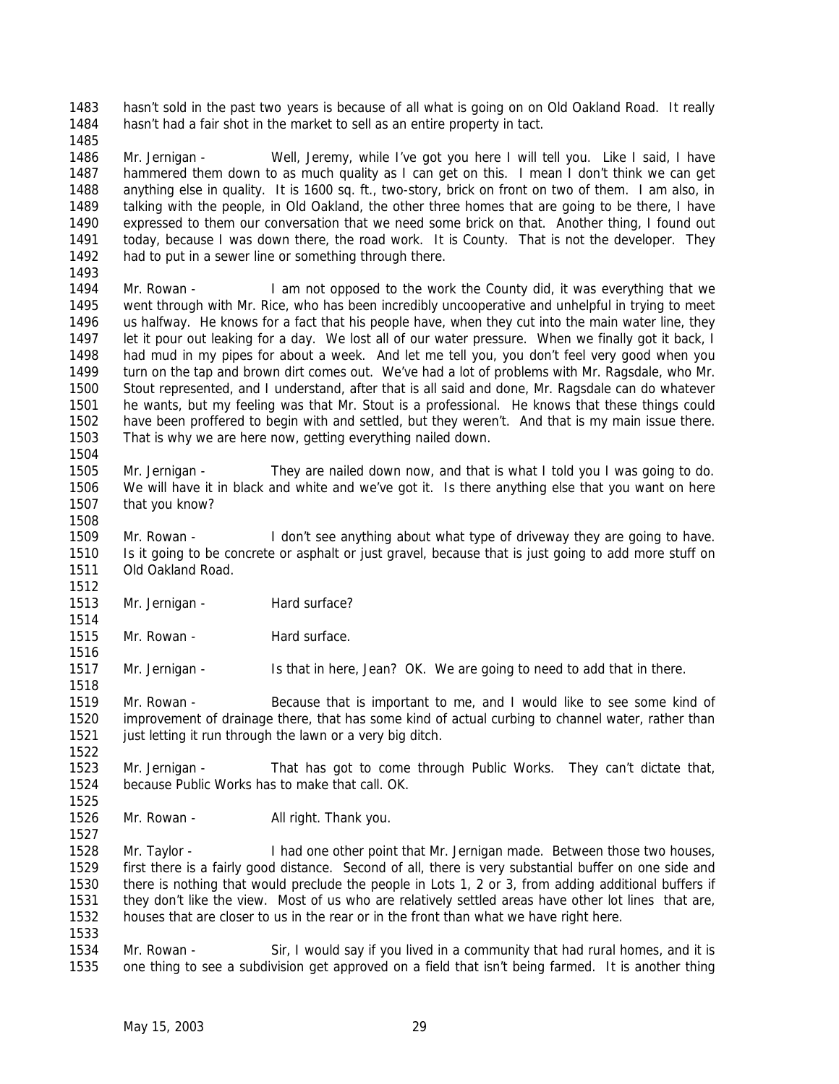hasn't sold in the past two years is because of all what is going on on Old Oakland Road. It really hasn't had a fair shot in the market to sell as an entire property in tact.

 Mr. Jernigan - Well, Jeremy, while I've got you here I will tell you. Like I said, I have hammered them down to as much quality as I can get on this. I mean I don't think we can get anything else in quality. It is 1600 sq. ft., two-story, brick on front on two of them. I am also, in talking with the people, in Old Oakland, the other three homes that are going to be there, I have expressed to them our conversation that we need some brick on that. Another thing, I found out 1491 today, because I was down there, the road work. It is County. That is not the developer. They 1492 had to put in a sewer line or something through there.

 Mr. Rowan - I am not opposed to the work the County did, it was everything that we went through with Mr. Rice, who has been incredibly uncooperative and unhelpful in trying to meet us halfway. He knows for a fact that his people have, when they cut into the main water line, they 1497 let it pour out leaking for a day. We lost all of our water pressure. When we finally got it back, I had mud in my pipes for about a week. And let me tell you, you don't feel very good when you turn on the tap and brown dirt comes out. We've had a lot of problems with Mr. Ragsdale, who Mr. Stout represented, and I understand, after that is all said and done, Mr. Ragsdale can do whatever he wants, but my feeling was that Mr. Stout is a professional. He knows that these things could have been proffered to begin with and settled, but they weren't. And that is my main issue there. That is why we are here now, getting everything nailed down. 

 Mr. Jernigan - They are nailed down now, and that is what I told you I was going to do. We will have it in black and white and we've got it. Is there anything else that you want on here that you know?

 Mr. Rowan - I don't see anything about what type of driveway they are going to have. Is it going to be concrete or asphalt or just gravel, because that is just going to add more stuff on Old Oakland Road. 

1513 Mr. Jernigan - Hard surface? 

1515 Mr. Rowan - Hard surface.

1517 Mr. Jernigan - Is that in here, Jean? OK. We are going to need to add that in there.

 Mr. Rowan - Because that is important to me, and I would like to see some kind of improvement of drainage there, that has some kind of actual curbing to channel water, rather than 1521 just letting it run through the lawn or a very big ditch.

1523 Mr. Jernigan - That has got to come through Public Works. They can't dictate that, because Public Works has to make that call. OK. 

1526 Mr. Rowan - All right. Thank you.

1528 Mr. Taylor - I had one other point that Mr. Jernigan made. Between those two houses, first there is a fairly good distance. Second of all, there is very substantial buffer on one side and there is nothing that would preclude the people in Lots 1, 2 or 3, from adding additional buffers if they don't like the view. Most of us who are relatively settled areas have other lot lines that are, houses that are closer to us in the rear or in the front than what we have right here. 

 Mr. Rowan - Sir, I would say if you lived in a community that had rural homes, and it is one thing to see a subdivision get approved on a field that isn't being farmed. It is another thing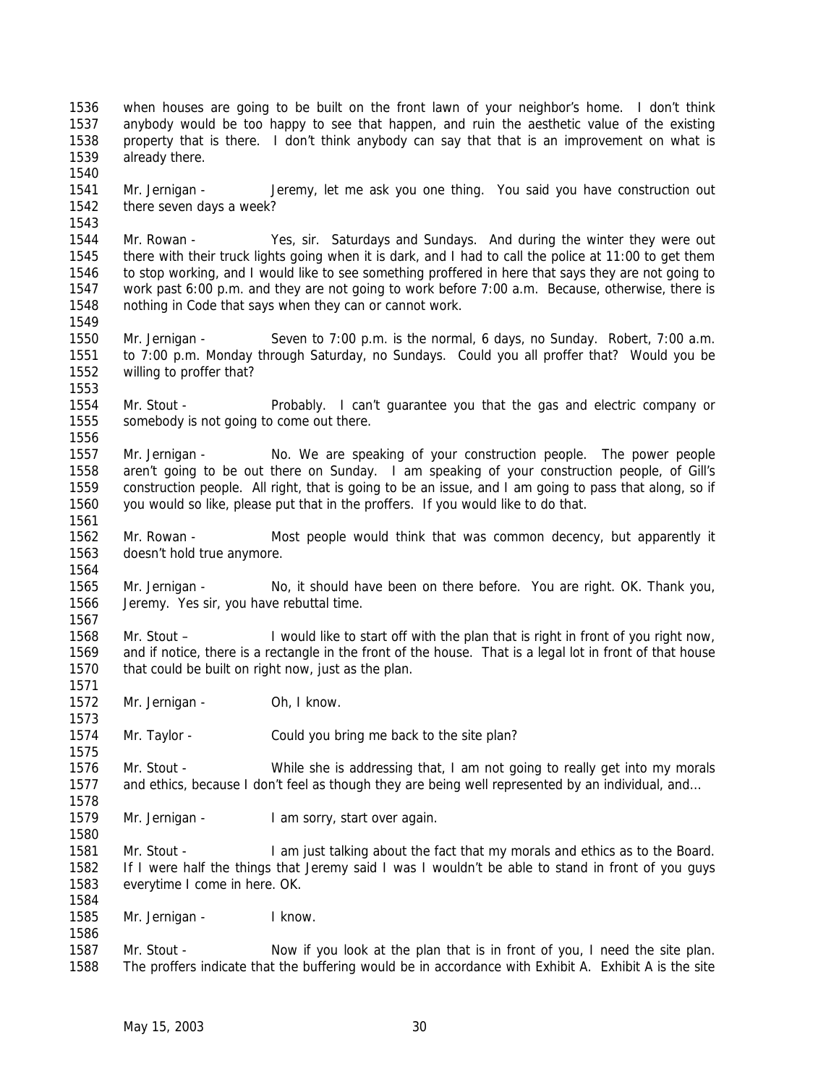May 15, 2003 30 there seven days a week? Mr. Rowan - Yes, sir. Saturdays and Sundays. And during the winter they were out there with their truck lights going when it is dark, and I had to call the police at 11:00 to get them to stop working, and I would like to see something proffered in here that says they are not going to work past 6:00 p.m. and they are not going to work before 7:00 a.m. Because, otherwise, there is nothing in Code that says when they can or cannot work. Mr. Jernigan - Seven to 7:00 p.m. is the normal, 6 days, no Sunday. Robert, 7:00 a.m. to 7:00 p.m. Monday through Saturday, no Sundays. Could you all proffer that? Would you be willing to proffer that? Mr. Stout - Probably. I can't guarantee you that the gas and electric company or somebody is not going to come out there. Mr. Jernigan - No. We are speaking of your construction people. The power people aren't going to be out there on Sunday. I am speaking of your construction people, of Gill's construction people. All right, that is going to be an issue, and I am going to pass that along, so if you would so like, please put that in the proffers. If you would like to do that. Mr. Rowan - Most people would think that was common decency, but apparently it doesn't hold true anymore. Mr. Jernigan - No, it should have been on there before. You are right. OK. Thank you, Jeremy. Yes sir, you have rebuttal time. Mr. Stout – I would like to start off with the plan that is right in front of you right now, and if notice, there is a rectangle in the front of the house. That is a legal lot in front of that house that could be built on right now, just as the plan. 1572 Mr. Jernigan - Oh, I know. Mr. Taylor - Could you bring me back to the site plan? Mr. Stout - While she is addressing that, I am not going to really get into my morals 1577 and ethics, because I don't feel as though they are being well represented by an individual, and... 1579 Mr. Jernigan - I am sorry, start over again. 1581 Mr. Stout - I am just talking about the fact that my morals and ethics as to the Board. If I were half the things that Jeremy said I was I wouldn't be able to stand in front of you guys everytime I come in here. OK. Mr. Jernigan - I know. 1587 Mr. Stout - Now if you look at the plan that is in front of you, I need the site plan. The proffers indicate that the buffering would be in accordance with Exhibit A. Exhibit A is the site

 when houses are going to be built on the front lawn of your neighbor's home. I don't think anybody would be too happy to see that happen, and ruin the aesthetic value of the existing property that is there. I don't think anybody can say that that is an improvement on what is

Mr. Jernigan - Jeremy, let me ask you one thing. You said you have construction out

already there.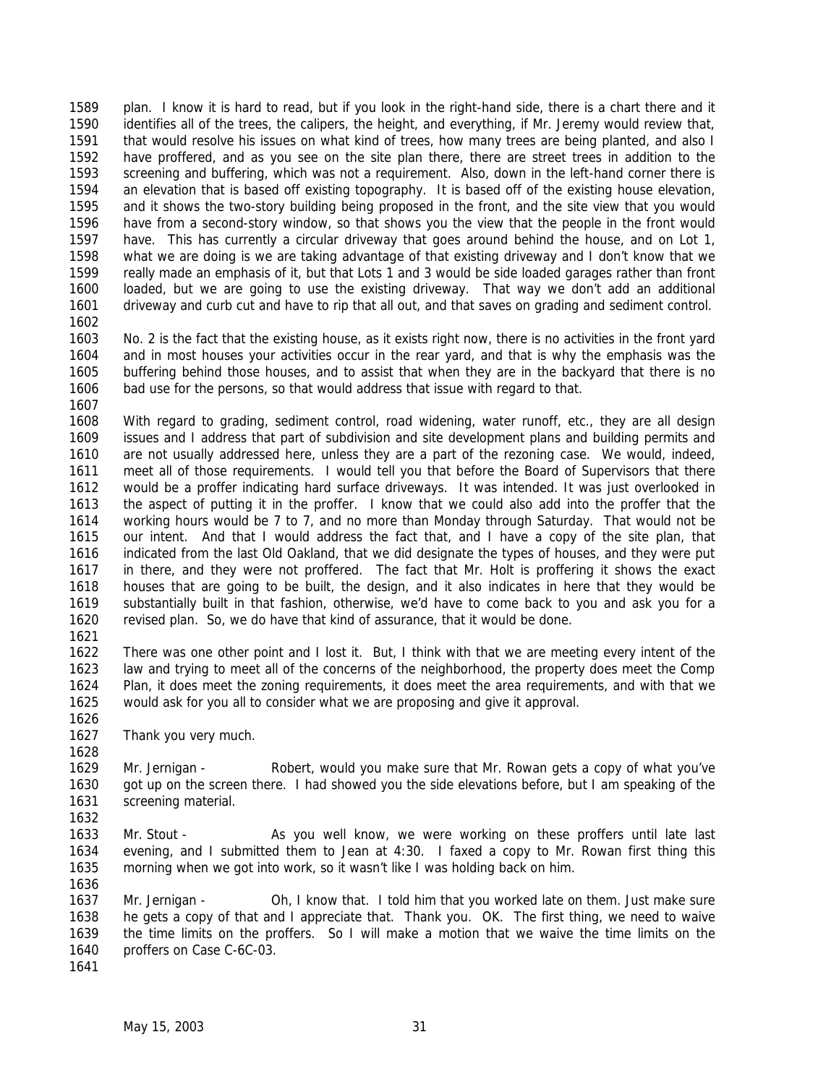plan. I know it is hard to read, but if you look in the right-hand side, there is a chart there and it identifies all of the trees, the calipers, the height, and everything, if Mr. Jeremy would review that, that would resolve his issues on what kind of trees, how many trees are being planted, and also I have proffered, and as you see on the site plan there, there are street trees in addition to the screening and buffering, which was not a requirement. Also, down in the left-hand corner there is an elevation that is based off existing topography. It is based off of the existing house elevation, and it shows the two-story building being proposed in the front, and the site view that you would have from a second-story window, so that shows you the view that the people in the front would have. This has currently a circular driveway that goes around behind the house, and on Lot 1, what we are doing is we are taking advantage of that existing driveway and I don't know that we really made an emphasis of it, but that Lots 1 and 3 would be side loaded garages rather than front loaded, but we are going to use the existing driveway. That way we don't add an additional driveway and curb cut and have to rip that all out, and that saves on grading and sediment control.

 No. 2 is the fact that the existing house, as it exists right now, there is no activities in the front yard and in most houses your activities occur in the rear yard, and that is why the emphasis was the buffering behind those houses, and to assist that when they are in the backyard that there is no bad use for the persons, so that would address that issue with regard to that.

 With regard to grading, sediment control, road widening, water runoff, etc., they are all design issues and I address that part of subdivision and site development plans and building permits and are not usually addressed here, unless they are a part of the rezoning case. We would, indeed, meet all of those requirements. I would tell you that before the Board of Supervisors that there would be a proffer indicating hard surface driveways. It was intended. It was just overlooked in the aspect of putting it in the proffer. I know that we could also add into the proffer that the working hours would be 7 to 7, and no more than Monday through Saturday. That would not be our intent. And that I would address the fact that, and I have a copy of the site plan, that indicated from the last Old Oakland, that we did designate the types of houses, and they were put in there, and they were not proffered. The fact that Mr. Holt is proffering it shows the exact houses that are going to be built, the design, and it also indicates in here that they would be substantially built in that fashion, otherwise, we'd have to come back to you and ask you for a revised plan. So, we do have that kind of assurance, that it would be done.

 There was one other point and I lost it. But, I think with that we are meeting every intent of the law and trying to meet all of the concerns of the neighborhood, the property does meet the Comp Plan, it does meet the zoning requirements, it does meet the area requirements, and with that we would ask for you all to consider what we are proposing and give it approval. 

Thank you very much.

 Mr. Jernigan - Robert, would you make sure that Mr. Rowan gets a copy of what you've got up on the screen there. I had showed you the side elevations before, but I am speaking of the screening material.

 Mr. Stout - As you well know, we were working on these proffers until late last evening, and I submitted them to Jean at 4:30. I faxed a copy to Mr. Rowan first thing this morning when we got into work, so it wasn't like I was holding back on him. 

 Mr. Jernigan - Oh, I know that. I told him that you worked late on them. Just make sure he gets a copy of that and I appreciate that. Thank you. OK. The first thing, we need to waive the time limits on the proffers. So I will make a motion that we waive the time limits on the proffers on Case C-6C-03.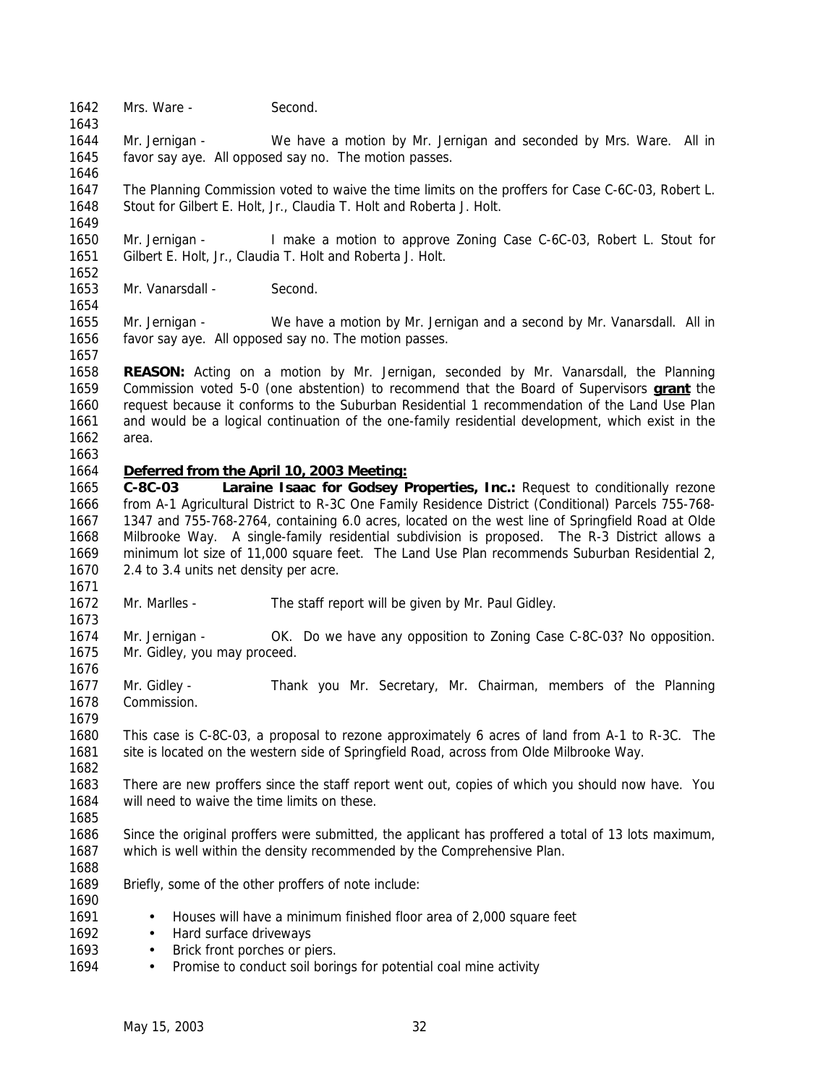1642 Mrs. Ware - Second.

 Mr. Jernigan - We have a motion by Mr. Jernigan and seconded by Mrs. Ware. All in favor say aye. All opposed say no. The motion passes.

 The Planning Commission voted to waive the time limits on the proffers for Case C-6C-03, Robert L. Stout for Gilbert E. Holt, Jr., Claudia T. Holt and Roberta J. Holt.

 Mr. Jernigan - I make a motion to approve Zoning Case C-6C-03, Robert L. Stout for Gilbert E. Holt, Jr., Claudia T. Holt and Roberta J. Holt.

Mr. Vanarsdall - Second.

 Mr. Jernigan - We have a motion by Mr. Jernigan and a second by Mr. Vanarsdall. All in favor say aye. All opposed say no. The motion passes.

 **REASON:** Acting on a motion by Mr. Jernigan, seconded by Mr. Vanarsdall, the Planning Commission voted 5-0 (one abstention) to recommend that the Board of Supervisors **grant** the request because it conforms to the Suburban Residential 1 recommendation of the Land Use Plan and would be a logical continuation of the one-family residential development, which exist in the area.

#### *Deferred from the April 10, 2003 Meeting:*

 **C-8C-03 Laraine Isaac for Godsey Properties, Inc.:** Request to conditionally rezone from A-1 Agricultural District to R-3C One Family Residence District (Conditional) Parcels 755-768- 1347 and 755-768-2764, containing 6.0 acres, located on the west line of Springfield Road at Olde Milbrooke Way. A single-family residential subdivision is proposed. The R-3 District allows a minimum lot size of 11,000 square feet. The Land Use Plan recommends Suburban Residential 2, 2.4 to 3.4 units net density per acre.

- Mr. Marlles The staff report will be given by Mr. Paul Gidley.
- Mr. Jernigan OK. Do we have any opposition to Zoning Case C-8C-03? No opposition. Mr. Gidley, you may proceed.
- 1677 Mr. Gidley Thank you Mr. Secretary, Mr. Chairman, members of the Planning Commission.

 This case is C-8C-03, a proposal to rezone approximately 6 acres of land from A-1 to R-3C. The 1681 site is located on the western side of Springfield Road, across from Olde Milbrooke Way.

 There are new proffers since the staff report went out, copies of which you should now have. You will need to waive the time limits on these.

 Since the original proffers were submitted, the applicant has proffered a total of 13 lots maximum, which is well within the density recommended by the Comprehensive Plan.

Briefly, some of the other proffers of note include:

- 1691 Houses will have a minimum finished floor area of 2,000 square feet
- 1692 Hard surface driveways
- 1693 Brick front porches or piers.
- 1694 Promise to conduct soil borings for potential coal mine activity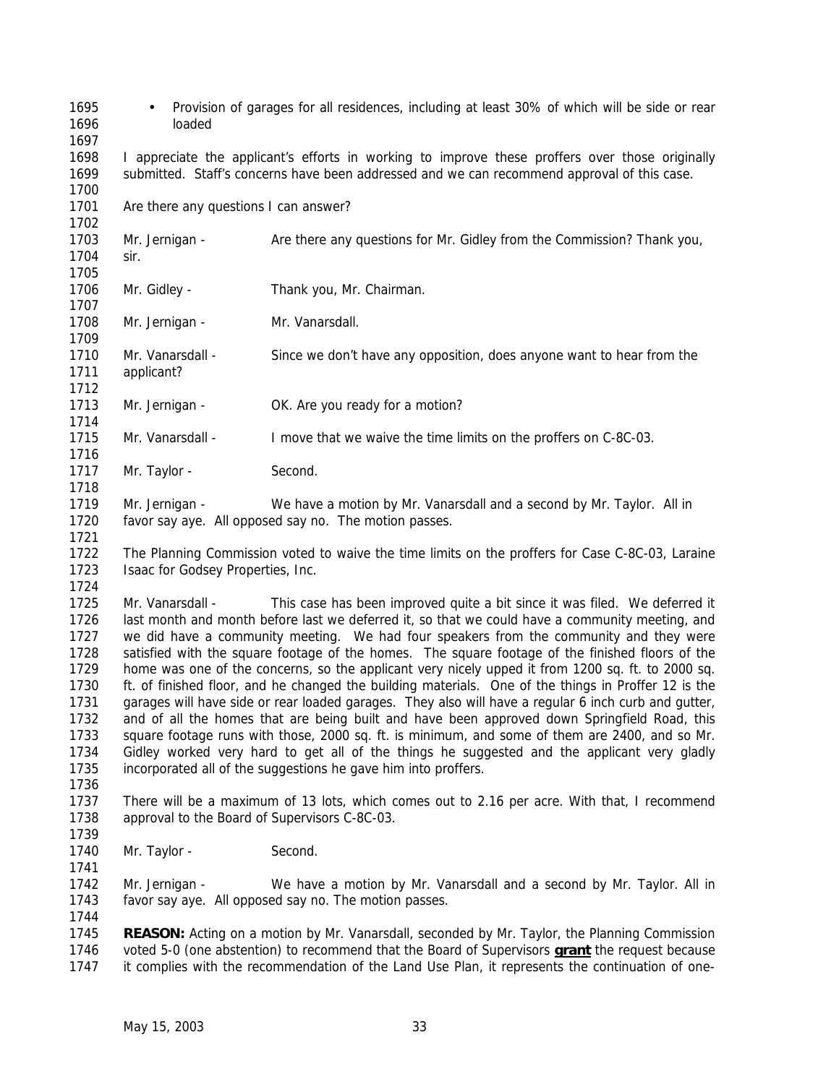- Provision of garages for all residences, including at least 30% of which will be side or rear loaded
- I appreciate the applicant's efforts in working to improve these proffers over those originally submitted. Staff's concerns have been addressed and we can recommend approval of this case.
- 1701 Are there any questions I can answer?
- Mr. Jernigan Are there any questions for Mr. Gidley from the Commission? Thank you,
- sir.

- Mr. Gidley Thank you, Mr. Chairman.
- 1708 Mr. Jernigan Mr. Vanarsdall.
- Mr. Vanarsdall Since we don't have any opposition, does anyone want to hear from the applicant?
- 1713 Mr. Jernigan - OK. Are you ready for a motion?
- Mr. Vanarsdall I move that we waive the time limits on the proffers on C-8C-03.
- 1717 Mr. Taylor Second.
- Mr. Jernigan We have a motion by Mr. Vanarsdall and a second by Mr. Taylor. All in favor say aye. All opposed say no. The motion passes.
- The Planning Commission voted to waive the time limits on the proffers for Case C-8C-03, Laraine 1723 Isaac for Godsey Properties, Inc.
- Mr. Vanarsdall This case has been improved quite a bit since it was filed. We deferred it last month and month before last we deferred it, so that we could have a community meeting, and we did have a community meeting. We had four speakers from the community and they were satisfied with the square footage of the homes. The square footage of the finished floors of the home was one of the concerns, so the applicant very nicely upped it from 1200 sq. ft. to 2000 sq. ft. of finished floor, and he changed the building materials. One of the things in Proffer 12 is the 1731 garages will have side or rear loaded garages. They also will have a regular 6 inch curb and gutter, and of all the homes that are being built and have been approved down Springfield Road, this square footage runs with those, 2000 sq. ft. is minimum, and some of them are 2400, and so Mr. Gidley worked very hard to get all of the things he suggested and the applicant very gladly incorporated all of the suggestions he gave him into proffers.
- There will be a maximum of 13 lots, which comes out to 2.16 per acre. With that, I recommend approval to the Board of Supervisors C-8C-03.
- 1740 Mr. Taylor Second.
- Mr. Jernigan We have a motion by Mr. Vanarsdall and a second by Mr. Taylor. All in favor say aye. All opposed say no. The motion passes.
- **REASON:** Acting on a motion by Mr. Vanarsdall, seconded by Mr. Taylor, the Planning Commission voted 5-0 (one abstention) to recommend that the Board of Supervisors **grant** the request because it complies with the recommendation of the Land Use Plan, it represents the continuation of one-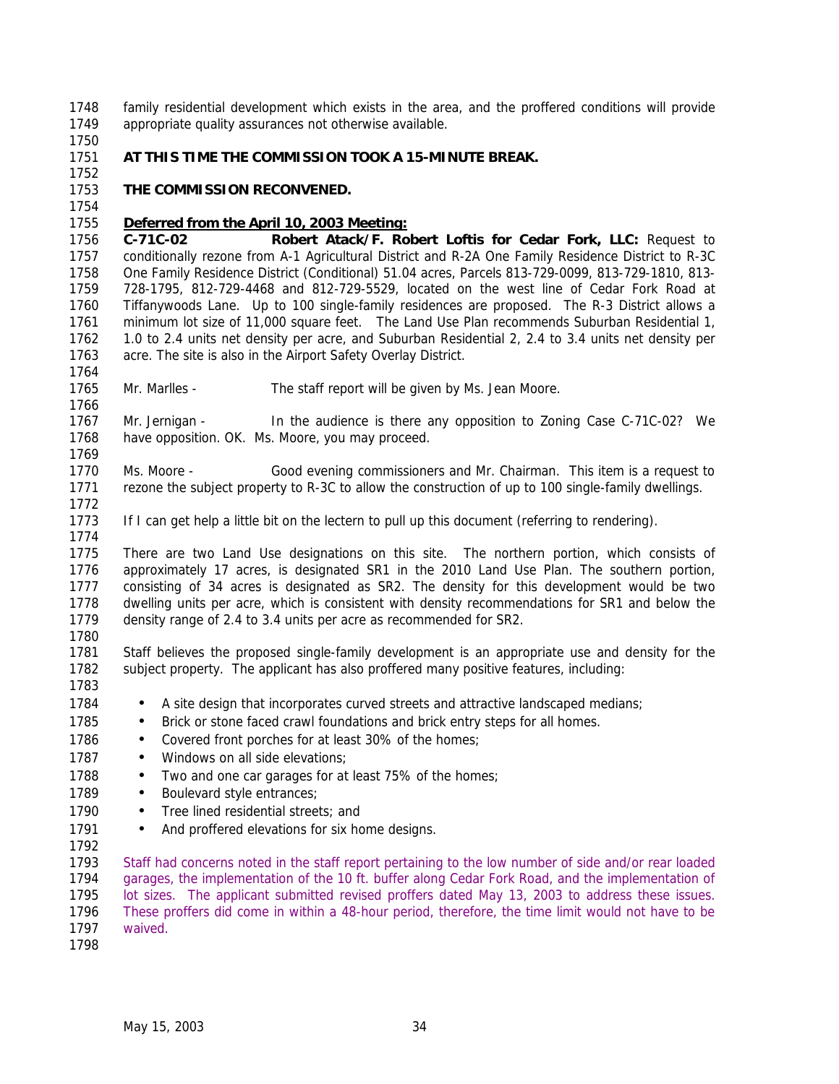family residential development which exists in the area, and the proffered conditions will provide appropriate quality assurances not otherwise available.

# **AT THIS TIME THE COMMISSION TOOK A 15-MINUTE BREAK.**

## **THE COMMISSION RECONVENED.**

### *Deferred from the April 10, 2003 Meeting:*

 **C-71C-02 Robert Atack/F. Robert Loftis for Cedar Fork, LLC:** Request to conditionally rezone from A-1 Agricultural District and R-2A One Family Residence District to R-3C One Family Residence District (Conditional) 51.04 acres, Parcels 813-729-0099, 813-729-1810, 813- 728-1795, 812-729-4468 and 812-729-5529, located on the west line of Cedar Fork Road at Tiffanywoods Lane. Up to 100 single-family residences are proposed. The R-3 District allows a minimum lot size of 11,000 square feet. The Land Use Plan recommends Suburban Residential 1, 1.0 to 2.4 units net density per acre, and Suburban Residential 2, 2.4 to 3.4 units net density per acre. The site is also in the Airport Safety Overlay District.

Mr. Marlles - The staff report will be given by Ms. Jean Moore.

1767 Mr. Jernigan - In the audience is there any opposition to Zoning Case C-71C-02? We have opposition. OK. Ms. Moore, you may proceed. 

 Ms. Moore - Good evening commissioners and Mr. Chairman. This item is a request to rezone the subject property to R-3C to allow the construction of up to 100 single-family dwellings. 

If I can get help a little bit on the lectern to pull up this document (referring to rendering).

 There are two Land Use designations on this site. The northern portion, which consists of approximately 17 acres, is designated SR1 in the 2010 Land Use Plan. The southern portion, consisting of 34 acres is designated as SR2. The density for this development would be two dwelling units per acre, which is consistent with density recommendations for SR1 and below the density range of 2.4 to 3.4 units per acre as recommended for SR2.

 Staff believes the proposed single-family development is an appropriate use and density for the subject property. The applicant has also proffered many positive features, including: 

- 1784 A site design that incorporates curved streets and attractive landscaped medians;
- 1785 Brick or stone faced crawl foundations and brick entry steps for all homes.
- 1786 Covered front porches for at least 30% of the homes;
- 1787 Windows on all side elevations;
- 1788 Two and one car garages for at least 75% of the homes;
- 1789 Boulevard style entrances:
- 1790 Tree lined residential streets; and
- 1791 And proffered elevations for six home designs.

 Staff had concerns noted in the staff report pertaining to the low number of side and/or rear loaded garages, the implementation of the 10 ft. buffer along Cedar Fork Road, and the implementation of lot sizes. The applicant submitted revised proffers dated May 13, 2003 to address these issues. These proffers did come in within a 48-hour period, therefore, the time limit would not have to be waived.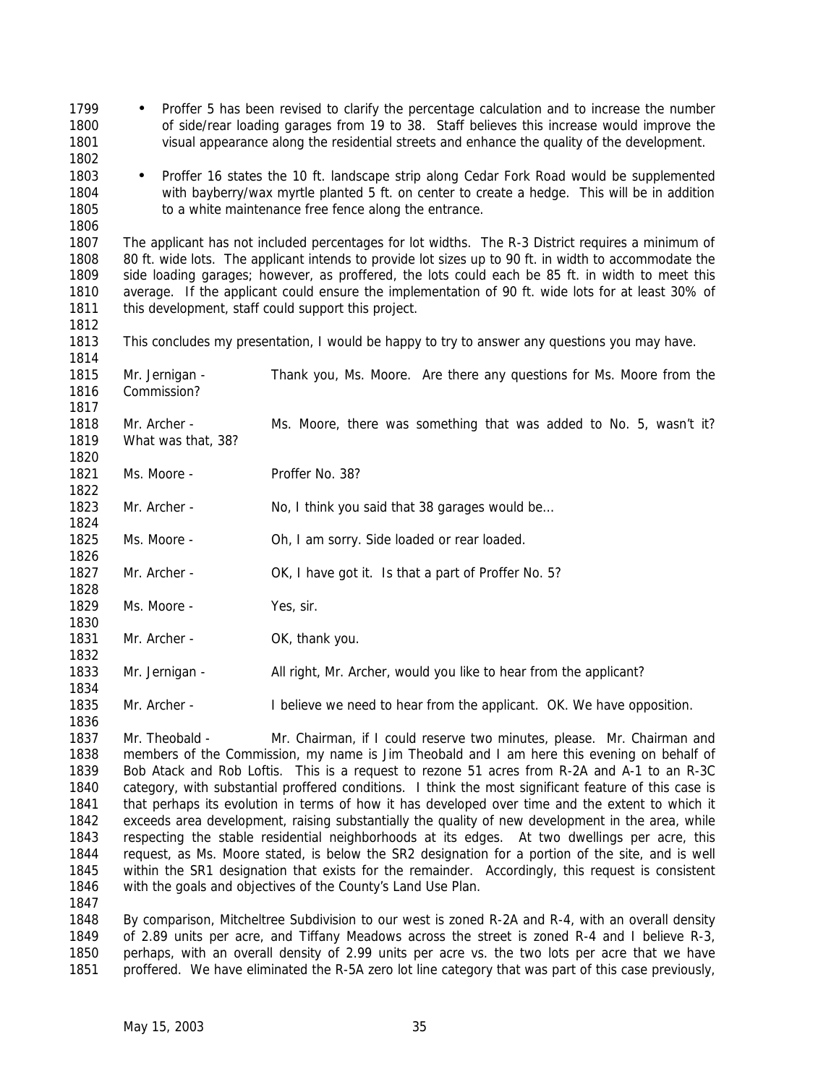- 1799 Proffer 5 has been revised to clarify the percentage calculation and to increase the number of side/rear loading garages from 19 to 38. Staff believes this increase would improve the visual appearance along the residential streets and enhance the quality of the development. • Proffer 16 states the 10 ft. landscape strip along Cedar Fork Road would be supplemented with bayberry/wax myrtle planted 5 ft. on center to create a hedge. This will be in addition 1805 to a white maintenance free fence along the entrance. The applicant has not included percentages for lot widths. The R-3 District requires a minimum of 80 ft. wide lots. The applicant intends to provide lot sizes up to 90 ft. in width to accommodate the side loading garages; however, as proffered, the lots could each be 85 ft. in width to meet this average. If the applicant could ensure the implementation of 90 ft. wide lots for at least 30% of 1811 this development, staff could support this project. This concludes my presentation, I would be happy to try to answer any questions you may have. Mr. Jernigan - Thank you, Ms. Moore. Are there any questions for Ms. Moore from the Commission? Mr. Archer - Ms. Moore, there was something that was added to No. 5, wasn't it? What was that, 38? 1821 Ms. Moore - Proffer No. 38? 1823 Mr. Archer - No, I think you said that 38 garages would be... 1825 Ms. Moore - Oh, I am sorry. Side loaded or rear loaded. 1827 Mr. Archer - OK, I have got it. Is that a part of Proffer No. 5? 1829 Ms. Moore - Yes, sir. 1831 Mr. Archer - OK, thank you. Mr. Jernigan - All right, Mr. Archer, would you like to hear from the applicant? 1835 Mr. Archer - I believe we need to hear from the applicant. OK. We have opposition. Mr. Theobald - Mr. Chairman, if I could reserve two minutes, please. Mr. Chairman and members of the Commission, my name is Jim Theobald and I am here this evening on behalf of Bob Atack and Rob Loftis. This is a request to rezone 51 acres from R-2A and A-1 to an R-3C category, with substantial proffered conditions. I think the most significant feature of this case is that perhaps its evolution in terms of how it has developed over time and the extent to which it exceeds area development, raising substantially the quality of new development in the area, while respecting the stable residential neighborhoods at its edges. At two dwellings per acre, this request, as Ms. Moore stated, is below the SR2 designation for a portion of the site, and is well within the SR1 designation that exists for the remainder. Accordingly, this request is consistent with the goals and objectives of the County's Land Use Plan.
- By comparison, Mitcheltree Subdivision to our west is zoned R-2A and R-4, with an overall density of 2.89 units per acre, and Tiffany Meadows across the street is zoned R-4 and I believe R-3, perhaps, with an overall density of 2.99 units per acre vs. the two lots per acre that we have proffered. We have eliminated the R-5A zero lot line category that was part of this case previously,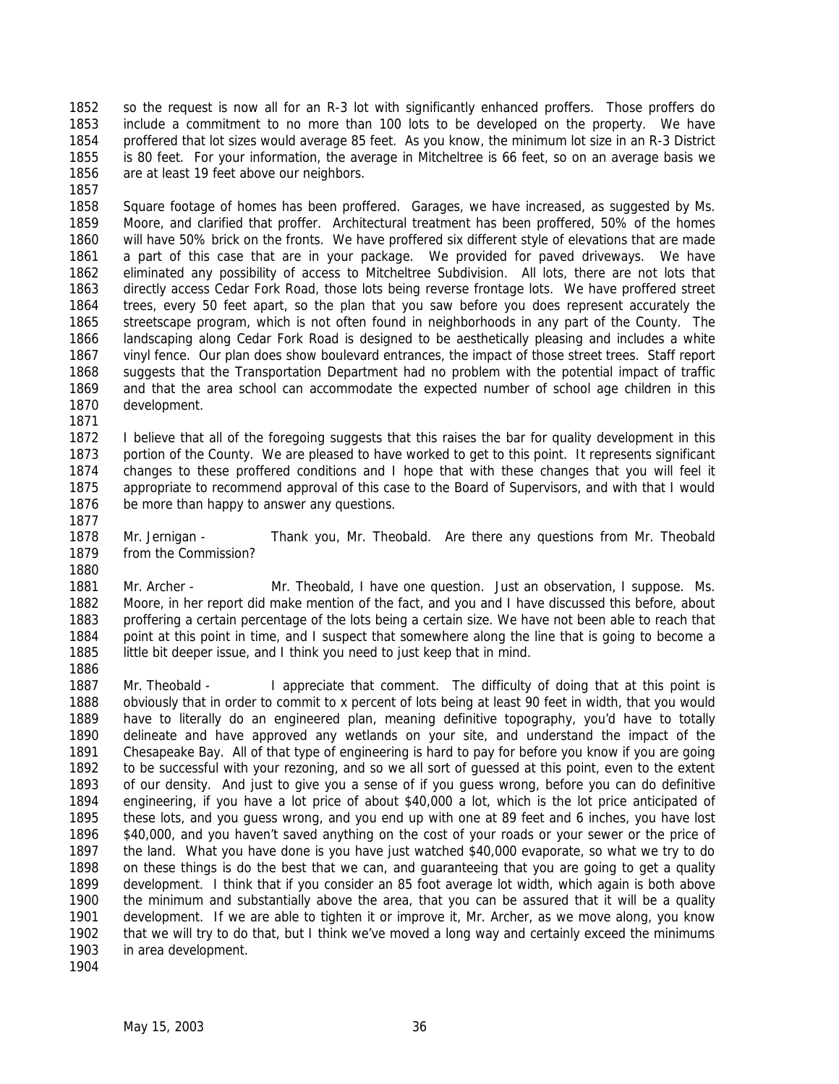so the request is now all for an R-3 lot with significantly enhanced proffers. Those proffers do include a commitment to no more than 100 lots to be developed on the property. We have proffered that lot sizes would average 85 feet. As you know, the minimum lot size in an R-3 District is 80 feet. For your information, the average in Mitcheltree is 66 feet, so on an average basis we are at least 19 feet above our neighbors.

 Square footage of homes has been proffered. Garages, we have increased, as suggested by Ms. Moore, and clarified that proffer. Architectural treatment has been proffered, 50% of the homes will have 50% brick on the fronts. We have proffered six different style of elevations that are made a part of this case that are in your package. We provided for paved driveways. We have eliminated any possibility of access to Mitcheltree Subdivision. All lots, there are not lots that directly access Cedar Fork Road, those lots being reverse frontage lots. We have proffered street trees, every 50 feet apart, so the plan that you saw before you does represent accurately the streetscape program, which is not often found in neighborhoods in any part of the County. The landscaping along Cedar Fork Road is designed to be aesthetically pleasing and includes a white vinyl fence. Our plan does show boulevard entrances, the impact of those street trees. Staff report suggests that the Transportation Department had no problem with the potential impact of traffic and that the area school can accommodate the expected number of school age children in this development.

 I believe that all of the foregoing suggests that this raises the bar for quality development in this portion of the County. We are pleased to have worked to get to this point. It represents significant changes to these proffered conditions and I hope that with these changes that you will feel it appropriate to recommend approval of this case to the Board of Supervisors, and with that I would be more than happy to answer any questions.

 Mr. Jernigan - Thank you, Mr. Theobald. Are there any questions from Mr. Theobald from the Commission?

1881 Mr. Archer - Mr. Theobald, I have one question. Just an observation, I suppose. Ms. Moore, in her report did make mention of the fact, and you and I have discussed this before, about proffering a certain percentage of the lots being a certain size. We have not been able to reach that point at this point in time, and I suspect that somewhere along the line that is going to become a little bit deeper issue, and I think you need to just keep that in mind. 

1887 Mr. Theobald - I appreciate that comment. The difficulty of doing that at this point is obviously that in order to commit to x percent of lots being at least 90 feet in width, that you would have to literally do an engineered plan, meaning definitive topography, you'd have to totally delineate and have approved any wetlands on your site, and understand the impact of the Chesapeake Bay. All of that type of engineering is hard to pay for before you know if you are going to be successful with your rezoning, and so we all sort of guessed at this point, even to the extent of our density. And just to give you a sense of if you guess wrong, before you can do definitive engineering, if you have a lot price of about \$40,000 a lot, which is the lot price anticipated of these lots, and you guess wrong, and you end up with one at 89 feet and 6 inches, you have lost \$40,000, and you haven't saved anything on the cost of your roads or your sewer or the price of the land. What you have done is you have just watched \$40,000 evaporate, so what we try to do on these things is do the best that we can, and guaranteeing that you are going to get a quality development. I think that if you consider an 85 foot average lot width, which again is both above the minimum and substantially above the area, that you can be assured that it will be a quality development. If we are able to tighten it or improve it, Mr. Archer, as we move along, you know that we will try to do that, but I think we've moved a long way and certainly exceed the minimums in area development. 

May 15, 2003 36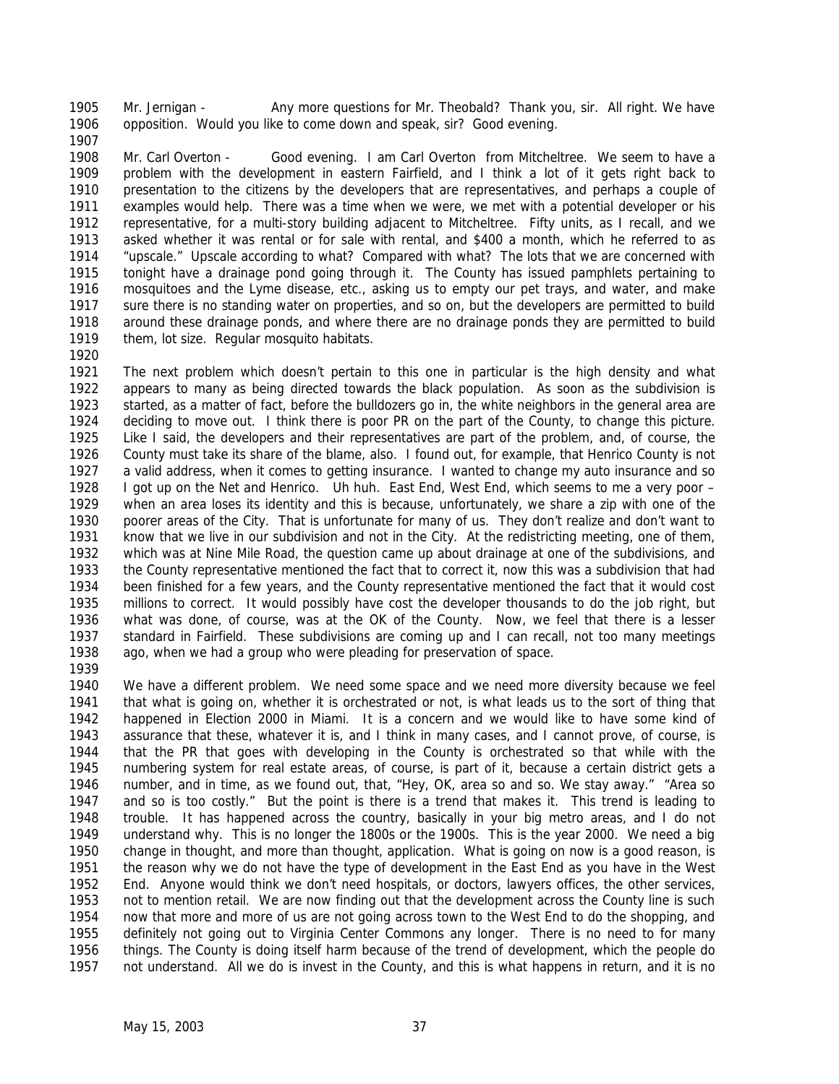Mr. Jernigan - Any more questions for Mr. Theobald? Thank you, sir. All right. We have opposition. Would you like to come down and speak, sir? Good evening.

 Mr. Carl Overton - Good evening. I am Carl Overton from Mitcheltree. We seem to have a problem with the development in eastern Fairfield, and I think a lot of it gets right back to presentation to the citizens by the developers that are representatives, and perhaps a couple of examples would help. There was a time when we were, we met with a potential developer or his representative, for a multi-story building adjacent to Mitcheltree. Fifty units, as I recall, and we asked whether it was rental or for sale with rental, and \$400 a month, which he referred to as "upscale." Upscale according to what? Compared with what? The lots that we are concerned with tonight have a drainage pond going through it. The County has issued pamphlets pertaining to mosquitoes and the Lyme disease, etc., asking us to empty our pet trays, and water, and make sure there is no standing water on properties, and so on, but the developers are permitted to build around these drainage ponds, and where there are no drainage ponds they are permitted to build them, lot size. Regular mosquito habitats.

 The next problem which doesn't pertain to this one in particular is the high density and what appears to many as being directed towards the black population. As soon as the subdivision is started, as a matter of fact, before the bulldozers go in, the white neighbors in the general area are deciding to move out. I think there is poor PR on the part of the County, to change this picture. Like I said, the developers and their representatives are part of the problem, and, of course, the County must take its share of the blame, also. I found out, for example, that Henrico County is not a valid address, when it comes to getting insurance. I wanted to change my auto insurance and so I got up on the Net and Henrico. Uh huh. East End, West End, which seems to me a very poor – when an area loses its identity and this is because, unfortunately, we share a zip with one of the poorer areas of the City. That is unfortunate for many of us. They don't realize and don't want to know that we live in our subdivision and not in the City. At the redistricting meeting, one of them, which was at Nine Mile Road, the question came up about drainage at one of the subdivisions, and the County representative mentioned the fact that to correct it, now this was a subdivision that had been finished for a few years, and the County representative mentioned the fact that it would cost millions to correct. It would possibly have cost the developer thousands to do the job right, but what was done, of course, was at the OK of the County. Now, we feel that there is a lesser standard in Fairfield. These subdivisions are coming up and I can recall, not too many meetings ago, when we had a group who were pleading for preservation of space.

 We have a different problem. We need some space and we need more diversity because we feel that what is going on, whether it is orchestrated or not, is what leads us to the sort of thing that happened in Election 2000 in Miami. It is a concern and we would like to have some kind of assurance that these, whatever it is, and I think in many cases, and I cannot prove, of course, is that the PR that goes with developing in the County is orchestrated so that while with the numbering system for real estate areas, of course, is part of it, because a certain district gets a number, and in time, as we found out, that, "Hey, OK, area so and so. We stay away." "Area so and so is too costly." But the point is there is a trend that makes it. This trend is leading to trouble. It has happened across the country, basically in your big metro areas, and I do not understand why. This is no longer the 1800s or the 1900s. This is the year 2000. We need a big change in thought, and more than thought, application. What is going on now is a good reason, is the reason why we do not have the type of development in the East End as you have in the West End. Anyone would think we don't need hospitals, or doctors, lawyers offices, the other services, not to mention retail. We are now finding out that the development across the County line is such now that more and more of us are not going across town to the West End to do the shopping, and definitely not going out to Virginia Center Commons any longer. There is no need to for many things. The County is doing itself harm because of the trend of development, which the people do not understand. All we do is invest in the County, and this is what happens in return, and it is no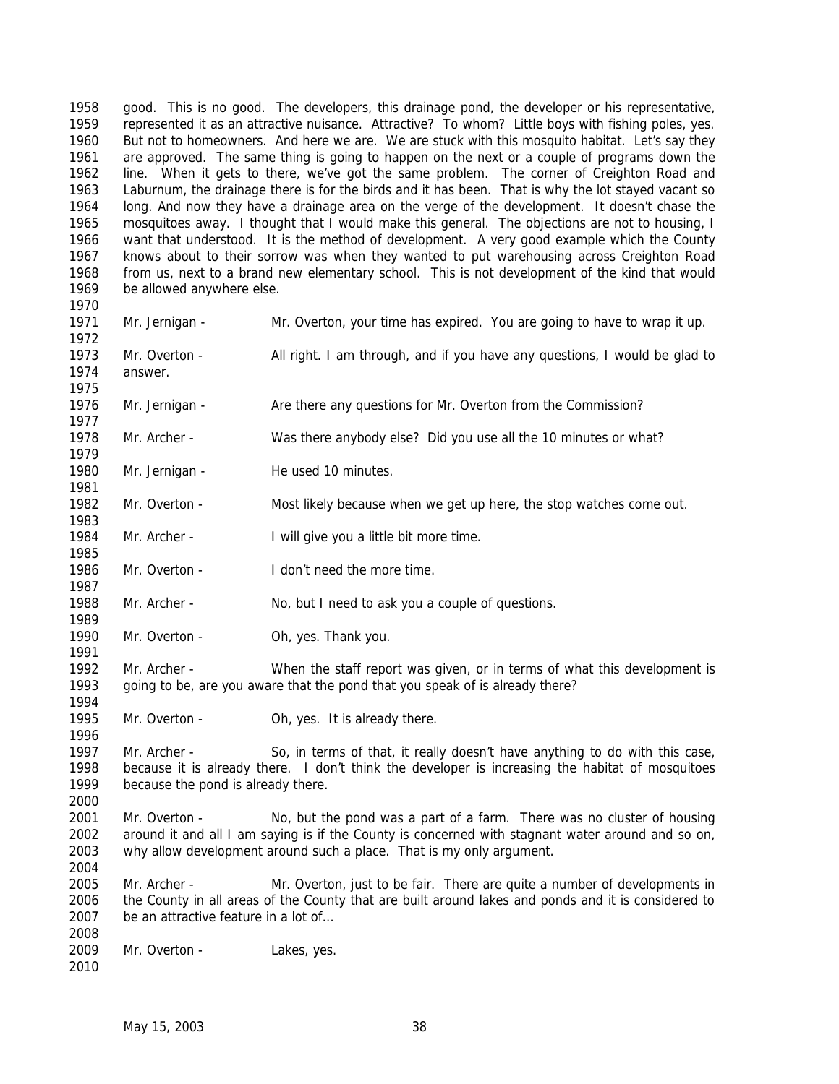good. This is no good. The developers, this drainage pond, the developer or his representative, represented it as an attractive nuisance. Attractive? To whom? Little boys with fishing poles, yes. But not to homeowners. And here we are. We are stuck with this mosquito habitat. Let's say they are approved. The same thing is going to happen on the next or a couple of programs down the line. When it gets to there, we've got the same problem. The corner of Creighton Road and Laburnum, the drainage there is for the birds and it has been. That is why the lot stayed vacant so long. And now they have a drainage area on the verge of the development. It doesn't chase the mosquitoes away. I thought that I would make this general. The objections are not to housing, I want that understood. It is the method of development. A very good example which the County knows about to their sorrow was when they wanted to put warehousing across Creighton Road from us, next to a brand new elementary school. This is not development of the kind that would be allowed anywhere else.

answer.

- Mr. Jernigan Mr. Overton, your time has expired. You are going to have to wrap it up. Mr. Overton - All right. I am through, and if you have any questions, I would be glad to
- Mr. Jernigan - Are there any questions for Mr. Overton from the Commission?
- Mr. Archer - Was there anybody else? Did you use all the 10 minutes or what?
- 1980 Mr. Jernigan He used 10 minutes.
- 1982 Mr. Overton Most likely because when we get up here, the stop watches come out.
- Mr. Archer I will give you a little bit more time.
- Mr. Overton I don't need the more time.
- 1988 Mr. Archer No, but I need to ask you a couple of questions.
- 1990 Mr. Overton Oh, yes. Thank you.
- Mr. Archer When the staff report was given, or in terms of what this development is going to be, are you aware that the pond that you speak of is already there?
- 1995 Mr. Overton Oh, yes. It is already there.
- Mr. Archer So, in terms of that, it really doesn't have anything to do with this case, because it is already there. I don't think the developer is increasing the habitat of mosquitoes because the pond is already there.
- Mr. Overton No, but the pond was a part of a farm. There was no cluster of housing around it and all I am saying is if the County is concerned with stagnant water around and so on, why allow development around such a place. That is my only argument.
- Mr. Archer Mr. Overton, just to be fair. There are quite a number of developments in the County in all areas of the County that are built around lakes and ponds and it is considered to be an attractive feature in a lot of…
- 2009 Mr. Overton Lakes, yes.
-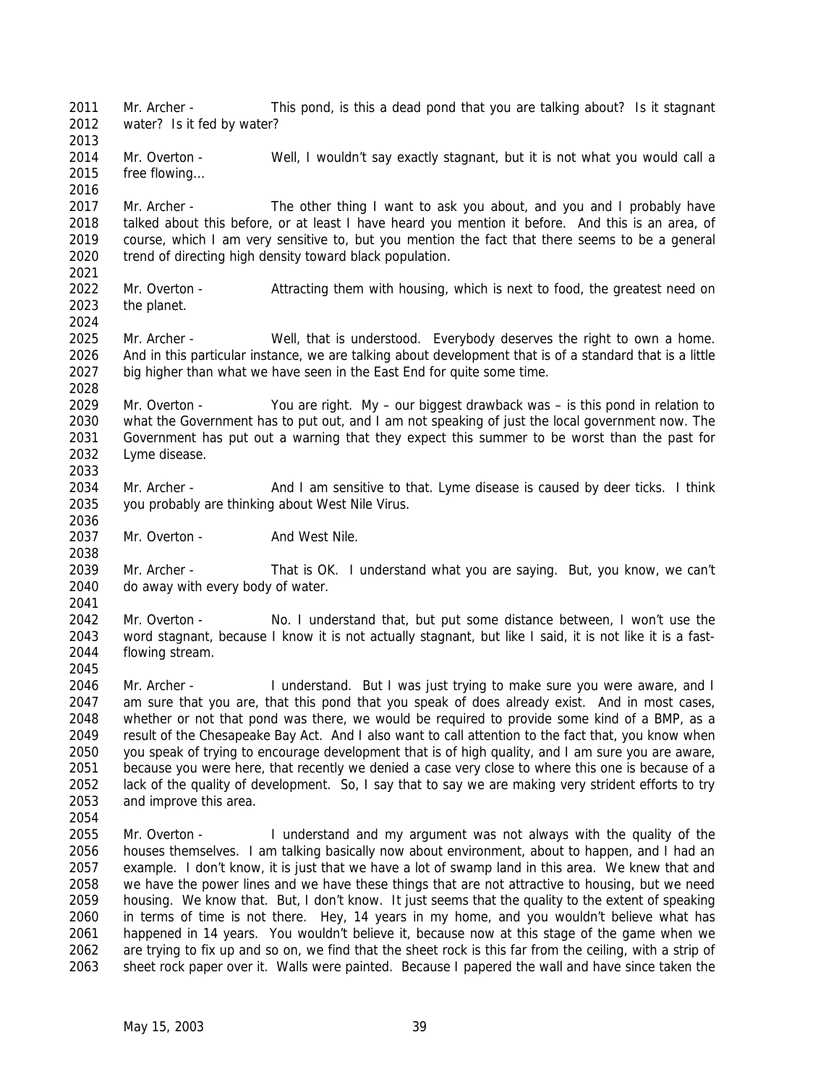2011 Mr. Archer - This pond, is this a dead pond that you are talking about? Is it stagnant water? Is it fed by water? 2014 Mr. Overton - Well, I wouldn't say exactly stagnant, but it is not what you would call a free flowing… Mr. Archer - The other thing I want to ask you about, and you and I probably have talked about this before, or at least I have heard you mention it before. And this is an area, of course, which I am very sensitive to, but you mention the fact that there seems to be a general trend of directing high density toward black population. Mr. Overton - Attracting them with housing, which is next to food, the greatest need on the planet. Mr. Archer - Well, that is understood. Everybody deserves the right to own a home. And in this particular instance, we are talking about development that is of a standard that is a little big higher than what we have seen in the East End for quite some time. Mr. Overton - You are right. My – our biggest drawback was – is this pond in relation to what the Government has to put out, and I am not speaking of just the local government now. The Government has put out a warning that they expect this summer to be worst than the past for Lyme disease. Mr. Archer - And I am sensitive to that. Lyme disease is caused by deer ticks. I think you probably are thinking about West Nile Virus. 2037 Mr. Overton - And West Nile. Mr. Archer - That is OK. I understand what you are saying. But, you know, we can't do away with every body of water. Mr. Overton - No. I understand that, but put some distance between, I won't use the word stagnant, because I know it is not actually stagnant, but like I said, it is not like it is a fast- flowing stream. Mr. Archer - I understand. But I was just trying to make sure you were aware, and I am sure that you are, that this pond that you speak of does already exist. And in most cases, whether or not that pond was there, we would be required to provide some kind of a BMP, as a result of the Chesapeake Bay Act. And I also want to call attention to the fact that, you know when you speak of trying to encourage development that is of high quality, and I am sure you are aware, because you were here, that recently we denied a case very close to where this one is because of a lack of the quality of development. So, I say that to say we are making very strident efforts to try and improve this area. Mr. Overton - I understand and my argument was not always with the quality of the houses themselves. I am talking basically now about environment, about to happen, and I had an example. I don't know, it is just that we have a lot of swamp land in this area. We knew that and we have the power lines and we have these things that are not attractive to housing, but we need housing. We know that. But, I don't know. It just seems that the quality to the extent of speaking in terms of time is not there. Hey, 14 years in my home, and you wouldn't believe what has happened in 14 years. You wouldn't believe it, because now at this stage of the game when we are trying to fix up and so on, we find that the sheet rock is this far from the ceiling, with a strip of sheet rock paper over it. Walls were painted. Because I papered the wall and have since taken the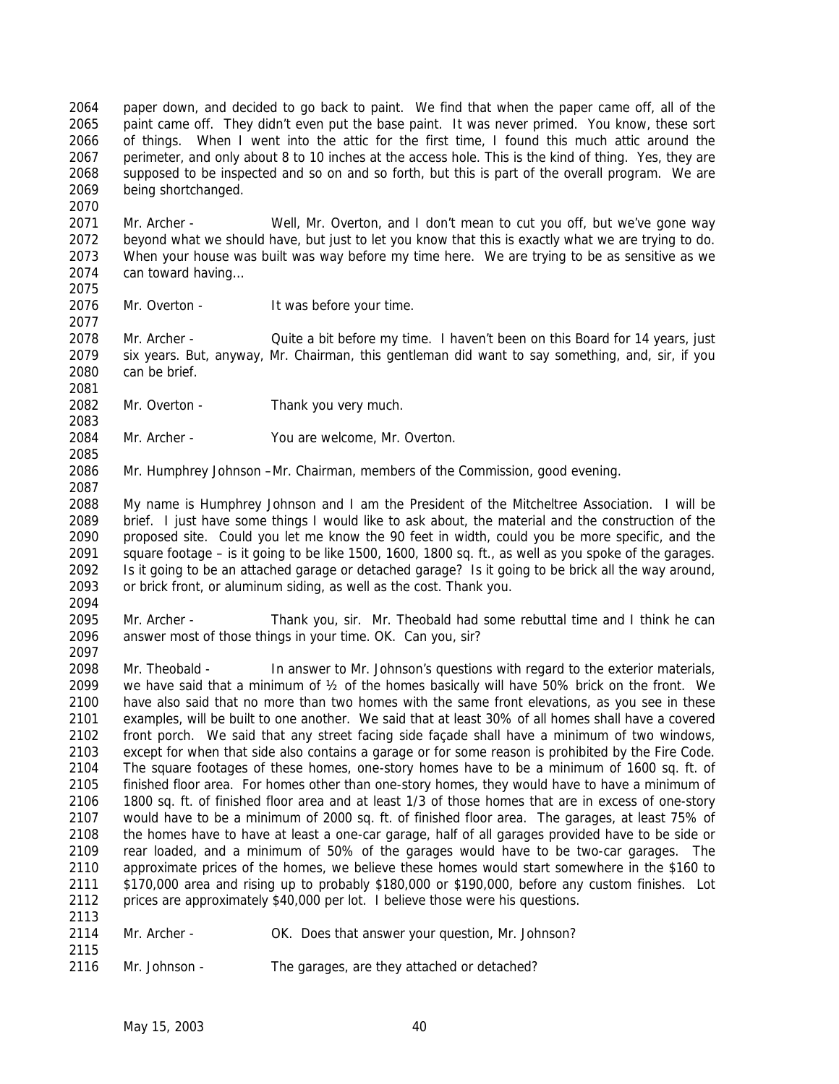paper down, and decided to go back to paint. We find that when the paper came off, all of the paint came off. They didn't even put the base paint. It was never primed. You know, these sort of things. When I went into the attic for the first time, I found this much attic around the perimeter, and only about 8 to 10 inches at the access hole. This is the kind of thing. Yes, they are supposed to be inspected and so on and so forth, but this is part of the overall program. We are being shortchanged.

 Mr. Archer - Well, Mr. Overton, and I don't mean to cut you off, but we've gone way beyond what we should have, but just to let you know that this is exactly what we are trying to do. When your house was built was way before my time here. We are trying to be as sensitive as we can toward having… 

2076 Mr. Overton - It was before your time.

 Mr. Archer - Quite a bit before my time. I haven't been on this Board for 14 years, just six years. But, anyway, Mr. Chairman, this gentleman did want to say something, and, sir, if you can be brief.

2082 Mr. Overton - Thank you very much.

Mr. Archer - You are welcome, Mr. Overton.

Mr. Humphrey Johnson –Mr. Chairman, members of the Commission, good evening.

 My name is Humphrey Johnson and I am the President of the Mitcheltree Association. I will be brief. I just have some things I would like to ask about, the material and the construction of the proposed site. Could you let me know the 90 feet in width, could you be more specific, and the square footage – is it going to be like 1500, 1600, 1800 sq. ft., as well as you spoke of the garages. Is it going to be an attached garage or detached garage? Is it going to be brick all the way around, or brick front, or aluminum siding, as well as the cost. Thank you. 

 Mr. Archer - Thank you, sir. Mr. Theobald had some rebuttal time and I think he can answer most of those things in your time. OK. Can you, sir?

2098 Mr. Theobald - In answer to Mr. Johnson's questions with regard to the exterior materials, we have said that a minimum of ½ of the homes basically will have 50% brick on the front. We have also said that no more than two homes with the same front elevations, as you see in these examples, will be built to one another. We said that at least 30% of all homes shall have a covered front porch. We said that any street facing side façade shall have a minimum of two windows, except for when that side also contains a garage or for some reason is prohibited by the Fire Code. The square footages of these homes, one-story homes have to be a minimum of 1600 sq. ft. of finished floor area. For homes other than one-story homes, they would have to have a minimum of 1800 sq. ft. of finished floor area and at least 1/3 of those homes that are in excess of one-story would have to be a minimum of 2000 sq. ft. of finished floor area. The garages, at least 75% of the homes have to have at least a one-car garage, half of all garages provided have to be side or rear loaded, and a minimum of 50% of the garages would have to be two-car garages. The approximate prices of the homes, we believe these homes would start somewhere in the \$160 to \$170,000 area and rising up to probably \$180,000 or \$190,000, before any custom finishes. Lot prices are approximately \$40,000 per lot. I believe those were his questions. 

- Mr. Archer OK. Does that answer your question, Mr. Johnson?
- Mr. Johnson The garages, are they attached or detached?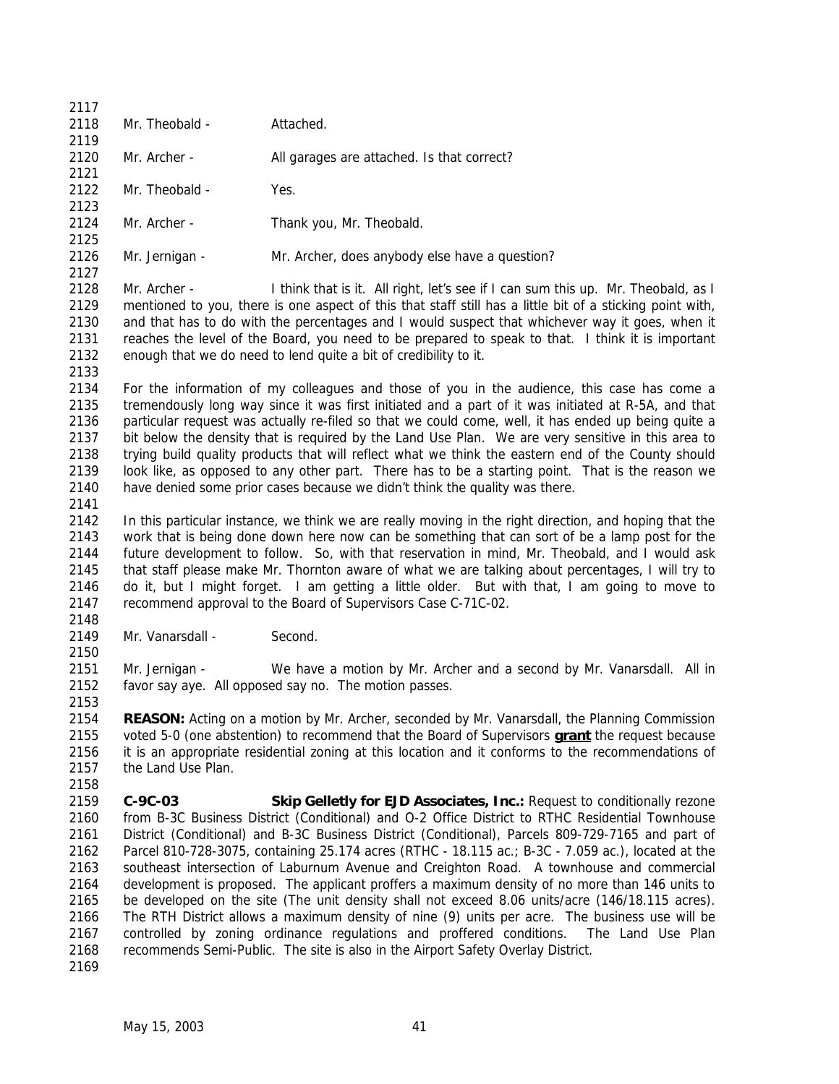| 2117 |                    |                                                                                                                                                                                                          |
|------|--------------------|----------------------------------------------------------------------------------------------------------------------------------------------------------------------------------------------------------|
| 2118 | Mr. Theobald -     | Attached.                                                                                                                                                                                                |
| 2119 |                    |                                                                                                                                                                                                          |
| 2120 | Mr. Archer -       | All garages are attached. Is that correct?                                                                                                                                                               |
| 2121 |                    |                                                                                                                                                                                                          |
| 2122 | Mr. Theobald -     | Yes.                                                                                                                                                                                                     |
| 2123 |                    |                                                                                                                                                                                                          |
| 2124 | Mr. Archer -       | Thank you, Mr. Theobald.                                                                                                                                                                                 |
| 2125 |                    |                                                                                                                                                                                                          |
| 2126 | Mr. Jernigan -     | Mr. Archer, does anybody else have a question?                                                                                                                                                           |
| 2127 |                    |                                                                                                                                                                                                          |
| 2128 | Mr. Archer -       | I think that is it. All right, let's see if I can sum this up. Mr. Theobald, as I                                                                                                                        |
| 2129 |                    | mentioned to you, there is one aspect of this that staff still has a little bit of a sticking point with,                                                                                                |
| 2130 |                    | and that has to do with the percentages and I would suspect that whichever way it goes, when it                                                                                                          |
| 2131 |                    | reaches the level of the Board, you need to be prepared to speak to that. I think it is important                                                                                                        |
| 2132 |                    | enough that we do need to lend quite a bit of credibility to it.                                                                                                                                         |
| 2133 |                    |                                                                                                                                                                                                          |
| 2134 |                    | For the information of my colleagues and those of you in the audience, this case has come a                                                                                                              |
| 2135 |                    | tremendously long way since it was first initiated and a part of it was initiated at R-5A, and that                                                                                                      |
| 2136 |                    | particular request was actually re-filed so that we could come, well, it has ended up being quite a                                                                                                      |
| 2137 |                    | bit below the density that is required by the Land Use Plan. We are very sensitive in this area to                                                                                                       |
| 2138 |                    | trying build quality products that will reflect what we think the eastern end of the County should                                                                                                       |
| 2139 |                    | look like, as opposed to any other part. There has to be a starting point. That is the reason we                                                                                                         |
| 2140 |                    | have denied some prior cases because we didn't think the quality was there.                                                                                                                              |
| 2141 |                    |                                                                                                                                                                                                          |
| 2142 |                    |                                                                                                                                                                                                          |
| 2143 |                    | In this particular instance, we think we are really moving in the right direction, and hoping that the<br>work that is being done down here now can be something that can sort of be a lamp post for the |
|      |                    |                                                                                                                                                                                                          |
| 2144 |                    | future development to follow. So, with that reservation in mind, Mr. Theobald, and I would ask                                                                                                           |
| 2145 |                    | that staff please make Mr. Thornton aware of what we are talking about percentages, I will try to                                                                                                        |
| 2146 |                    | do it, but I might forget. I am getting a little older. But with that, I am going to move to                                                                                                             |
| 2147 |                    | recommend approval to the Board of Supervisors Case C-71C-02.                                                                                                                                            |
| 2148 |                    |                                                                                                                                                                                                          |
| 2149 | Mr. Vanarsdall -   | Second.                                                                                                                                                                                                  |
| 2150 |                    |                                                                                                                                                                                                          |
| 2151 | Mr. Jernigan -     | We have a motion by Mr. Archer and a second by Mr. Vanarsdall. All in                                                                                                                                    |
| 2152 |                    | favor say aye. All opposed say no. The motion passes.                                                                                                                                                    |
| 2153 |                    |                                                                                                                                                                                                          |
| 2154 |                    | REASON: Acting on a motion by Mr. Archer, seconded by Mr. Vanarsdall, the Planning Commission                                                                                                            |
| 2155 |                    | voted 5-0 (one abstention) to recommend that the Board of Supervisors <b>grant</b> the request because                                                                                                   |
| 2156 |                    | it is an appropriate residential zoning at this location and it conforms to the recommendations of                                                                                                       |
| 2157 | the Land Use Plan. |                                                                                                                                                                                                          |
| 2158 |                    |                                                                                                                                                                                                          |
| 2159 | C-9C-03            | Skip Gelletly for EJD Associates, Inc.: Request to conditionally rezone                                                                                                                                  |
| 2160 |                    | from B-3C Business District (Conditional) and O-2 Office District to RTHC Residential Townhouse                                                                                                          |
| 2161 |                    | District (Conditional) and B-3C Business District (Conditional), Parcels 809-729-7165 and part of                                                                                                        |
| 2162 |                    | Parcel 810-728-3075, containing 25.174 acres (RTHC - 18.115 ac.; B-3C - 7.059 ac.), located at the                                                                                                       |
| 2163 |                    | southeast intersection of Laburnum Avenue and Creighton Road. A townhouse and commercial                                                                                                                 |
| 2164 |                    | development is proposed. The applicant proffers a maximum density of no more than 146 units to                                                                                                           |
| 2165 |                    | be developed on the site (The unit density shall not exceed 8.06 units/acre (146/18.115 acres).                                                                                                          |
| 2166 |                    | The RTH District allows a maximum density of nine (9) units per acre. The business use will be                                                                                                           |
| 2167 |                    | controlled by zoning ordinance regulations and proffered conditions.<br>The Land Use Plan                                                                                                                |
| 2168 |                    | recommends Semi-Public. The site is also in the Airport Safety Overlay District.                                                                                                                         |
| 2169 |                    |                                                                                                                                                                                                          |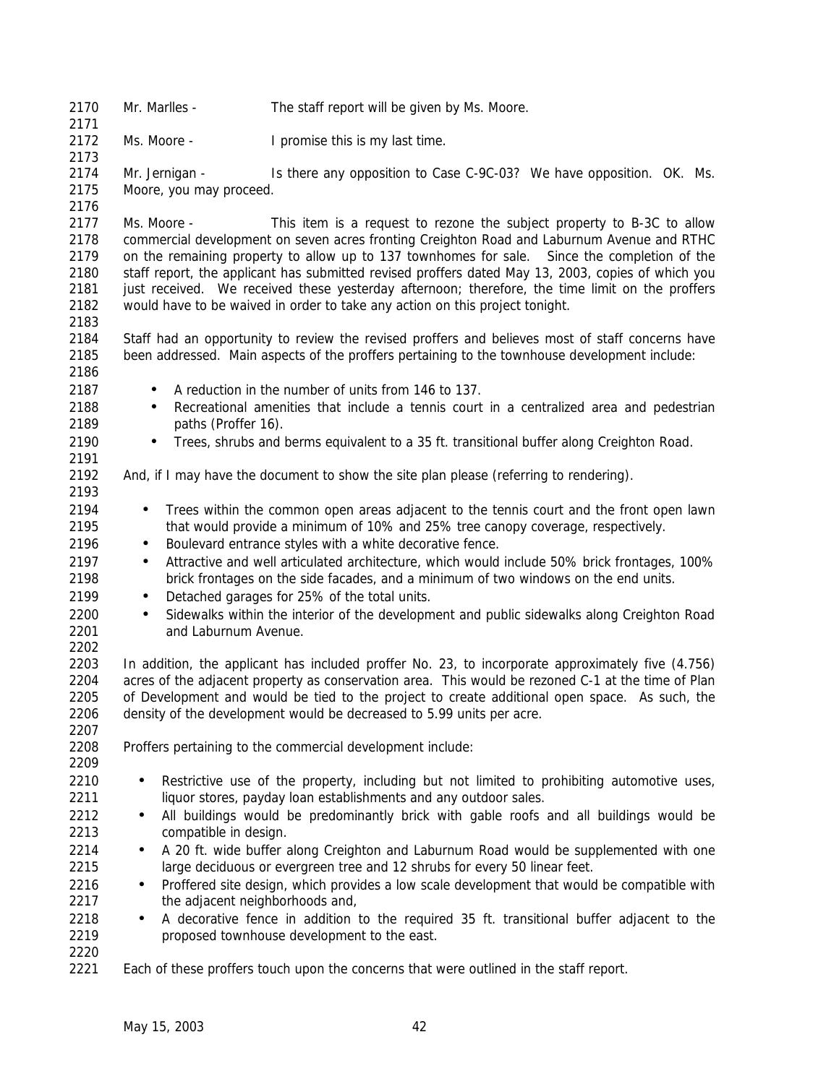| 2170<br>2171 | Mr. Marlles -                                                                                                                                                                   | The staff report will be given by Ms. Moore.                                                                                                |  |
|--------------|---------------------------------------------------------------------------------------------------------------------------------------------------------------------------------|---------------------------------------------------------------------------------------------------------------------------------------------|--|
| 2172<br>2173 | Ms. Moore -                                                                                                                                                                     | I promise this is my last time.                                                                                                             |  |
| 2174         | Mr. Jernigan -                                                                                                                                                                  | Is there any opposition to Case C-9C-03? We have opposition. OK. Ms.                                                                        |  |
| 2175         | Moore, you may proceed.                                                                                                                                                         |                                                                                                                                             |  |
| 2176         |                                                                                                                                                                                 |                                                                                                                                             |  |
| 2177         | Ms. Moore -                                                                                                                                                                     | This item is a request to rezone the subject property to B-3C to allow                                                                      |  |
| 2178         |                                                                                                                                                                                 | commercial development on seven acres fronting Creighton Road and Laburnum Avenue and RTHC                                                  |  |
| 2179         | on the remaining property to allow up to 137 townhomes for sale.<br>Since the completion of the                                                                                 |                                                                                                                                             |  |
| 2180<br>2181 | staff report, the applicant has submitted revised proffers dated May 13, 2003, copies of which you                                                                              |                                                                                                                                             |  |
| 2182         | just received. We received these yesterday afternoon; therefore, the time limit on the proffers<br>would have to be waived in order to take any action on this project tonight. |                                                                                                                                             |  |
| 2183         |                                                                                                                                                                                 |                                                                                                                                             |  |
| 2184         |                                                                                                                                                                                 | Staff had an opportunity to review the revised proffers and believes most of staff concerns have                                            |  |
| 2185         |                                                                                                                                                                                 | been addressed. Main aspects of the proffers pertaining to the townhouse development include:                                               |  |
| 2186         |                                                                                                                                                                                 |                                                                                                                                             |  |
| 2187         | $\bullet$                                                                                                                                                                       | A reduction in the number of units from 146 to 137.                                                                                         |  |
| 2188         | Recreational amenities that include a tennis court in a centralized area and pedestrian<br>$\bullet$                                                                            |                                                                                                                                             |  |
| 2189         | paths (Proffer 16).                                                                                                                                                             |                                                                                                                                             |  |
| 2190         |                                                                                                                                                                                 | Trees, shrubs and berms equivalent to a 35 ft. transitional buffer along Creighton Road.                                                    |  |
| 2191         |                                                                                                                                                                                 |                                                                                                                                             |  |
| 2192         |                                                                                                                                                                                 | And, if I may have the document to show the site plan please (referring to rendering).                                                      |  |
| 2193         |                                                                                                                                                                                 |                                                                                                                                             |  |
| 2194<br>2195 | ٠                                                                                                                                                                               | Trees within the common open areas adjacent to the tennis court and the front open lawn                                                     |  |
| 2196         | $\bullet$                                                                                                                                                                       | that would provide a minimum of 10% and 25% tree canopy coverage, respectively.<br>Boulevard entrance styles with a white decorative fence. |  |
| 2197         | $\bullet$                                                                                                                                                                       | Attractive and well articulated architecture, which would include 50% brick frontages, 100%                                                 |  |
| 2198         |                                                                                                                                                                                 | brick frontages on the side facades, and a minimum of two windows on the end units.                                                         |  |
| 2199         | ٠                                                                                                                                                                               | Detached garages for 25% of the total units.                                                                                                |  |
| 2200         | $\bullet$                                                                                                                                                                       | Sidewalks within the interior of the development and public sidewalks along Creighton Road                                                  |  |
| 2201         | and Laburnum Avenue.                                                                                                                                                            |                                                                                                                                             |  |
| 2202         |                                                                                                                                                                                 |                                                                                                                                             |  |
| 2203         |                                                                                                                                                                                 | In addition, the applicant has included proffer No. 23, to incorporate approximately five (4.756)                                           |  |
| 2204         |                                                                                                                                                                                 | acres of the adjacent property as conservation area. This would be rezoned C-1 at the time of Plan                                          |  |
| 2205         |                                                                                                                                                                                 | of Development and would be tied to the project to create additional open space. As such, the                                               |  |
| 2206         |                                                                                                                                                                                 | density of the development would be decreased to 5.99 units per acre.                                                                       |  |
| 2207<br>2208 |                                                                                                                                                                                 |                                                                                                                                             |  |
| 2209         |                                                                                                                                                                                 | Proffers pertaining to the commercial development include:                                                                                  |  |
| 2210         | $\bullet$                                                                                                                                                                       | Restrictive use of the property, including but not limited to prohibiting automotive uses,                                                  |  |
| 2211         |                                                                                                                                                                                 | liquor stores, payday loan establishments and any outdoor sales.                                                                            |  |
| 2212         | $\bullet$                                                                                                                                                                       | All buildings would be predominantly brick with gable roofs and all buildings would be                                                      |  |
| 2213         | compatible in design.                                                                                                                                                           |                                                                                                                                             |  |
| 2214         | $\bullet$                                                                                                                                                                       | A 20 ft. wide buffer along Creighton and Laburnum Road would be supplemented with one                                                       |  |
| 2215         |                                                                                                                                                                                 | large deciduous or evergreen tree and 12 shrubs for every 50 linear feet.                                                                   |  |
| 2216         | $\bullet$                                                                                                                                                                       | Proffered site design, which provides a low scale development that would be compatible with                                                 |  |
| 2217         | the adjacent neighborhoods and,                                                                                                                                                 |                                                                                                                                             |  |
| 2218         | $\bullet$                                                                                                                                                                       | A decorative fence in addition to the required 35 ft. transitional buffer adjacent to the                                                   |  |
| 2219         |                                                                                                                                                                                 | proposed townhouse development to the east.                                                                                                 |  |
| 2220         |                                                                                                                                                                                 |                                                                                                                                             |  |
| 2221         |                                                                                                                                                                                 | Each of these proffers touch upon the concerns that were outlined in the staff report.                                                      |  |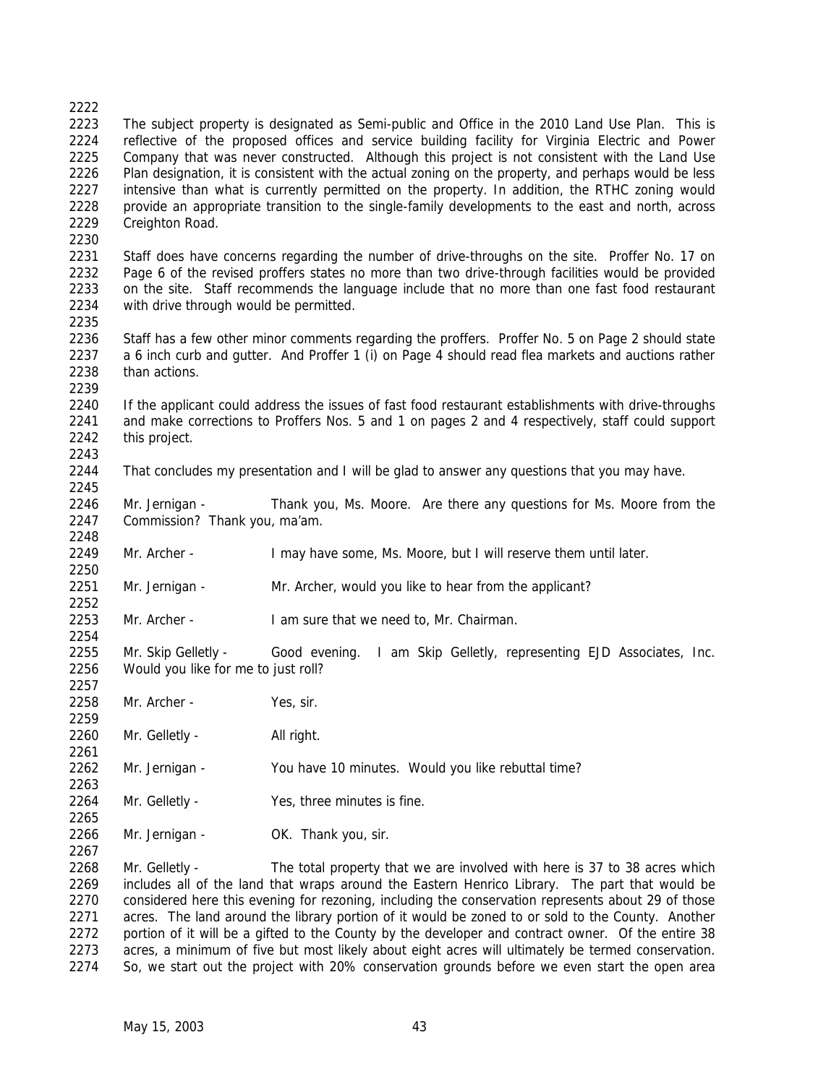### The subject property is designated as Semi-public and Office in the 2010 Land Use Plan. This is reflective of the proposed offices and service building facility for Virginia Electric and Power 2225 Company that was never constructed. Although this project is not consistent with the Land Use Plan designation, it is consistent with the actual zoning on the property, and perhaps would be less intensive than what is currently permitted on the property. In addition, the RTHC zoning would provide an appropriate transition to the single-family developments to the east and north, across Creighton Road. Staff does have concerns regarding the number of drive-throughs on the site. Proffer No. 17 on Page 6 of the revised proffers states no more than two drive-through facilities would be provided on the site. Staff recommends the language include that no more than one fast food restaurant with drive through would be permitted. Staff has a few other minor comments regarding the proffers. Proffer No. 5 on Page 2 should state a 6 inch curb and gutter. And Proffer 1 (i) on Page 4 should read flea markets and auctions rather than actions. If the applicant could address the issues of fast food restaurant establishments with drive-throughs and make corrections to Proffers Nos. 5 and 1 on pages 2 and 4 respectively, staff could support this project. That concludes my presentation and I will be glad to answer any questions that you may have. 2246 Mr. Jernigan - Thank you, Ms. Moore. Are there any questions for Ms. Moore from the Commission? Thank you, ma'am.

Mr. Archer - I may have some, Ms. Moore, but I will reserve them until later.

2251 Mr. Jernigan - Mr. Archer, would you like to hear from the applicant? 

Mr. Archer - I am sure that we need to, Mr. Chairman.

 Mr. Skip Gelletly - Good evening. I am Skip Gelletly, representing EJD Associates, Inc. Would you like for me to just roll? 

Mr. Archer - Yes, sir.

2260 Mr. Gelletly - All right.

- Mr. Jernigan You have 10 minutes. Would you like rebuttal time?
- Mr. Gelletly Yes, three minutes is fine.
- 2266 Mr. Jernigan OK. Thank you, sir.

 Mr. Gelletly - The total property that we are involved with here is 37 to 38 acres which includes all of the land that wraps around the Eastern Henrico Library. The part that would be considered here this evening for rezoning, including the conservation represents about 29 of those acres. The land around the library portion of it would be zoned to or sold to the County. Another 2272 portion of it will be a gifted to the County by the developer and contract owner. Of the entire 38 acres, a minimum of five but most likely about eight acres will ultimately be termed conservation. So, we start out the project with 20% conservation grounds before we even start the open area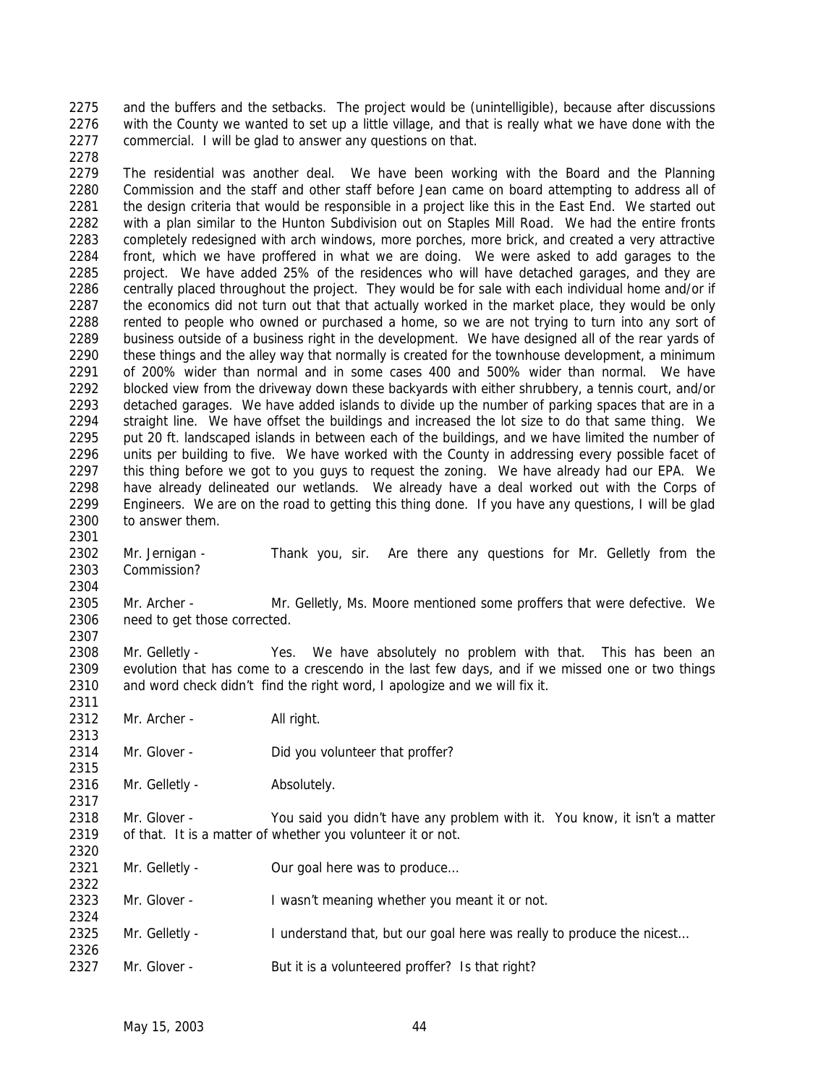and the buffers and the setbacks. The project would be (unintelligible), because after discussions with the County we wanted to set up a little village, and that is really what we have done with the commercial. I will be glad to answer any questions on that. 

 The residential was another deal. We have been working with the Board and the Planning Commission and the staff and other staff before Jean came on board attempting to address all of 2281 the design criteria that would be responsible in a project like this in the East End. We started out with a plan similar to the Hunton Subdivision out on Staples Mill Road. We had the entire fronts completely redesigned with arch windows, more porches, more brick, and created a very attractive front, which we have proffered in what we are doing. We were asked to add garages to the project. We have added 25% of the residences who will have detached garages, and they are centrally placed throughout the project. They would be for sale with each individual home and/or if 2287 the economics did not turn out that that actually worked in the market place, they would be only 2288 rented to people who owned or purchased a home, so we are not trying to turn into any sort of business outside of a business right in the development. We have designed all of the rear yards of 2290 these things and the alley way that normally is created for the townhouse development, a minimum of 200% wider than normal and in some cases 400 and 500% wider than normal. We have blocked view from the driveway down these backyards with either shrubbery, a tennis court, and/or detached garages. We have added islands to divide up the number of parking spaces that are in a straight line. We have offset the buildings and increased the lot size to do that same thing. We put 20 ft. landscaped islands in between each of the buildings, and we have limited the number of units per building to five. We have worked with the County in addressing every possible facet of this thing before we got to you guys to request the zoning. We have already had our EPA. We have already delineated our wetlands. We already have a deal worked out with the Corps of Engineers. We are on the road to getting this thing done. If you have any questions, I will be glad to answer them.

 Mr. Jernigan - Thank you, sir. Are there any questions for Mr. Gelletly from the Commission?

 Mr. Archer - Mr. Gelletly, Ms. Moore mentioned some proffers that were defective. We need to get those corrected. 

 Mr. Gelletly - Yes. We have absolutely no problem with that. This has been an evolution that has come to a crescendo in the last few days, and if we missed one or two things and word check didn't find the right word, I apologize and we will fix it.

2312 Mr. Archer - All right.

2314 Mr. Glover - Did you volunteer that proffer?

2316 Mr. Gelletly - Absolutely.

 Mr. Glover - You said you didn't have any problem with it. You know, it isn't a matter of that. It is a matter of whether you volunteer it or not. 

2321 Mr. Gelletly - Our goal here was to produce...

Mr. Glover - I wasn't meaning whether you meant it or not.

- 2325 Mr. Gelletly I understand that, but our goal here was really to produce the nicest...
- 2327 Mr. Glover But it is a volunteered proffer? Is that right?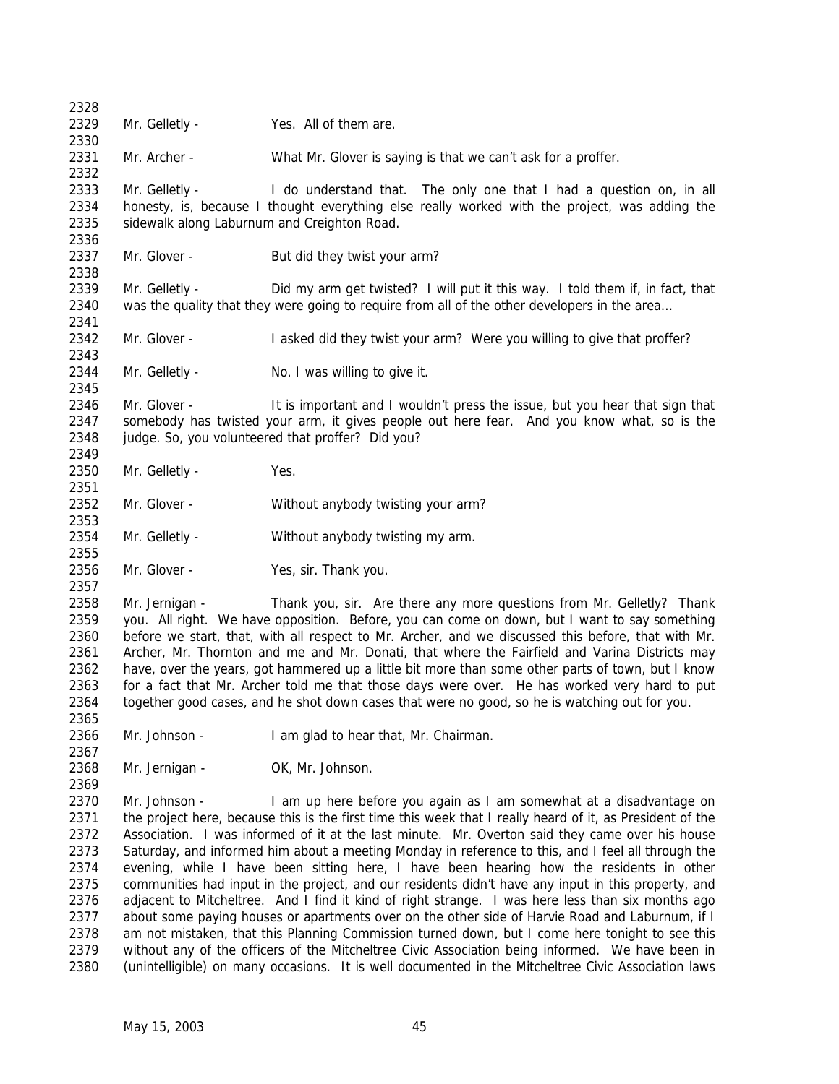Mr. Gelletly - Yes. All of them are. 2331 Mr. Archer - What Mr. Glover is saying is that we can't ask for a proffer. Mr. Gelletly - I do understand that. The only one that I had a question on, in all honesty, is, because I thought everything else really worked with the project, was adding the sidewalk along Laburnum and Creighton Road. Mr. Glover - But did they twist your arm? Mr. Gelletly - Did my arm get twisted? I will put it this way. I told them if, in fact, that was the quality that they were going to require from all of the other developers in the area… 2342 Mr. Glover - I asked did they twist your arm? Were you willing to give that proffer? 2344 Mr. Gelletly - No. I was willing to give it. Mr. Glover - It is important and I wouldn't press the issue, but you hear that sign that somebody has twisted your arm, it gives people out here fear. And you know what, so is the 2348 judge. So, you volunteered that proffer? Did you? Mr. Gelletly - Yes. Mr. Glover - Without anybody twisting your arm? Mr. Gelletly - Without anybody twisting my arm. Mr. Glover - Yes, sir. Thank you. Mr. Jernigan - Thank you, sir. Are there any more questions from Mr. Gelletly? Thank you. All right. We have opposition. Before, you can come on down, but I want to say something before we start, that, with all respect to Mr. Archer, and we discussed this before, that with Mr. Archer, Mr. Thornton and me and Mr. Donati, that where the Fairfield and Varina Districts may have, over the years, got hammered up a little bit more than some other parts of town, but I know for a fact that Mr. Archer told me that those days were over. He has worked very hard to put 2364 together good cases, and he shot down cases that were no good, so he is watching out for you. Mr. Johnson - I am glad to hear that, Mr. Chairman. 2368 Mr. Jernigan - OK, Mr. Johnson. Mr. Johnson - I am up here before you again as I am somewhat at a disadvantage on 2371 the project here, because this is the first time this week that I really heard of it, as President of the Association. I was informed of it at the last minute. Mr. Overton said they came over his house Saturday, and informed him about a meeting Monday in reference to this, and I feel all through the evening, while I have been sitting here, I have been hearing how the residents in other communities had input in the project, and our residents didn't have any input in this property, and adjacent to Mitcheltree. And I find it kind of right strange. I was here less than six months ago 2377 about some paying houses or apartments over on the other side of Harvie Road and Laburnum, if I am not mistaken, that this Planning Commission turned down, but I come here tonight to see this without any of the officers of the Mitcheltree Civic Association being informed. We have been in (unintelligible) on many occasions. It is well documented in the Mitcheltree Civic Association laws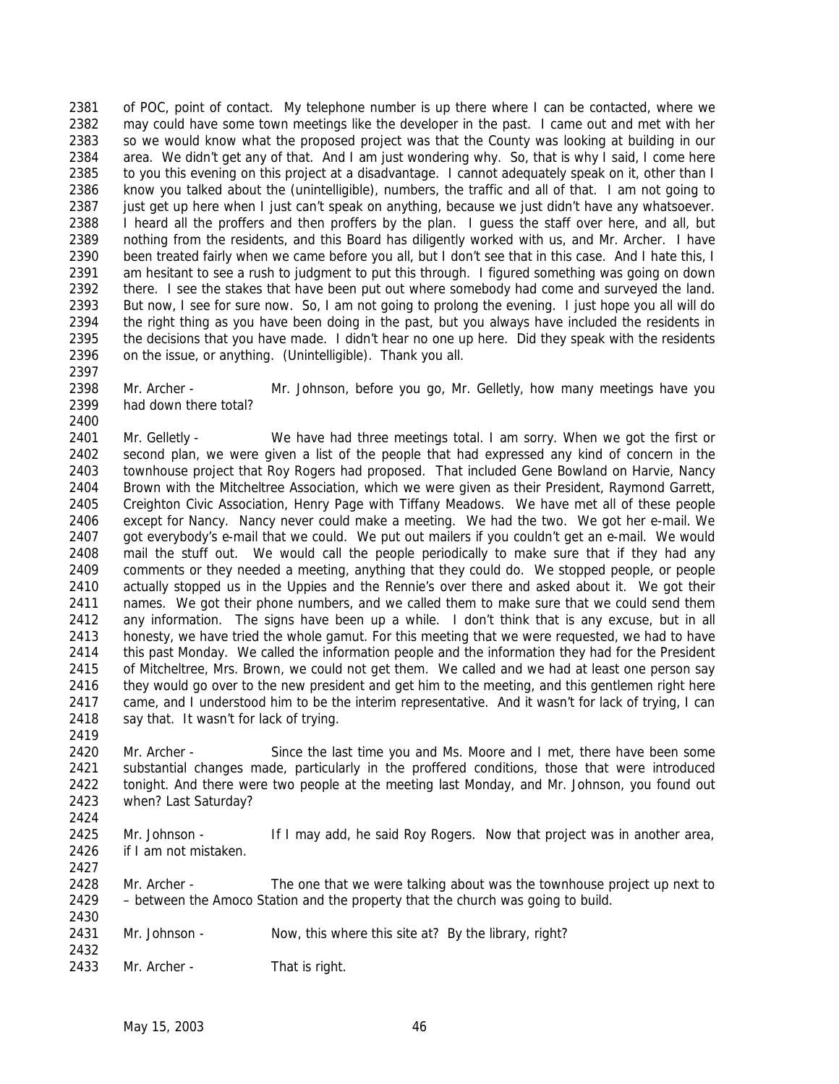of POC, point of contact. My telephone number is up there where I can be contacted, where we may could have some town meetings like the developer in the past. I came out and met with her so we would know what the proposed project was that the County was looking at building in our area. We didn't get any of that. And I am just wondering why. So, that is why I said, I come here 2385 to you this evening on this project at a disadvantage. I cannot adequately speak on it, other than I know you talked about the (unintelligible), numbers, the traffic and all of that. I am not going to just get up here when I just can't speak on anything, because we just didn't have any whatsoever. I heard all the proffers and then proffers by the plan. I guess the staff over here, and all, but nothing from the residents, and this Board has diligently worked with us, and Mr. Archer. I have been treated fairly when we came before you all, but I don't see that in this case. And I hate this, I am hesitant to see a rush to judgment to put this through. I figured something was going on down there. I see the stakes that have been put out where somebody had come and surveyed the land. But now, I see for sure now. So, I am not going to prolong the evening. I just hope you all will do the right thing as you have been doing in the past, but you always have included the residents in the decisions that you have made. I didn't hear no one up here. Did they speak with the residents on the issue, or anything. (Unintelligible). Thank you all.

 Mr. Archer - Mr. Johnson, before you go, Mr. Gelletly, how many meetings have you had down there total?

 Mr. Gelletly - We have had three meetings total. I am sorry. When we got the first or second plan, we were given a list of the people that had expressed any kind of concern in the townhouse project that Roy Rogers had proposed. That included Gene Bowland on Harvie, Nancy Brown with the Mitcheltree Association, which we were given as their President, Raymond Garrett, Creighton Civic Association, Henry Page with Tiffany Meadows. We have met all of these people except for Nancy. Nancy never could make a meeting. We had the two. We got her e-mail. We got everybody's e-mail that we could. We put out mailers if you couldn't get an e-mail. We would mail the stuff out. We would call the people periodically to make sure that if they had any comments or they needed a meeting, anything that they could do. We stopped people, or people actually stopped us in the Uppies and the Rennie's over there and asked about it. We got their names. We got their phone numbers, and we called them to make sure that we could send them any information. The signs have been up a while. I don't think that is any excuse, but in all honesty, we have tried the whole gamut. For this meeting that we were requested, we had to have this past Monday. We called the information people and the information they had for the President of Mitcheltree, Mrs. Brown, we could not get them. We called and we had at least one person say 2416 they would go over to the new president and get him to the meeting, and this gentlemen right here came, and I understood him to be the interim representative. And it wasn't for lack of trying, I can 2418 say that. It wasn't for lack of trying.

 Mr. Archer - Since the last time you and Ms. Moore and I met, there have been some substantial changes made, particularly in the proffered conditions, those that were introduced tonight. And there were two people at the meeting last Monday, and Mr. Johnson, you found out when? Last Saturday?

2425 Mr. Johnson - If I may add, he said Roy Rogers. Now that project was in another area, if I am not mistaken. 

 Mr. Archer - The one that we were talking about was the townhouse project up next to – between the Amoco Station and the property that the church was going to build.

- 2431 Mr. Johnson Now, this where this site at? By the library, right?
- Mr. Archer That is right.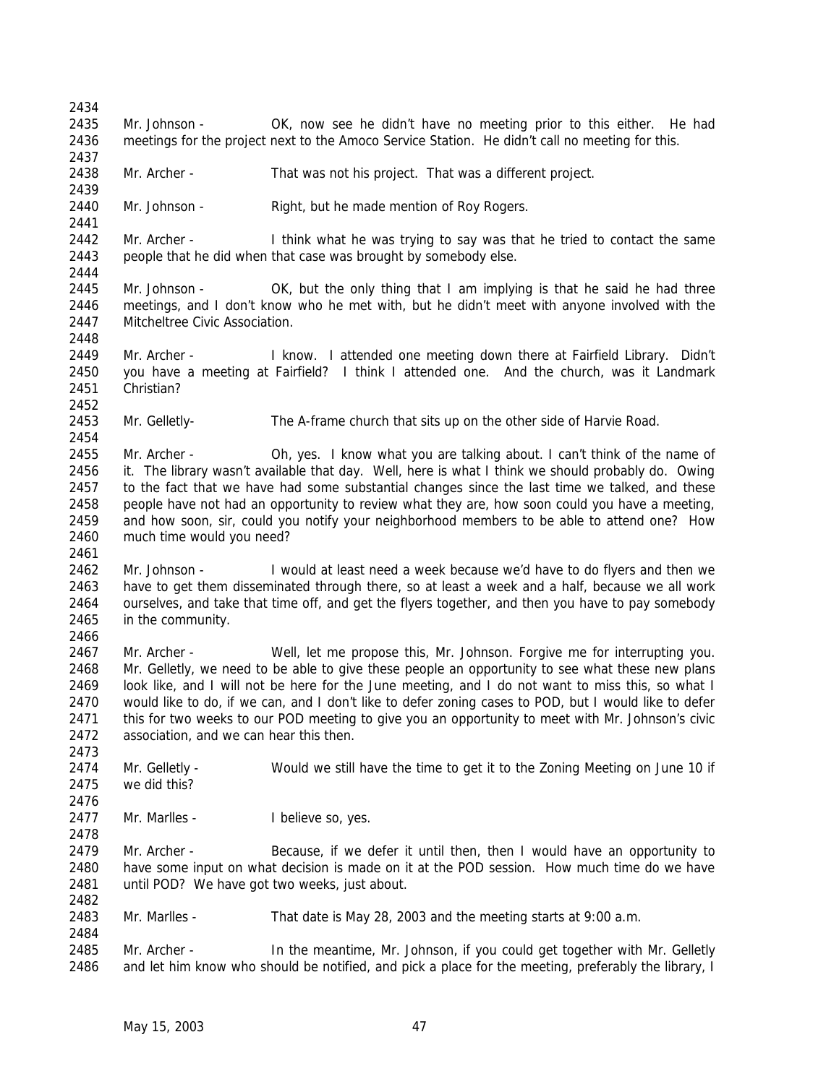Mr. Johnson - OK, now see he didn't have no meeting prior to this either. He had meetings for the project next to the Amoco Service Station. He didn't call no meeting for this. Mr. Archer - That was not his project. That was a different project. 2440 Mr. Johnson - Right, but he made mention of Roy Rogers. 2442 Mr. Archer - I think what he was trying to say was that he tried to contact the same people that he did when that case was brought by somebody else. Mr. Johnson - OK, but the only thing that I am implying is that he said he had three meetings, and I don't know who he met with, but he didn't meet with anyone involved with the Mitcheltree Civic Association. Mr. Archer - I know. I attended one meeting down there at Fairfield Library. Didn't you have a meeting at Fairfield? I think I attended one. And the church, was it Landmark Christian? Mr. Gelletly- The A-frame church that sits up on the other side of Harvie Road. Mr. Archer - Oh, yes. I know what you are talking about. I can't think of the name of it. The library wasn't available that day. Well, here is what I think we should probably do. Owing 2457 to the fact that we have had some substantial changes since the last time we talked, and these 2458 people have not had an opportunity to review what they are, how soon could you have a meeting, and how soon, sir, could you notify your neighborhood members to be able to attend one? How much time would you need? Mr. Johnson - I would at least need a week because we'd have to do flyers and then we have to get them disseminated through there, so at least a week and a half, because we all work ourselves, and take that time off, and get the flyers together, and then you have to pay somebody in the community. Mr. Archer - Well, let me propose this, Mr. Johnson. Forgive me for interrupting you. Mr. Gelletly, we need to be able to give these people an opportunity to see what these new plans look like, and I will not be here for the June meeting, and I do not want to miss this, so what I would like to do, if we can, and I don't like to defer zoning cases to POD, but I would like to defer this for two weeks to our POD meeting to give you an opportunity to meet with Mr. Johnson's civic association, and we can hear this then. 2474 Mr. Gelletly - Would we still have the time to get it to the Zoning Meeting on June 10 if we did this? 2477 Mr. Marlles - I believe so, yes. 2479 Mr. Archer - Because, if we defer it until then, then I would have an opportunity to have some input on what decision is made on it at the POD session. How much time do we have until POD? We have got two weeks, just about. Mr. Marlles - That date is May 28, 2003 and the meeting starts at 9:00 a.m. Mr. Archer - In the meantime, Mr. Johnson, if you could get together with Mr. Gelletly and let him know who should be notified, and pick a place for the meeting, preferably the library, I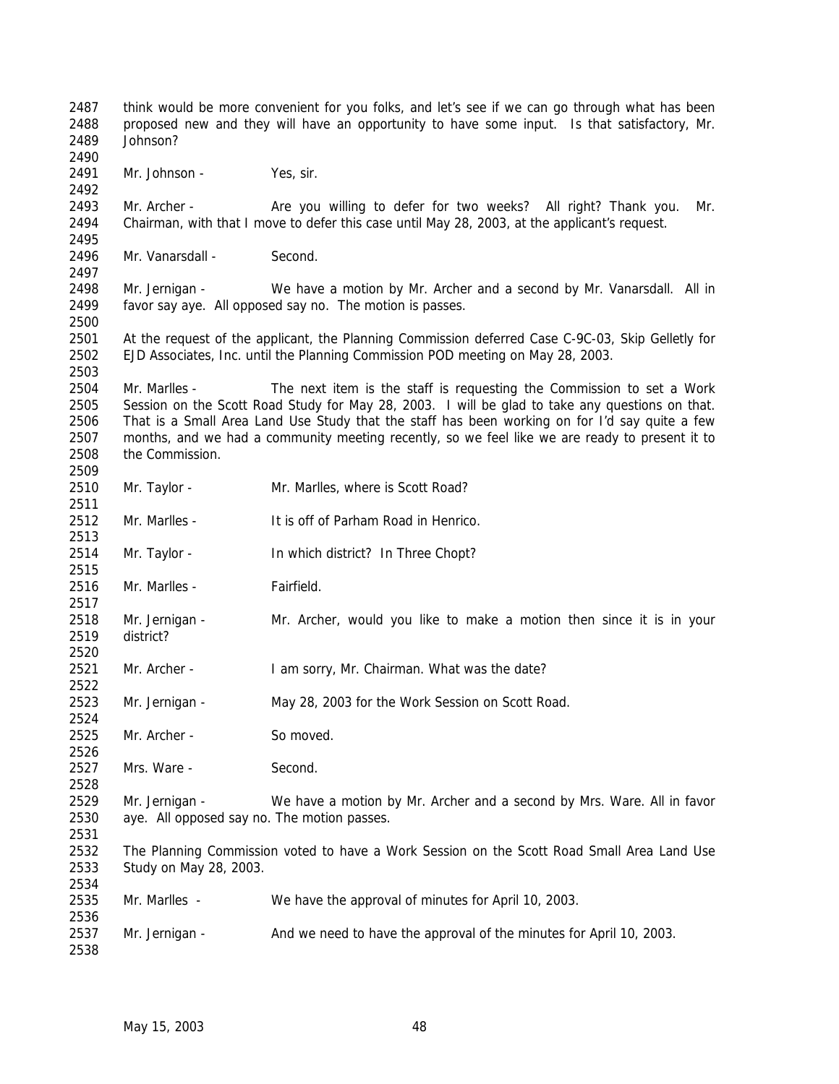think would be more convenient for you folks, and let's see if we can go through what has been proposed new and they will have an opportunity to have some input. Is that satisfactory, Mr. Johnson? 2491 Mr. Johnson - Yes, sir. Mr. Archer - Are you willing to defer for two weeks? All right? Thank you. Mr. Chairman, with that I move to defer this case until May 28, 2003, at the applicant's request. 2496 Mr. Vanarsdall - Second. Mr. Jernigan - We have a motion by Mr. Archer and a second by Mr. Vanarsdall. All in favor say aye. All opposed say no. The motion is passes. At the request of the applicant, the Planning Commission deferred Case C-9C-03, Skip Gelletly for EJD Associates, Inc. until the Planning Commission POD meeting on May 28, 2003. Mr. Marlles - The next item is the staff is requesting the Commission to set a Work Session on the Scott Road Study for May 28, 2003. I will be glad to take any questions on that. That is a Small Area Land Use Study that the staff has been working on for I'd say quite a few months, and we had a community meeting recently, so we feel like we are ready to present it to the Commission. Mr. Taylor - Mr. Marlles, where is Scott Road? Mr. Marlles - It is off of Parham Road in Henrico. Mr. Taylor - In which district? In Three Chopt? Mr. Marlles - Fairfield. Mr. Jernigan - Mr. Archer, would you like to make a motion then since it is in your district? 2521 Mr. Archer - I am sorry, Mr. Chairman. What was the date? Mr. Jernigan - May 28, 2003 for the Work Session on Scott Road. Mr. Archer - So moved. 2527 Mrs. Ware - Second. Mr. Jernigan - We have a motion by Mr. Archer and a second by Mrs. Ware. All in favor aye. All opposed say no. The motion passes. The Planning Commission voted to have a Work Session on the Scott Road Small Area Land Use Study on May 28, 2003. Mr. Marlles - We have the approval of minutes for April 10, 2003. 2537 Mr. Jernigan - And we need to have the approval of the minutes for April 10, 2003.